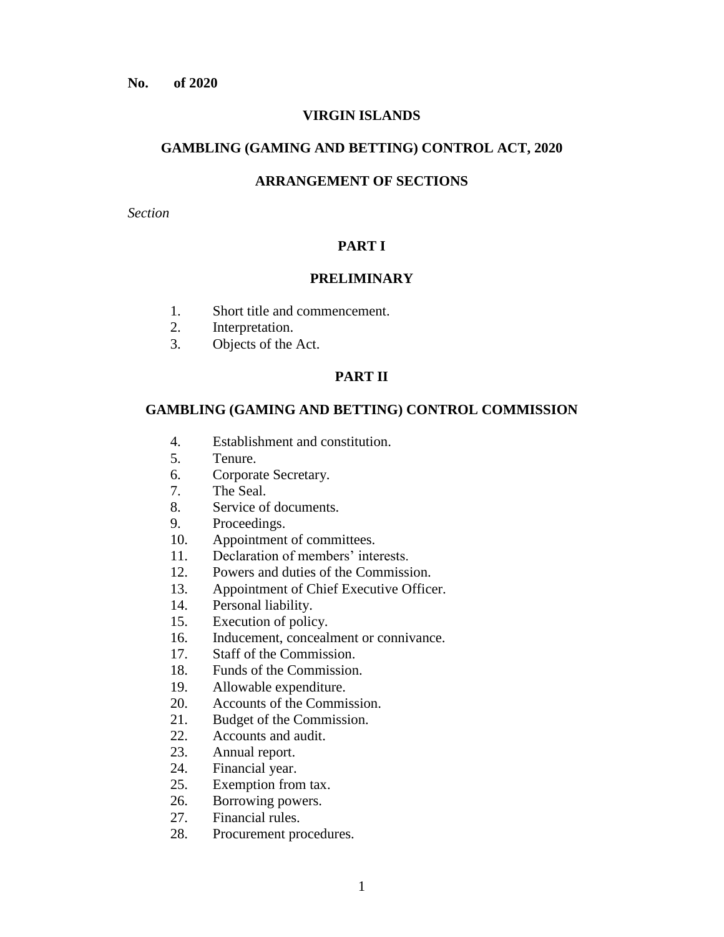### **VIRGIN ISLANDS**

#### **GAMBLING (GAMING AND BETTING) CONTROL ACT, 2020**

### **ARRANGEMENT OF SECTIONS**

*Section*

# **PART I**

### **PRELIMINARY**

- 1. Short title and commencement.
- 2. Interpretation.
- 3. Objects of the Act.

### **PART II**

### **GAMBLING (GAMING AND BETTING) CONTROL COMMISSION**

- 4. Establishment and constitution.
- 5. Tenure.
- 6. Corporate Secretary.
- 7. The Seal.
- 8. Service of documents.
- 9. Proceedings.
- 10. Appointment of committees.
- 11. Declaration of members' interests.
- 12. Powers and duties of the Commission.
- 13. Appointment of Chief Executive Officer.
- 14. Personal liability.
- 15. Execution of policy.
- 16. Inducement, concealment or connivance.
- 17. Staff of the Commission.
- 18. Funds of the Commission.
- 19. Allowable expenditure.
- 20. Accounts of the Commission.
- 21. Budget of the Commission.
- 22. Accounts and audit.
- 23. Annual report.
- 24. Financial year.
- 25. Exemption from tax.
- 26. Borrowing powers.
- 27. Financial rules.
- 28. Procurement procedures.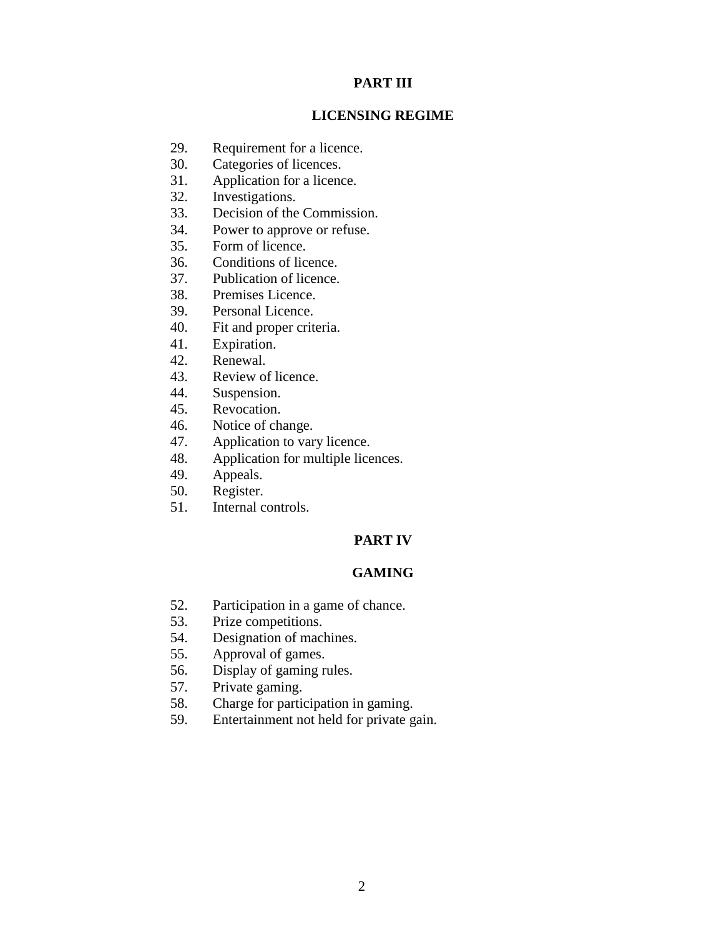# **PART III**

## **LICENSING REGIME**

- 29. Requirement for a licence.
- 30. Categories of licences.
- 31. Application for a licence.
- 32. Investigations.
- 33. Decision of the Commission.
- 34. Power to approve or refuse.
- 35. Form of licence.
- 36. Conditions of licence.
- 37. Publication of licence.
- 38. Premises Licence.
- 39. Personal Licence.
- 40. Fit and proper criteria.
- 41. Expiration.
- 42. Renewal.
- 43. Review of licence.
- 44. Suspension.
- 45. Revocation.
- 46. Notice of change.
- 47. Application to vary licence.
- 48. Application for multiple licences.
- 49. Appeals.
- 50. Register.
- 51. Internal controls.

# **PART IV**

# **GAMING**

- 52. Participation in a game of chance.
- 53. Prize competitions.
- 54. Designation of machines.
- 55. Approval of games.
- 56. Display of gaming rules.
- 57. Private gaming.
- 58. Charge for participation in gaming.
- 59. Entertainment not held for private gain.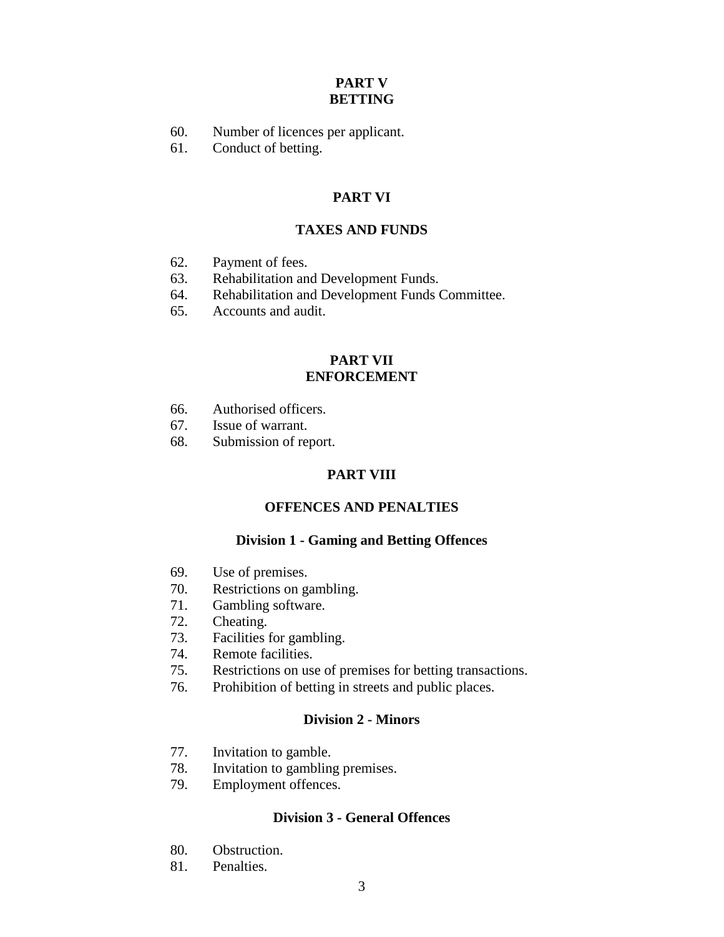# **PART V BETTING**

- 60. Number of licences per applicant.
- 61. Conduct of betting.

# **PART VI**

# **TAXES AND FUNDS**

- 62. Payment of fees.
- 63. Rehabilitation and Development Funds.
- 64. Rehabilitation and Development Funds Committee.
- 65. Accounts and audit.

### **PART VII ENFORCEMENT**

- 66. Authorised officers.
- 67. Issue of warrant.
- 68. Submission of report.

# **PART VIII**

## **OFFENCES AND PENALTIES**

# **Division 1 - Gaming and Betting Offences**

- 69. Use of premises.
- 70. Restrictions on gambling.
- 71. Gambling software.
- 72. Cheating.
- 73. Facilities for gambling.
- 74. Remote facilities.
- 75. Restrictions on use of premises for betting transactions.
- 76. Prohibition of betting in streets and public places.

# **Division 2 - Minors**

- 77. Invitation to gamble.
- 78. Invitation to gambling premises.
- 79. Employment offences.

### **Division 3 - General Offences**

- 80. Obstruction.
- 81. Penalties.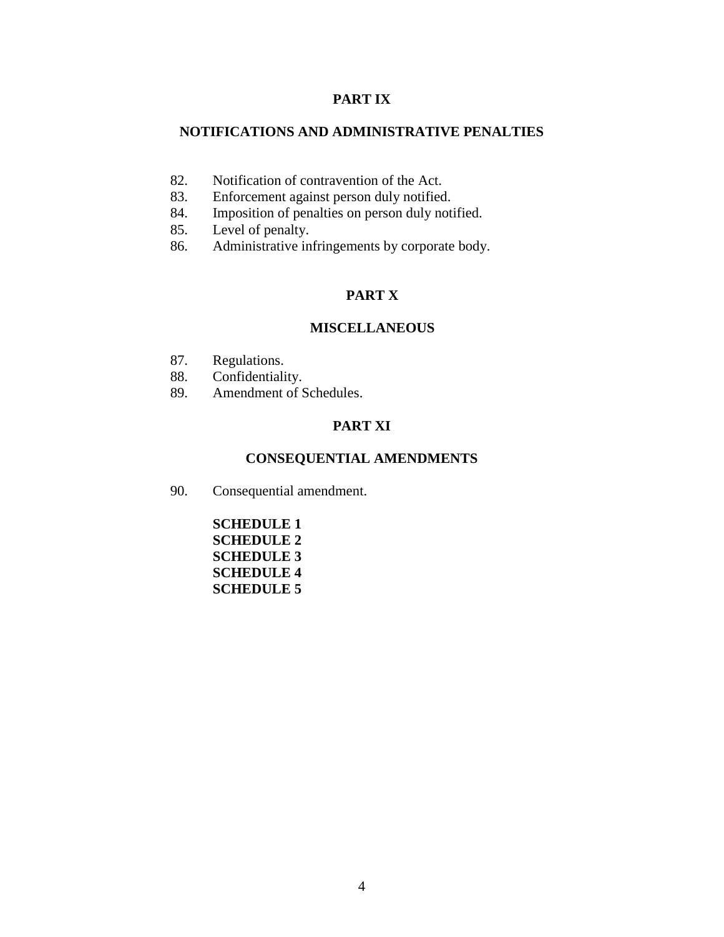# **PART IX**

# **NOTIFICATIONS AND ADMINISTRATIVE PENALTIES**

- 82. Notification of contravention of the Act.
- 83. Enforcement against person duly notified.
- 84. Imposition of penalties on person duly notified.
- 85. Level of penalty.
- 86. Administrative infringements by corporate body.

# **PART X**

# **MISCELLANEOUS**

- 87. Regulations.
- 88. Confidentiality.
- 89. Amendment of Schedules.

# **PART XI**

# **CONSEQUENTIAL AMENDMENTS**

90. Consequential amendment.

| <b>SCHEDULE 1</b> |
|-------------------|
| <b>SCHEDULE 2</b> |
| SCHEDULE 3        |
| SCHEDULE 4        |
| SCHEDULE 5        |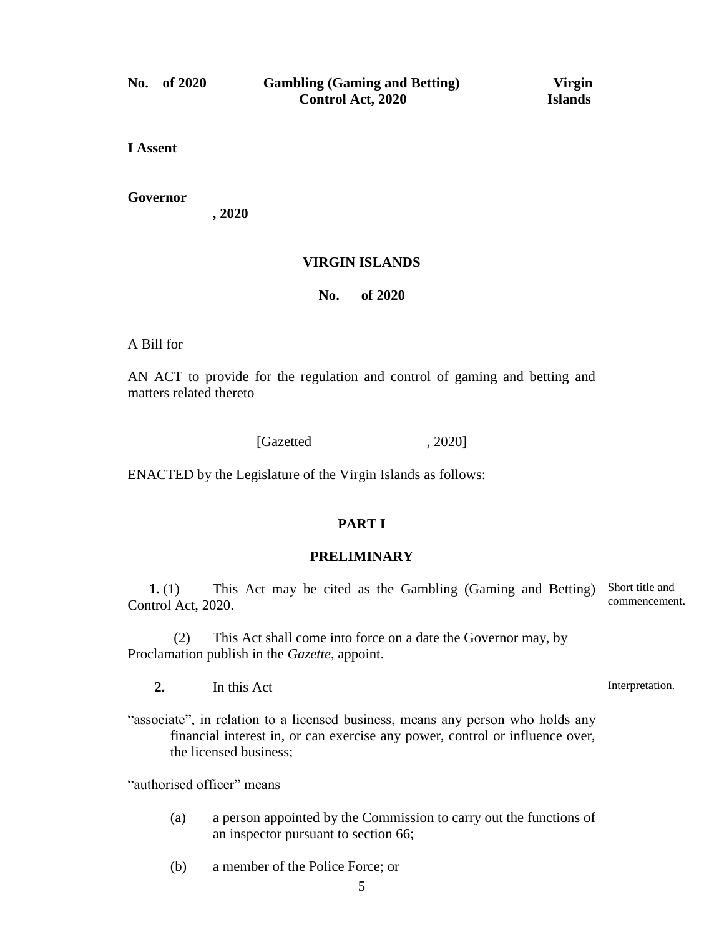**I Assent**

**Governor**

**, 2020**

### **VIRGIN ISLANDS**

**No. of 2020**

A Bill for

AN ACT to provide for the regulation and control of gaming and betting and matters related thereto

[Gazetted , 2020]

ENACTED by the Legislature of the Virgin Islands as follows:

# **PART I**

#### **PRELIMINARY**

**1.** (1) This Act may be cited as the Gambling (Gaming and Betting) Short title and Control Act, 2020. commencement.

(2) This Act shall come into force on a date the Governor may, by Proclamation publish in the *Gazette*, appoint.

**2.** In this Act

"associate", in relation to a licensed business, means any person who holds any financial interest in, or can exercise any power, control or influence over, the licensed business;

"authorised officer" means

- (a) a person appointed by the Commission to carry out the functions of an inspector pursuant to section 66;
- (b) a member of the Police Force; or

Interpretation.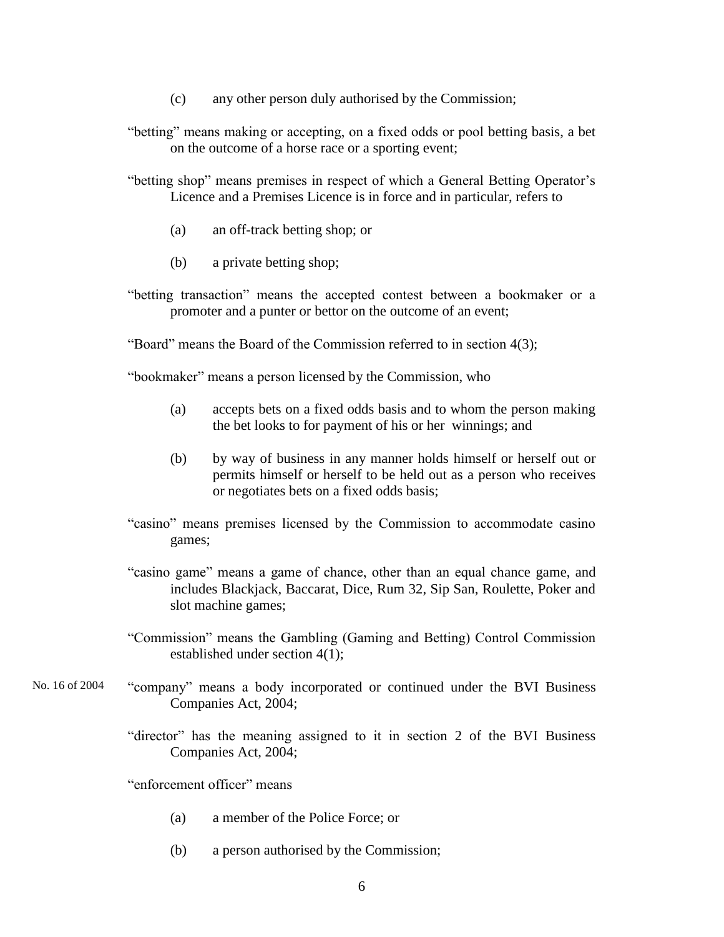- (c) any other person duly authorised by the Commission;
- "betting" means making or accepting, on a fixed odds or pool betting basis, a bet on the outcome of a horse race or a sporting event;

"betting shop" means premises in respect of which a General Betting Operator's Licence and a Premises Licence is in force and in particular, refers to

- (a) an off-track betting shop; or
- (b) a private betting shop;
- "betting transaction" means the accepted contest between a bookmaker or a promoter and a punter or bettor on the outcome of an event;

"Board" means the Board of the Commission referred to in section 4(3);

"bookmaker" means a person licensed by the Commission, who

- (a) accepts bets on a fixed odds basis and to whom the person making the bet looks to for payment of his or her winnings; and
- (b) by way of business in any manner holds himself or herself out or permits himself or herself to be held out as a person who receives or negotiates bets on a fixed odds basis;
- "casino" means premises licensed by the Commission to accommodate casino games;
- "casino game" means a game of chance, other than an equal chance game, and includes Blackjack, Baccarat, Dice, Rum 32, Sip San, Roulette, Poker and slot machine games;
- "Commission" means the Gambling (Gaming and Betting) Control Commission established under section 4(1);
- "company" means a body incorporated or continued under the BVI Business Companies Act, 2004; No. 16 of 2004
	- "director" has the meaning assigned to it in section 2 of the BVI Business Companies Act, 2004;

"enforcement officer" means

- (a) a member of the Police Force; or
- (b) a person authorised by the Commission;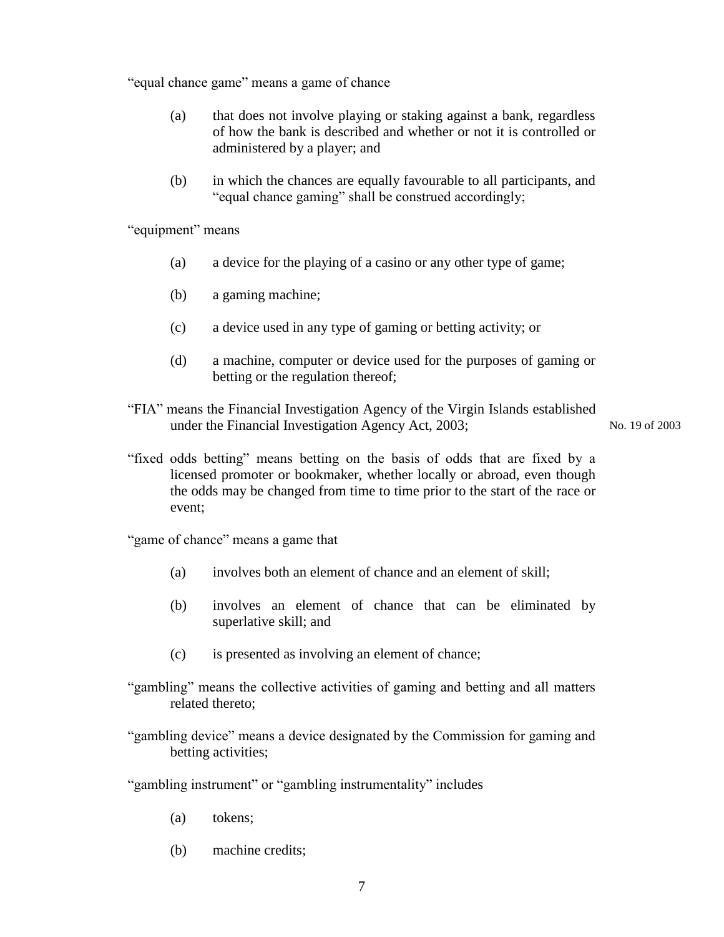"equal chance game" means a game of chance

- (a) that does not involve playing or staking against a bank, regardless of how the bank is described and whether or not it is controlled or administered by a player; and
- (b) in which the chances are equally favourable to all participants, and "equal chance gaming" shall be construed accordingly;

"equipment" means

- (a) a device for the playing of a casino or any other type of game;
- (b) a gaming machine;
- (c) a device used in any type of gaming or betting activity; or
- (d) a machine, computer or device used for the purposes of gaming or betting or the regulation thereof;
- "FIA" means the Financial Investigation Agency of the Virgin Islands established under the Financial Investigation Agency Act, 2003; No. 19 of 2003
- "fixed odds betting" means betting on the basis of odds that are fixed by a licensed promoter or bookmaker, whether locally or abroad, even though the odds may be changed from time to time prior to the start of the race or event;

"game of chance" means a game that

- (a) involves both an element of chance and an element of skill;
- (b) involves an element of chance that can be eliminated by superlative skill; and
- (c) is presented as involving an element of chance;
- "gambling" means the collective activities of gaming and betting and all matters related thereto;

"gambling device" means a device designated by the Commission for gaming and betting activities;

"gambling instrument" or "gambling instrumentality" includes

- (a) tokens;
- (b) machine credits;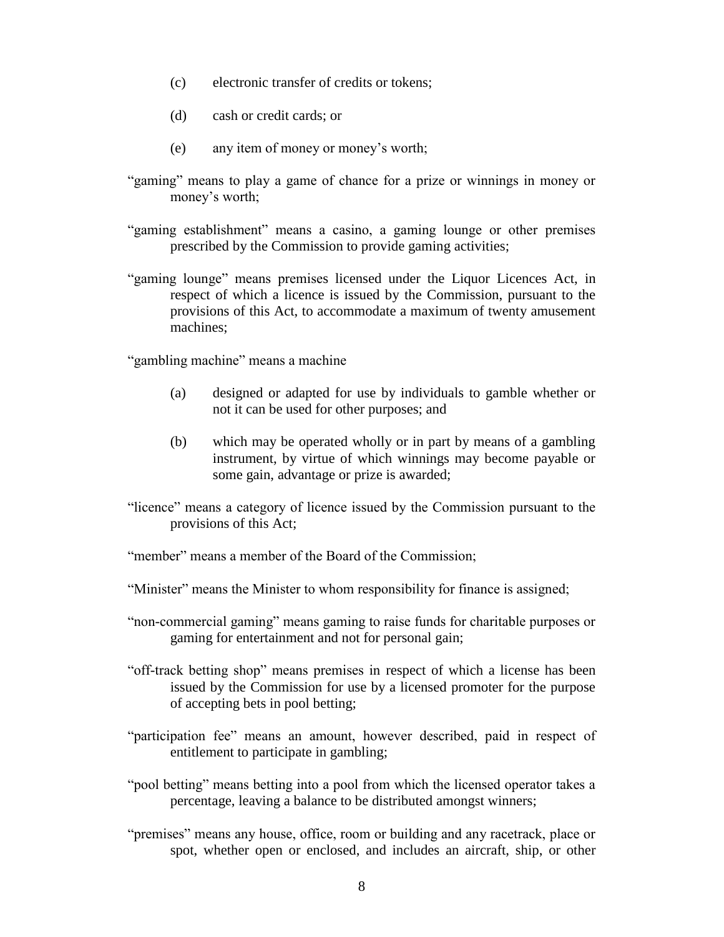- (c) electronic transfer of credits or tokens;
- (d) cash or credit cards; or
- (e) any item of money or money's worth;
- "gaming" means to play a game of chance for a prize or winnings in money or money's worth;
- "gaming establishment" means a casino, a gaming lounge or other premises prescribed by the Commission to provide gaming activities;
- "gaming lounge" means premises licensed under the Liquor Licences Act, in respect of which a licence is issued by the Commission, pursuant to the provisions of this Act, to accommodate a maximum of twenty amusement machines;

"gambling machine" means a machine

- (a) designed or adapted for use by individuals to gamble whether or not it can be used for other purposes; and
- (b) which may be operated wholly or in part by means of a gambling instrument, by virtue of which winnings may become payable or some gain, advantage or prize is awarded;
- "licence" means a category of licence issued by the Commission pursuant to the provisions of this Act;
- "member" means a member of the Board of the Commission;
- "Minister" means the Minister to whom responsibility for finance is assigned;
- "non-commercial gaming" means gaming to raise funds for charitable purposes or gaming for entertainment and not for personal gain;
- "off-track betting shop" means premises in respect of which a license has been issued by the Commission for use by a licensed promoter for the purpose of accepting bets in pool betting;
- "participation fee" means an amount, however described, paid in respect of entitlement to participate in gambling;
- "pool betting" means betting into a pool from which the licensed operator takes a percentage, leaving a balance to be distributed amongst winners;
- "premises" means any house, office, room or building and any racetrack, place or spot, whether open or enclosed, and includes an aircraft, ship, or other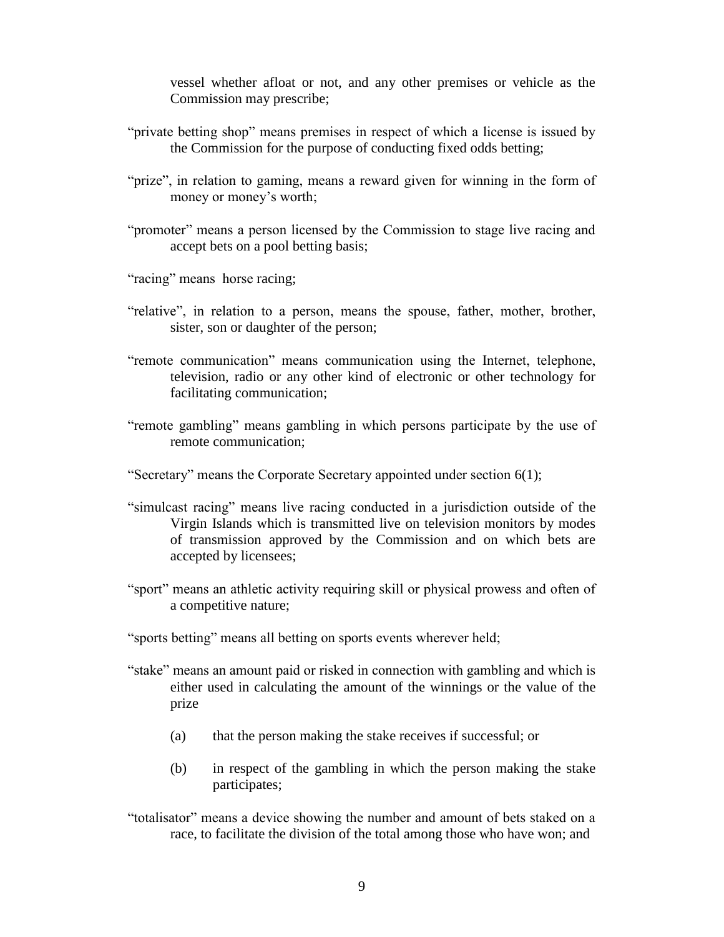vessel whether afloat or not, and any other premises or vehicle as the Commission may prescribe;

- "private betting shop" means premises in respect of which a license is issued by the Commission for the purpose of conducting fixed odds betting;
- "prize", in relation to gaming, means a reward given for winning in the form of money or money's worth;
- "promoter" means a person licensed by the Commission to stage live racing and accept bets on a pool betting basis;

"racing" means horse racing;

- "relative", in relation to a person, means the spouse, father, mother, brother, sister, son or daughter of the person;
- "remote communication" means communication using the Internet, telephone, television, radio or any other kind of electronic or other technology for facilitating communication;
- "remote gambling" means gambling in which persons participate by the use of remote communication;
- "Secretary" means the Corporate Secretary appointed under section 6(1);
- "simulcast racing" means live racing conducted in a jurisdiction outside of the Virgin Islands which is transmitted live on television monitors by modes of transmission approved by the Commission and on which bets are accepted by licensees;
- "sport" means an athletic activity requiring skill or physical prowess and often of a competitive nature;
- "sports betting" means all betting on sports events wherever held;
- "stake" means an amount paid or risked in connection with gambling and which is either used in calculating the amount of the winnings or the value of the prize
	- (a) that the person making the stake receives if successful; or
	- (b) in respect of the gambling in which the person making the stake participates;
- "totalisator" means a device showing the number and amount of bets staked on a race, to facilitate the division of the total among those who have won; and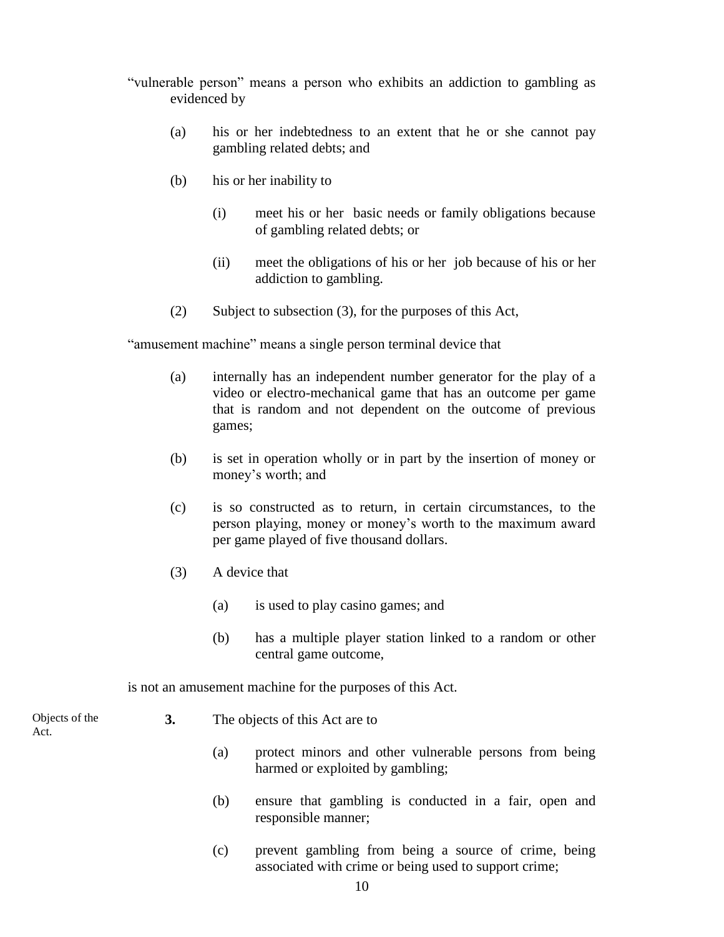- "vulnerable person" means a person who exhibits an addiction to gambling as evidenced by
	- (a) his or her indebtedness to an extent that he or she cannot pay gambling related debts; and
	- (b) his or her inability to
		- (i) meet his or her basic needs or family obligations because of gambling related debts; or
		- (ii) meet the obligations of his or her job because of his or her addiction to gambling.
	- (2) Subject to subsection (3), for the purposes of this Act,

"amusement machine" means a single person terminal device that

- (a) internally has an independent number generator for the play of a video or electro-mechanical game that has an outcome per game that is random and not dependent on the outcome of previous games;
- (b) is set in operation wholly or in part by the insertion of money or money's worth; and
- (c) is so constructed as to return, in certain circumstances, to the person playing, money or money's worth to the maximum award per game played of five thousand dollars.
- (3) A device that
	- (a) is used to play casino games; and
	- (b) has a multiple player station linked to a random or other central game outcome,

is not an amusement machine for the purposes of this Act.

Objects of the Act.

- **3.** The objects of this Act are to
	- (a) protect minors and other vulnerable persons from being harmed or exploited by gambling;
	- (b) ensure that gambling is conducted in a fair, open and responsible manner;
	- (c) prevent gambling from being a source of crime, being associated with crime or being used to support crime;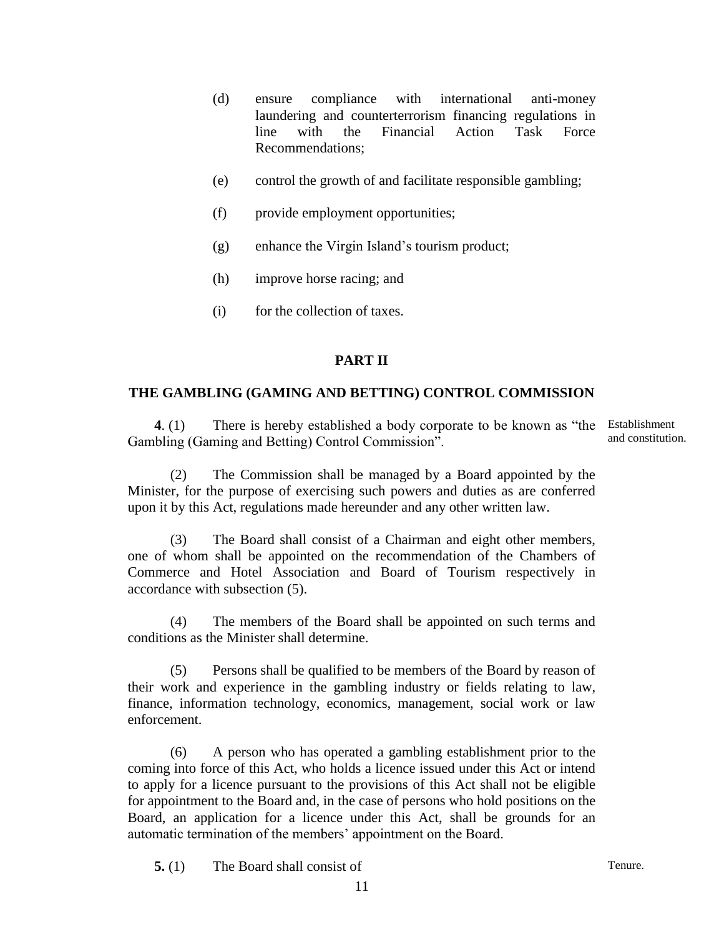- (d) ensure compliance with international anti-money laundering and counterterrorism financing regulations in line with the Financial Action Task Force Recommendations;
- (e) control the growth of and facilitate responsible gambling;
- (f) provide employment opportunities;
- (g) enhance the Virgin Island's tourism product;
- (h) improve horse racing; and
- (i) for the collection of taxes.

# **PART II**

## **THE GAMBLING (GAMING AND BETTING) CONTROL COMMISSION**

**4**. (1) There is hereby established a body corporate to be known as "the Gambling (Gaming and Betting) Control Commission".

Establishment and constitution.

(2) The Commission shall be managed by a Board appointed by the Minister, for the purpose of exercising such powers and duties as are conferred upon it by this Act, regulations made hereunder and any other written law.

(3) The Board shall consist of a Chairman and eight other members, one of whom shall be appointed on the recommendation of the Chambers of Commerce and Hotel Association and Board of Tourism respectively in accordance with subsection (5).

(4) The members of the Board shall be appointed on such terms and conditions as the Minister shall determine.

Persons shall be qualified to be members of the Board by reason of their work and experience in the gambling industry or fields relating to law, finance, information technology, economics, management, social work or law enforcement.

(6) A person who has operated a gambling establishment prior to the coming into force of this Act, who holds a licence issued under this Act or intend to apply for a licence pursuant to the provisions of this Act shall not be eligible for appointment to the Board and, in the case of persons who hold positions on the Board, an application for a licence under this Act, shall be grounds for an automatic termination of the members' appointment on the Board.

**5.** (1) The Board shall consist of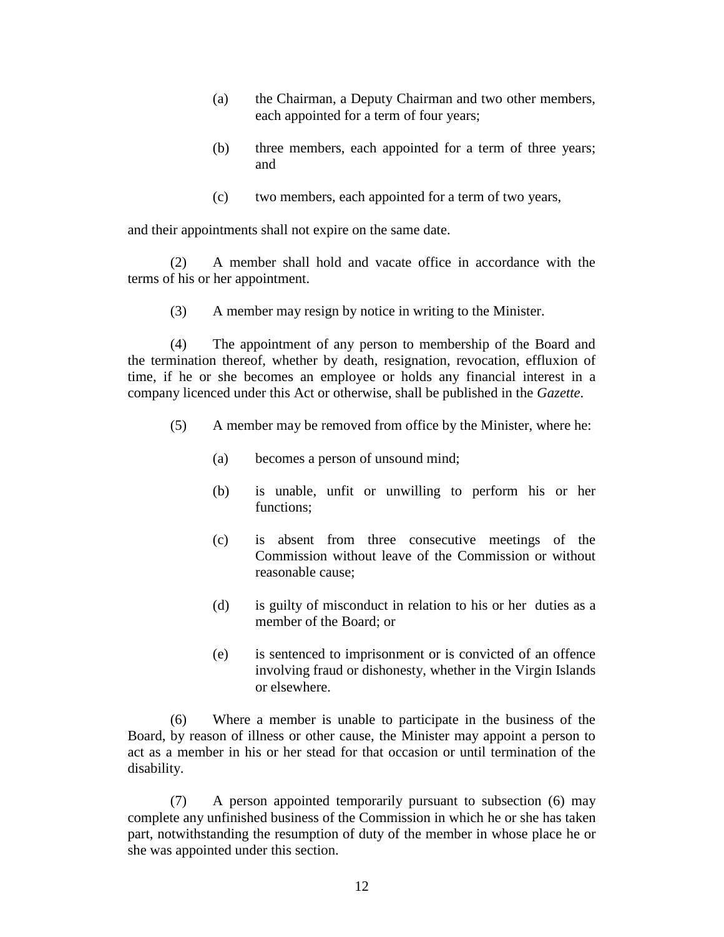- (a) the Chairman, a Deputy Chairman and two other members, each appointed for a term of four years;
- (b) three members, each appointed for a term of three years; and
- (c) two members, each appointed for a term of two years,

and their appointments shall not expire on the same date.

(2) A member shall hold and vacate office in accordance with the terms of his or her appointment.

(3) A member may resign by notice in writing to the Minister.

(4) The appointment of any person to membership of the Board and the termination thereof, whether by death, resignation, revocation, effluxion of time, if he or she becomes an employee or holds any financial interest in a company licenced under this Act or otherwise, shall be published in the *Gazette*.

- (5) A member may be removed from office by the Minister, where he:
	- (a) becomes a person of unsound mind;
	- (b) is unable, unfit or unwilling to perform his or her functions;
	- (c) is absent from three consecutive meetings of the Commission without leave of the Commission or without reasonable cause;
	- (d) is guilty of misconduct in relation to his or her duties as a member of the Board; or
	- (e) is sentenced to imprisonment or is convicted of an offence involving fraud or dishonesty, whether in the Virgin Islands or elsewhere.

(6) Where a member is unable to participate in the business of the Board, by reason of illness or other cause, the Minister may appoint a person to act as a member in his or her stead for that occasion or until termination of the disability.

(7) A person appointed temporarily pursuant to subsection (6) may complete any unfinished business of the Commission in which he or she has taken part, notwithstanding the resumption of duty of the member in whose place he or she was appointed under this section.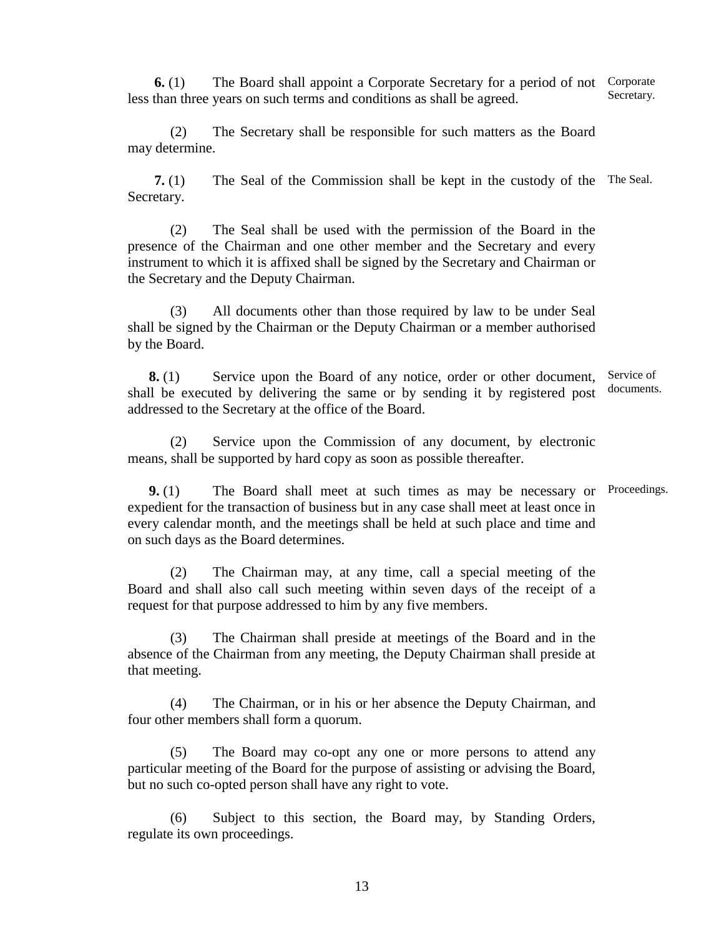**6.** (1) The Board shall appoint a Corporate Secretary for a period of not Corporate less than three years on such terms and conditions as shall be agreed. Secretary.

(2) The Secretary shall be responsible for such matters as the Board may determine.

**7.** (1) The Seal of the Commission shall be kept in the custody of the The Seal. Secretary.

(2) The Seal shall be used with the permission of the Board in the presence of the Chairman and one other member and the Secretary and every instrument to which it is affixed shall be signed by the Secretary and Chairman or the Secretary and the Deputy Chairman.

(3) All documents other than those required by law to be under Seal shall be signed by the Chairman or the Deputy Chairman or a member authorised by the Board.

**8.** (1) Service upon the Board of any notice, order or other document, shall be executed by delivering the same or by sending it by registered post addressed to the Secretary at the office of the Board. Service of documents.

(2) Service upon the Commission of any document, by electronic means, shall be supported by hard copy as soon as possible thereafter.

**9.** (1) The Board shall meet at such times as may be necessary or Proceedings.expedient for the transaction of business but in any case shall meet at least once in every calendar month, and the meetings shall be held at such place and time and on such days as the Board determines.

(2) The Chairman may, at any time, call a special meeting of the Board and shall also call such meeting within seven days of the receipt of a request for that purpose addressed to him by any five members.

(3) The Chairman shall preside at meetings of the Board and in the absence of the Chairman from any meeting, the Deputy Chairman shall preside at that meeting.

(4) The Chairman, or in his or her absence the Deputy Chairman, and four other members shall form a quorum.

(5) The Board may co-opt any one or more persons to attend any particular meeting of the Board for the purpose of assisting or advising the Board, but no such co-opted person shall have any right to vote.

(6) Subject to this section, the Board may, by Standing Orders, regulate its own proceedings.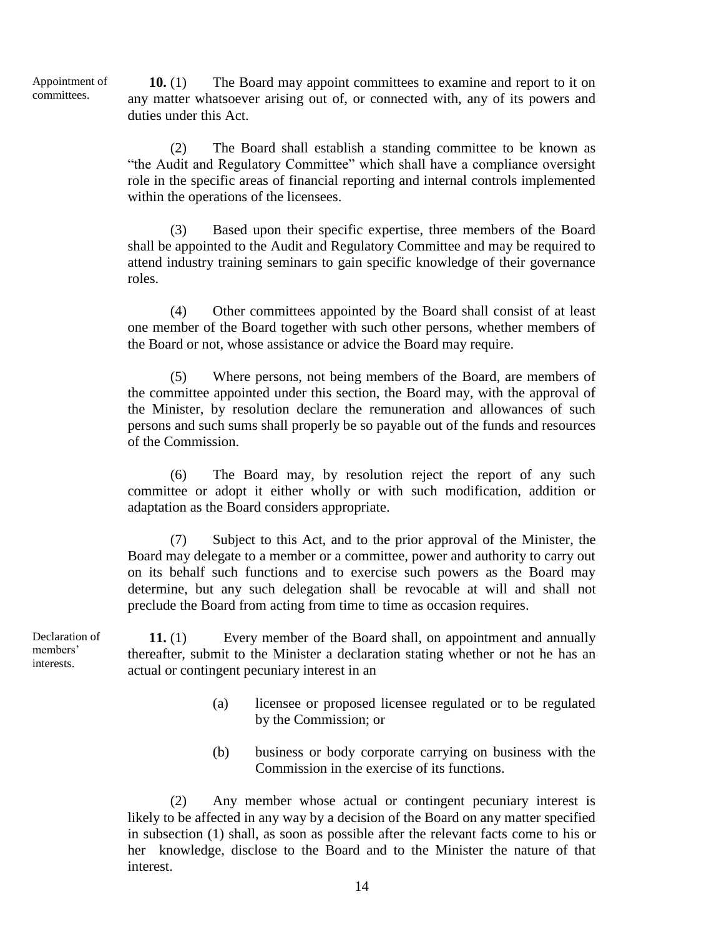Appointment of committees.

**10.** (1) The Board may appoint committees to examine and report to it on any matter whatsoever arising out of, or connected with, any of its powers and duties under this Act.

(2) The Board shall establish a standing committee to be known as "the Audit and Regulatory Committee" which shall have a compliance oversight role in the specific areas of financial reporting and internal controls implemented within the operations of the licensees.

(3) Based upon their specific expertise, three members of the Board shall be appointed to the Audit and Regulatory Committee and may be required to attend industry training seminars to gain specific knowledge of their governance roles.

(4) Other committees appointed by the Board shall consist of at least one member of the Board together with such other persons, whether members of the Board or not, whose assistance or advice the Board may require.

(5) Where persons, not being members of the Board, are members of the committee appointed under this section, the Board may, with the approval of the Minister, by resolution declare the remuneration and allowances of such persons and such sums shall properly be so payable out of the funds and resources of the Commission.

(6) The Board may, by resolution reject the report of any such committee or adopt it either wholly or with such modification, addition or adaptation as the Board considers appropriate.

(7) Subject to this Act, and to the prior approval of the Minister, the Board may delegate to a member or a committee, power and authority to carry out on its behalf such functions and to exercise such powers as the Board may determine, but any such delegation shall be revocable at will and shall not preclude the Board from acting from time to time as occasion requires.

Declaration of members' interests.

**11.** (1) Every member of the Board shall, on appointment and annually thereafter, submit to the Minister a declaration stating whether or not he has an actual or contingent pecuniary interest in an

- (a) licensee or proposed licensee regulated or to be regulated by the Commission; or
- (b) business or body corporate carrying on business with the Commission in the exercise of its functions.

(2) Any member whose actual or contingent pecuniary interest is likely to be affected in any way by a decision of the Board on any matter specified in subsection (1) shall, as soon as possible after the relevant facts come to his or her knowledge, disclose to the Board and to the Minister the nature of that interest.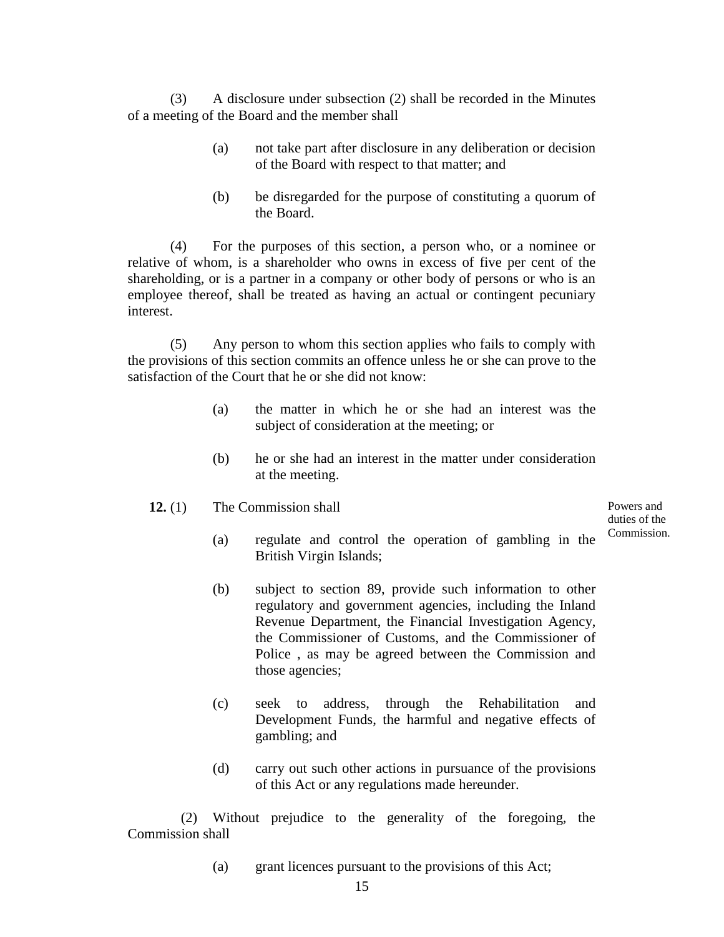(3) A disclosure under subsection (2) shall be recorded in the Minutes of a meeting of the Board and the member shall

- (a) not take part after disclosure in any deliberation or decision of the Board with respect to that matter; and
- (b) be disregarded for the purpose of constituting a quorum of the Board.

(4) For the purposes of this section, a person who, or a nominee or relative of whom, is a shareholder who owns in excess of five per cent of the shareholding, or is a partner in a company or other body of persons or who is an employee thereof, shall be treated as having an actual or contingent pecuniary interest.

(5) Any person to whom this section applies who fails to comply with the provisions of this section commits an offence unless he or she can prove to the satisfaction of the Court that he or she did not know:

- (a) the matter in which he or she had an interest was the subject of consideration at the meeting; or
- (b) he or she had an interest in the matter under consideration at the meeting.
- **12.** (1) The Commission shall

Powers and duties of the Commission.

- (a) regulate and control the operation of gambling in the British Virgin Islands;
- (b) subject to section 89, provide such information to other regulatory and government agencies, including the Inland Revenue Department, the Financial Investigation Agency, the Commissioner of Customs, and the Commissioner of Police , as may be agreed between the Commission and those agencies;
- (c) seek to address, through the Rehabilitation and Development Funds, the harmful and negative effects of gambling; and
- (d) carry out such other actions in pursuance of the provisions of this Act or any regulations made hereunder.

(2) Without prejudice to the generality of the foregoing, the Commission shall

(a) grant licences pursuant to the provisions of this Act;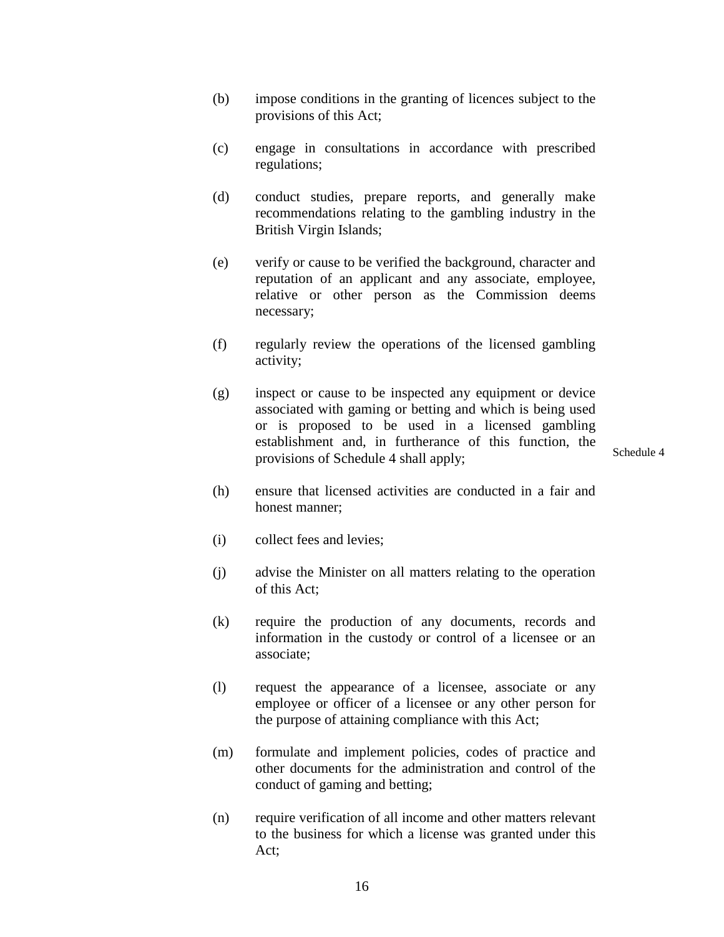- (b) impose conditions in the granting of licences subject to the provisions of this Act;
- (c) engage in consultations in accordance with prescribed regulations;
- (d) conduct studies, prepare reports, and generally make recommendations relating to the gambling industry in the British Virgin Islands;
- (e) verify or cause to be verified the background, character and reputation of an applicant and any associate, employee, relative or other person as the Commission deems necessary;
- (f) regularly review the operations of the licensed gambling activity;
- (g) inspect or cause to be inspected any equipment or device associated with gaming or betting and which is being used or is proposed to be used in a licensed gambling establishment and, in furtherance of this function, the provisions of Schedule 4 shall apply;

Schedule 4

- (h) ensure that licensed activities are conducted in a fair and honest manner;
- (i) collect fees and levies;
- (j) advise the Minister on all matters relating to the operation of this Act;
- (k) require the production of any documents, records and information in the custody or control of a licensee or an associate;
- (l) request the appearance of a licensee, associate or any employee or officer of a licensee or any other person for the purpose of attaining compliance with this Act;
- (m) formulate and implement policies, codes of practice and other documents for the administration and control of the conduct of gaming and betting;
- (n) require verification of all income and other matters relevant to the business for which a license was granted under this Act;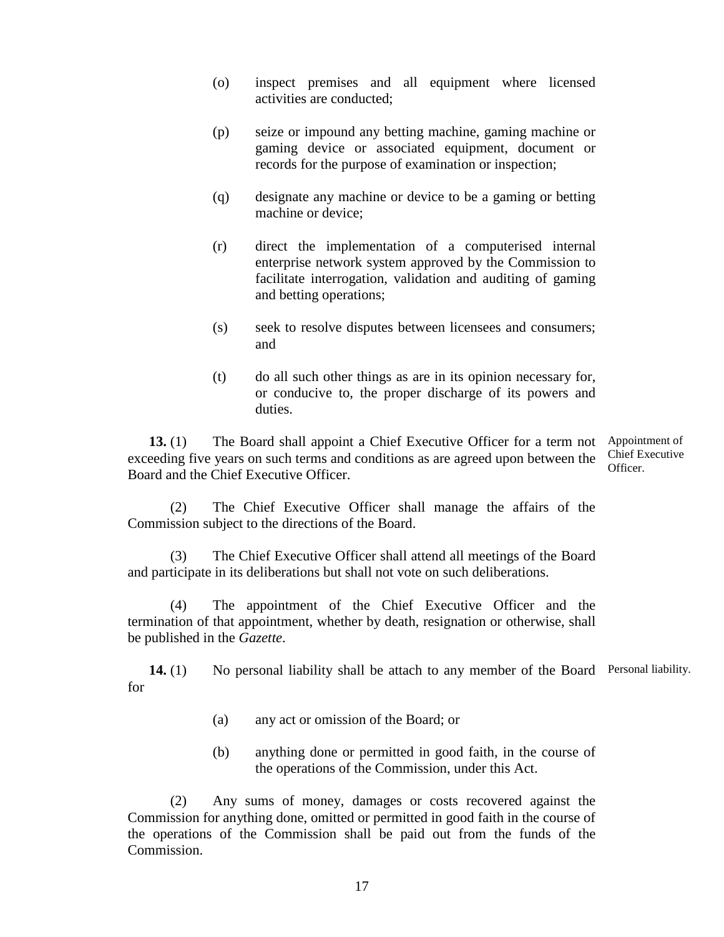- (o) inspect premises and all equipment where licensed activities are conducted;
- (p) seize or impound any betting machine, gaming machine or gaming device or associated equipment, document or records for the purpose of examination or inspection;
- (q) designate any machine or device to be a gaming or betting machine or device;
- (r) direct the implementation of a computerised internal enterprise network system approved by the Commission to facilitate interrogation, validation and auditing of gaming and betting operations;
- (s) seek to resolve disputes between licensees and consumers; and
- (t) do all such other things as are in its opinion necessary for, or conducive to, the proper discharge of its powers and duties.

13. (1) The Board shall appoint a Chief Executive Officer for a term not Appointment of exceeding five years on such terms and conditions as are agreed upon between the Board and the Chief Executive Officer. Chief Executive Officer.

(2) The Chief Executive Officer shall manage the affairs of the Commission subject to the directions of the Board.

(3) The Chief Executive Officer shall attend all meetings of the Board and participate in its deliberations but shall not vote on such deliberations.

(4) The appointment of the Chief Executive Officer and the termination of that appointment, whether by death, resignation or otherwise, shall be published in the *Gazette*.

14. (1) No personal liability shall be attach to any member of the Board Personal liability. for

- (a) any act or omission of the Board; or
- (b) anything done or permitted in good faith, in the course of the operations of the Commission, under this Act.

(2) Any sums of money, damages or costs recovered against the Commission for anything done, omitted or permitted in good faith in the course of the operations of the Commission shall be paid out from the funds of the Commission.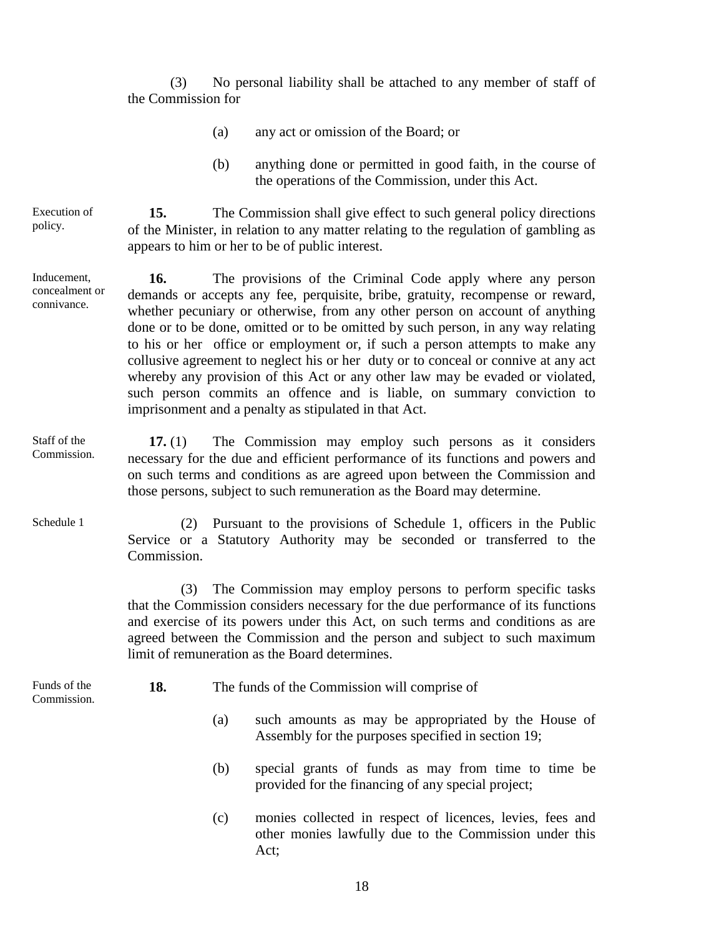(3) No personal liability shall be attached to any member of staff of the Commission for

- (a) any act or omission of the Board; or
- (b) anything done or permitted in good faith, in the course of the operations of the Commission, under this Act.

**15.** The Commission shall give effect to such general policy directions of the Minister, in relation to any matter relating to the regulation of gambling as appears to him or her to be of public interest. Execution of policy.

**16.** The provisions of the Criminal Code apply where any person demands or accepts any fee, perquisite, bribe, gratuity, recompense or reward, whether pecuniary or otherwise, from any other person on account of anything done or to be done, omitted or to be omitted by such person, in any way relating to his or her office or employment or, if such a person attempts to make any collusive agreement to neglect his or her duty or to conceal or connive at any act whereby any provision of this Act or any other law may be evaded or violated, such person commits an offence and is liable, on summary conviction to imprisonment and a penalty as stipulated in that Act. Inducement, concealment or connivance.

**17.** (1) The Commission may employ such persons as it considers necessary for the due and efficient performance of its functions and powers and on such terms and conditions as are agreed upon between the Commission and those persons, subject to such remuneration as the Board may determine. Staff of the Commission.

> (2) Pursuant to the provisions of Schedule 1, officers in the Public Service or a Statutory Authority may be seconded or transferred to the Commission.

(3) The Commission may employ persons to perform specific tasks that the Commission considers necessary for the due performance of its functions and exercise of its powers under this Act, on such terms and conditions as are agreed between the Commission and the person and subject to such maximum limit of remuneration as the Board determines.

Funds of the Commission.

Schedule 1

**18.** The funds of the Commission will comprise of

- (a) such amounts as may be appropriated by the House of Assembly for the purposes specified in section 19;
- (b) special grants of funds as may from time to time be provided for the financing of any special project;
- (c) monies collected in respect of licences, levies, fees and other monies lawfully due to the Commission under this Act;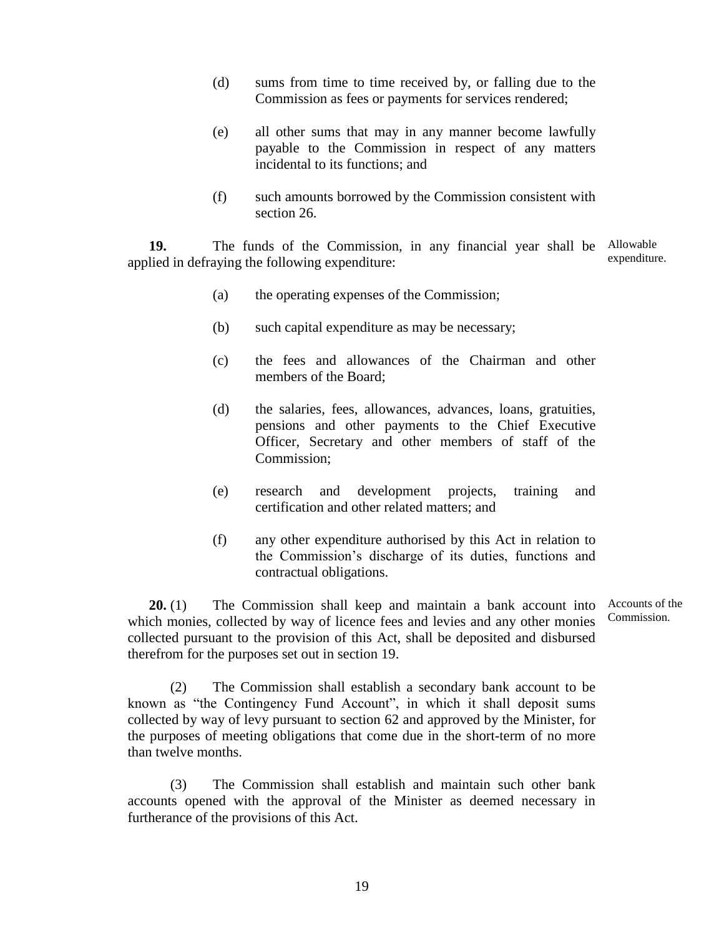- (d) sums from time to time received by, or falling due to the Commission as fees or payments for services rendered;
- (e) all other sums that may in any manner become lawfully payable to the Commission in respect of any matters incidental to its functions; and
- (f) such amounts borrowed by the Commission consistent with section 26.

**19.** The funds of the Commission, in any financial year shall be Allowable applied in defraying the following expenditure: expenditure.

- (a) the operating expenses of the Commission;
- (b) such capital expenditure as may be necessary;
- (c) the fees and allowances of the Chairman and other members of the Board;
- (d) the salaries, fees, allowances, advances, loans, gratuities, pensions and other payments to the Chief Executive Officer, Secretary and other members of staff of the Commission;
- (e) research and development projects, training and certification and other related matters; and
- (f) any other expenditure authorised by this Act in relation to the Commission's discharge of its duties, functions and contractual obligations.

**20.** (1) The Commission shall keep and maintain a bank account into Accounts of the which monies, collected by way of licence fees and levies and any other monies collected pursuant to the provision of this Act, shall be deposited and disbursed therefrom for the purposes set out in section 19.

Commission.

(2) The Commission shall establish a secondary bank account to be known as "the Contingency Fund Account", in which it shall deposit sums collected by way of levy pursuant to section 62 and approved by the Minister, for the purposes of meeting obligations that come due in the short-term of no more than twelve months.

(3) The Commission shall establish and maintain such other bank accounts opened with the approval of the Minister as deemed necessary in furtherance of the provisions of this Act.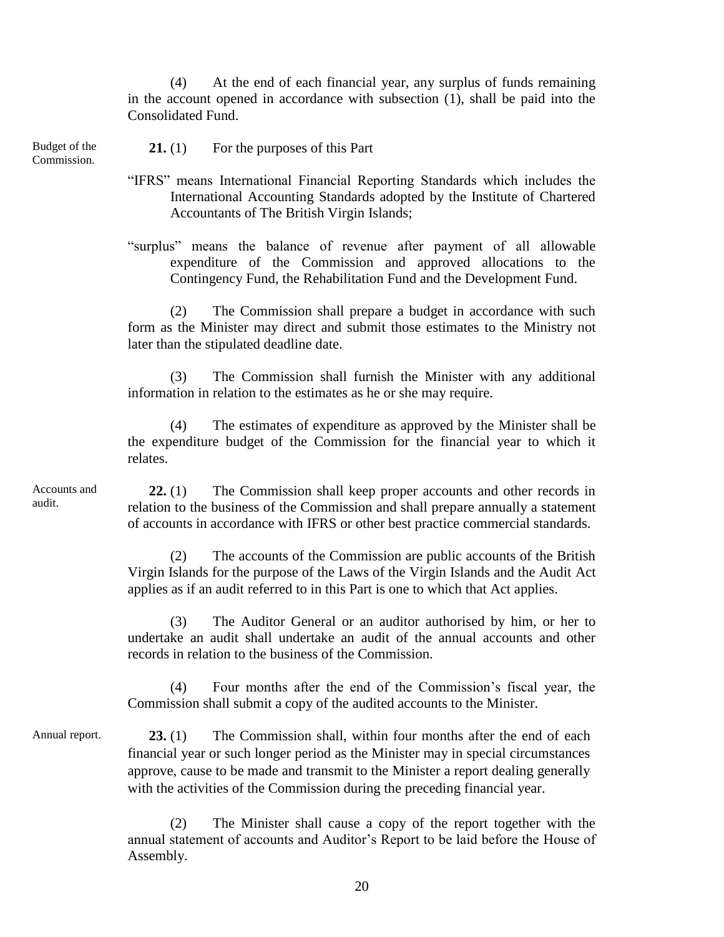(4) At the end of each financial year, any surplus of funds remaining in the account opened in accordance with subsection (1), shall be paid into the Consolidated Fund.

Budget of the Commission.

**21.** (1) For the purposes of this Part

"IFRS" means International Financial Reporting Standards which includes the International Accounting Standards adopted by the Institute of Chartered Accountants of The British Virgin Islands;

"surplus" means the balance of revenue after payment of all allowable expenditure of the Commission and approved allocations to the Contingency Fund, the Rehabilitation Fund and the Development Fund.

(2) The Commission shall prepare a budget in accordance with such form as the Minister may direct and submit those estimates to the Ministry not later than the stipulated deadline date.

(3) The Commission shall furnish the Minister with any additional information in relation to the estimates as he or she may require.

(4) The estimates of expenditure as approved by the Minister shall be the expenditure budget of the Commission for the financial year to which it relates.

Accounts and audit.

**22.** (1) The Commission shall keep proper accounts and other records in relation to the business of the Commission and shall prepare annually a statement of accounts in accordance with IFRS or other best practice commercial standards.

(2) The accounts of the Commission are public accounts of the British Virgin Islands for the purpose of the Laws of the Virgin Islands and the Audit Act applies as if an audit referred to in this Part is one to which that Act applies.

(3) The Auditor General or an auditor authorised by him, or her to undertake an audit shall undertake an audit of the annual accounts and other records in relation to the business of the Commission.

(4) Four months after the end of the Commission's fiscal year, the Commission shall submit a copy of the audited accounts to the Minister.

**23.** (1) The Commission shall, within four months after the end of each financial year or such longer period as the Minister may in special circumstances approve, cause to be made and transmit to the Minister a report dealing generally with the activities of the Commission during the preceding financial year. Annual report.

> (2) The Minister shall cause a copy of the report together with the annual statement of accounts and Auditor's Report to be laid before the House of Assembly.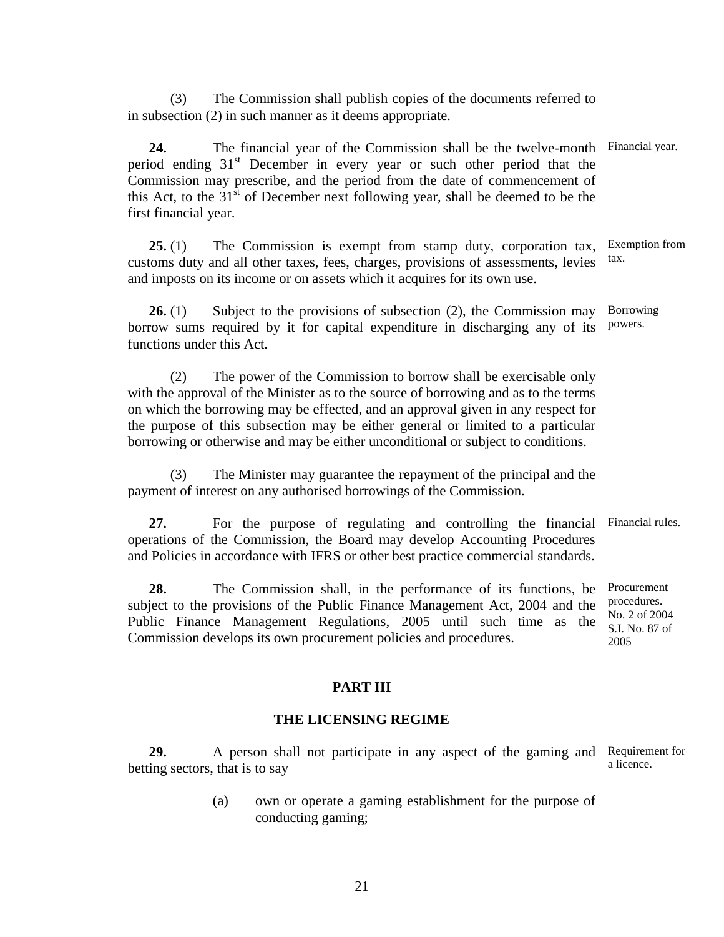(3) The Commission shall publish copies of the documents referred to in subsection (2) in such manner as it deems appropriate.

**24.** The financial year of the Commission shall be the twelve-month Financial year. period ending  $31<sup>st</sup>$  December in every year or such other period that the Commission may prescribe, and the period from the date of commencement of this Act, to the  $31<sup>st</sup>$  of December next following year, shall be deemed to be the first financial year.

**25.** (1) The Commission is exempt from stamp duty, corporation tax, customs duty and all other taxes, fees, charges, provisions of assessments, levies and imposts on its income or on assets which it acquires for its own use. Exemption from tax.

**26.** (1) Subject to the provisions of subsection (2), the Commission may borrow sums required by it for capital expenditure in discharging any of its functions under this Act. Borrowing powers.

(2) The power of the Commission to borrow shall be exercisable only with the approval of the Minister as to the source of borrowing and as to the terms on which the borrowing may be effected, and an approval given in any respect for the purpose of this subsection may be either general or limited to a particular borrowing or otherwise and may be either unconditional or subject to conditions.

(3) The Minister may guarantee the repayment of the principal and the payment of interest on any authorised borrowings of the Commission.

27. For the purpose of regulating and controlling the financial Financial rules. operations of the Commission, the Board may develop Accounting Procedures and Policies in accordance with IFRS or other best practice commercial standards.

**28.** The Commission shall, in the performance of its functions, be subject to the provisions of the Public Finance Management Act, 2004 and the Public Finance Management Regulations, 2005 until such time as the Commission develops its own procurement policies and procedures. Procurement procedures. No. 2 of 2004 S.I. No. 87 of 2005

#### **PART III**

#### **THE LICENSING REGIME**

**29.** A person shall not participate in any aspect of the gaming and Requirement for betting sectors, that is to say a licence.

> (a) own or operate a gaming establishment for the purpose of conducting gaming;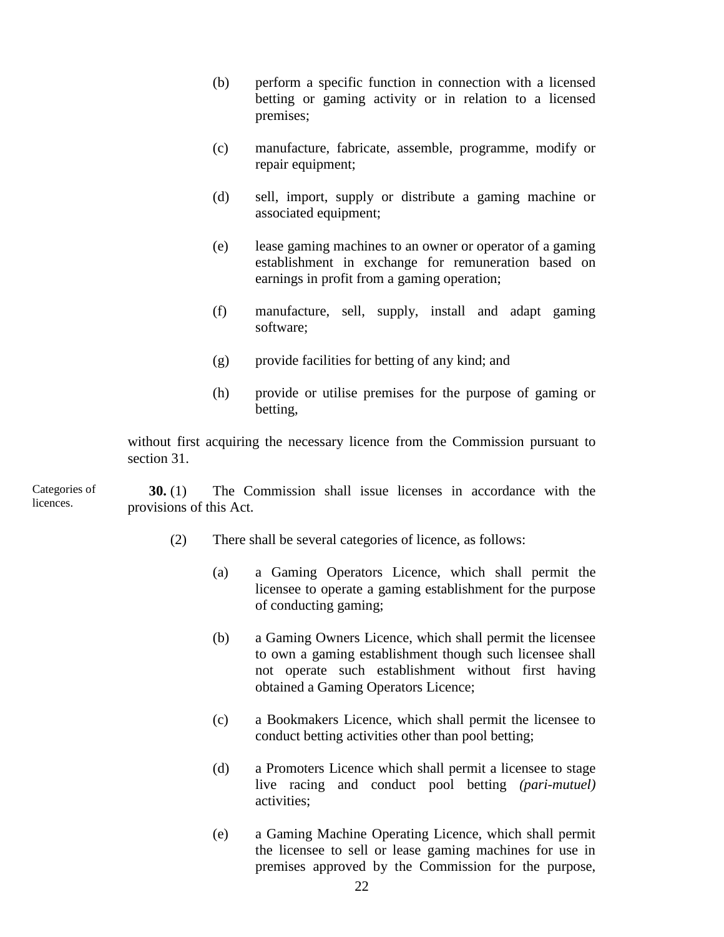- (b) perform a specific function in connection with a licensed betting or gaming activity or in relation to a licensed premises;
- (c) manufacture, fabricate, assemble, programme, modify or repair equipment;
- (d) sell, import, supply or distribute a gaming machine or associated equipment;
- (e) lease gaming machines to an owner or operator of a gaming establishment in exchange for remuneration based on earnings in profit from a gaming operation;
- (f) manufacture, sell, supply, install and adapt gaming software;
- (g) provide facilities for betting of any kind; and
- (h) provide or utilise premises for the purpose of gaming or betting,

without first acquiring the necessary licence from the Commission pursuant to section 31.

**30.** (1) The Commission shall issue licenses in accordance with the provisions of this Act. Categories of licences.

- (2) There shall be several categories of licence, as follows:
	- (a) a Gaming Operators Licence, which shall permit the licensee to operate a gaming establishment for the purpose of conducting gaming;
	- (b) a Gaming Owners Licence, which shall permit the licensee to own a gaming establishment though such licensee shall not operate such establishment without first having obtained a Gaming Operators Licence;
	- (c) a Bookmakers Licence, which shall permit the licensee to conduct betting activities other than pool betting;
	- (d) a Promoters Licence which shall permit a licensee to stage live racing and conduct pool betting *(pari-mutuel)* activities;
	- (e) a Gaming Machine Operating Licence, which shall permit the licensee to sell or lease gaming machines for use in premises approved by the Commission for the purpose,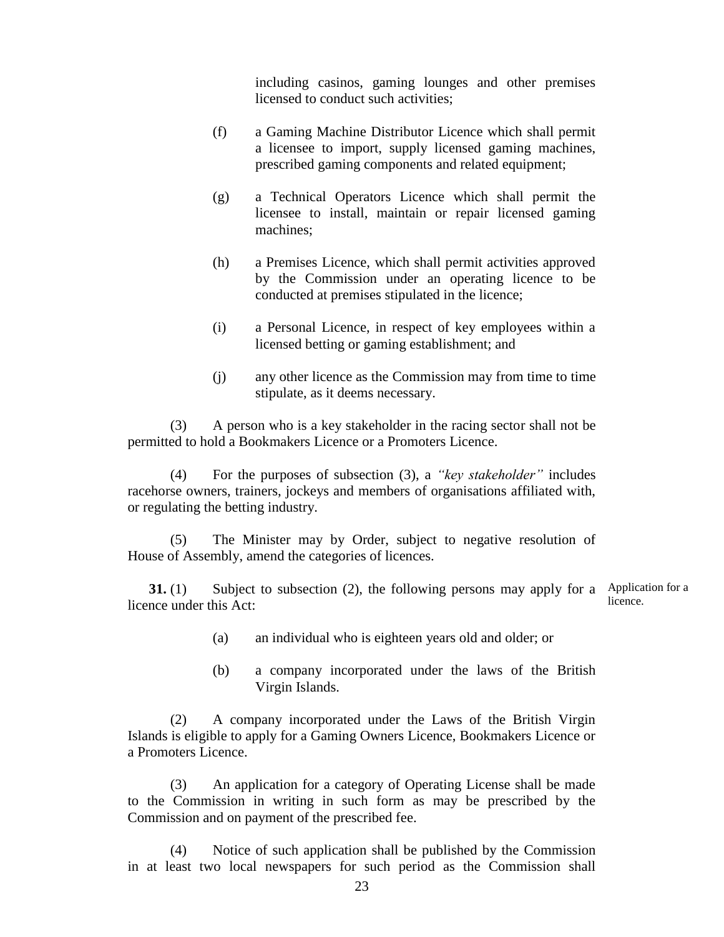including casinos, gaming lounges and other premises licensed to conduct such activities;

- (f) a Gaming Machine Distributor Licence which shall permit a licensee to import, supply licensed gaming machines, prescribed gaming components and related equipment;
- (g) a Technical Operators Licence which shall permit the licensee to install, maintain or repair licensed gaming machines;
- (h) a Premises Licence, which shall permit activities approved by the Commission under an operating licence to be conducted at premises stipulated in the licence;
- (i) a Personal Licence, in respect of key employees within a licensed betting or gaming establishment; and
- (j) any other licence as the Commission may from time to time stipulate, as it deems necessary.

(3) A person who is a key stakeholder in the racing sector shall not be permitted to hold a Bookmakers Licence or a Promoters Licence.

(4) For the purposes of subsection (3), a *"key stakeholder"* includes racehorse owners, trainers, jockeys and members of organisations affiliated with, or regulating the betting industry.

(5) The Minister may by Order, subject to negative resolution of House of Assembly, amend the categories of licences.

**31.** (1) Subject to subsection (2), the following persons may apply for a Application for a licence under this Act: licence.

- (a) an individual who is eighteen years old and older; or
- (b) a company incorporated under the laws of the British Virgin Islands.

(2) A company incorporated under the Laws of the British Virgin Islands is eligible to apply for a Gaming Owners Licence, Bookmakers Licence or a Promoters Licence.

(3) An application for a category of Operating License shall be made to the Commission in writing in such form as may be prescribed by the Commission and on payment of the prescribed fee.

(4) Notice of such application shall be published by the Commission in at least two local newspapers for such period as the Commission shall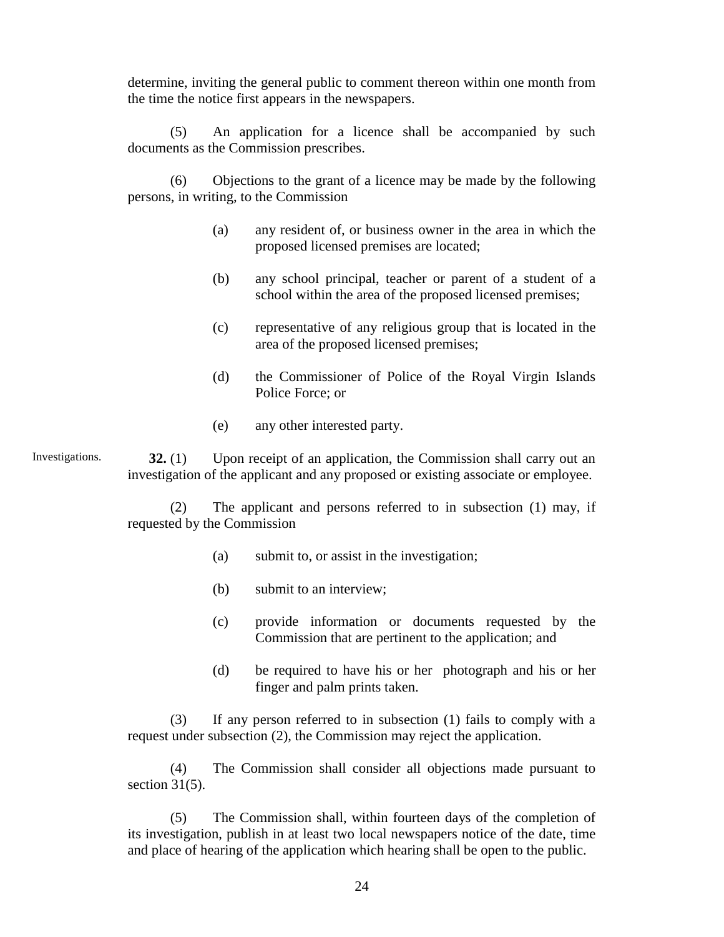determine, inviting the general public to comment thereon within one month from the time the notice first appears in the newspapers.

(5) An application for a licence shall be accompanied by such documents as the Commission prescribes.

(6) Objections to the grant of a licence may be made by the following persons, in writing, to the Commission

- (a) any resident of, or business owner in the area in which the proposed licensed premises are located;
- (b) any school principal, teacher or parent of a student of a school within the area of the proposed licensed premises;
- (c) representative of any religious group that is located in the area of the proposed licensed premises;
- (d) the Commissioner of Police of the Royal Virgin Islands Police Force; or
- (e) any other interested party.

**32.** (1) Upon receipt of an application, the Commission shall carry out an investigation of the applicant and any proposed or existing associate or employee. Investigations.

> (2) The applicant and persons referred to in subsection (1) may, if requested by the Commission

- (a) submit to, or assist in the investigation;
- (b) submit to an interview;
- (c) provide information or documents requested by the Commission that are pertinent to the application; and
- (d) be required to have his or her photograph and his or her finger and palm prints taken.

(3) If any person referred to in subsection (1) fails to comply with a request under subsection (2), the Commission may reject the application.

(4) The Commission shall consider all objections made pursuant to section  $31(5)$ .

(5) The Commission shall, within fourteen days of the completion of its investigation, publish in at least two local newspapers notice of the date, time and place of hearing of the application which hearing shall be open to the public.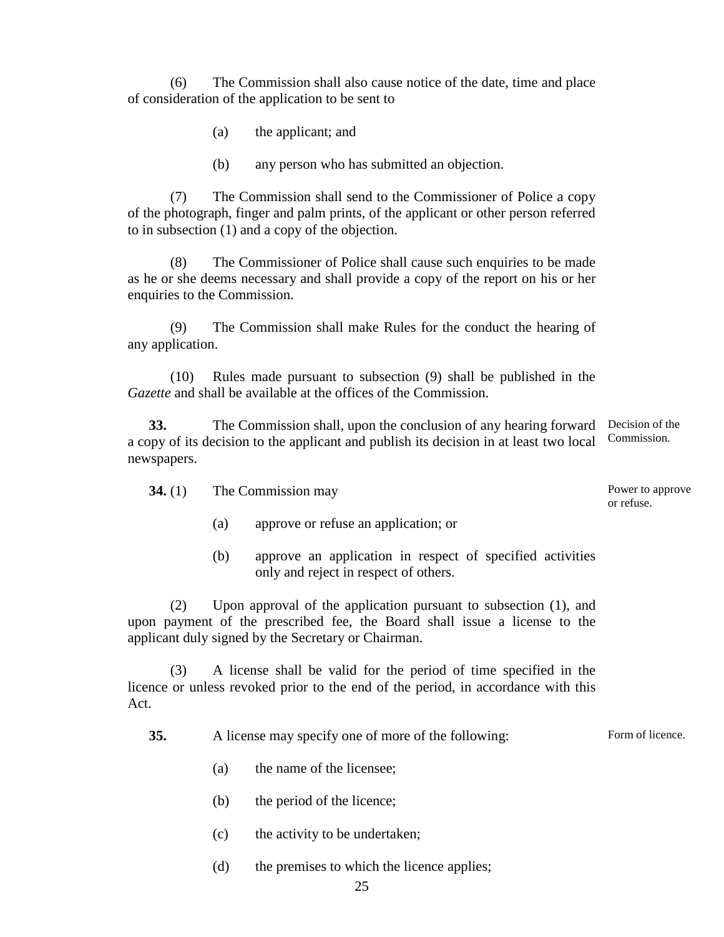(6) The Commission shall also cause notice of the date, time and place of consideration of the application to be sent to

(a) the applicant; and

(b) any person who has submitted an objection.

(7) The Commission shall send to the Commissioner of Police a copy of the photograph, finger and palm prints, of the applicant or other person referred to in subsection (1) and a copy of the objection.

(8) The Commissioner of Police shall cause such enquiries to be made as he or she deems necessary and shall provide a copy of the report on his or her enquiries to the Commission.

(9) The Commission shall make Rules for the conduct the hearing of any application.

(10) Rules made pursuant to subsection (9) shall be published in the *Gazette* and shall be available at the offices of the Commission.

**33.** The Commission shall, upon the conclusion of any hearing forward Decision of the a copy of its decision to the applicant and publish its decision in at least two local newspapers. Commission.

| 34. $(1)$ | The Commission may |
|-----------|--------------------|
|-----------|--------------------|

- (a) approve or refuse an application; or
- (b) approve an application in respect of specified activities only and reject in respect of others.

(2) Upon approval of the application pursuant to subsection (1), and upon payment of the prescribed fee, the Board shall issue a license to the applicant duly signed by the Secretary or Chairman.

(3) A license shall be valid for the period of time specified in the licence or unless revoked prior to the end of the period, in accordance with this Act.

**35.** A license may specify one of more of the following:

- (a) the name of the licensee;
- (b) the period of the licence;
- (c) the activity to be undertaken;
- (d) the premises to which the licence applies;

Power to approve or refuse.

Form of licence.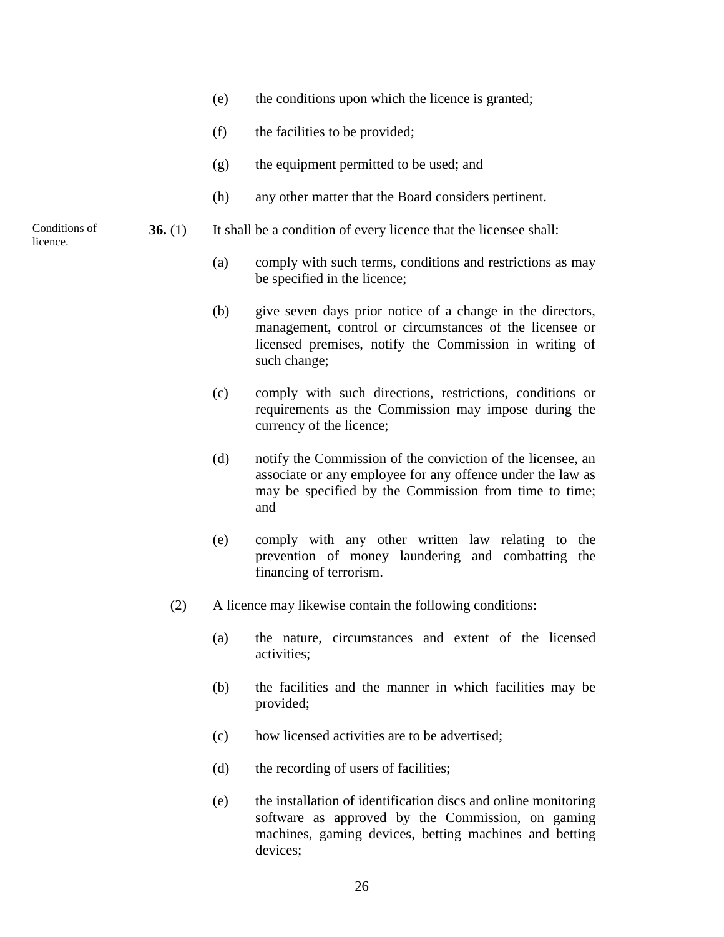- (e) the conditions upon which the licence is granted;
- (f) the facilities to be provided;
- (g) the equipment permitted to be used; and
- (h) any other matter that the Board considers pertinent.
- **36.** (1) It shall be a condition of every licence that the licensee shall:
	- (a) comply with such terms, conditions and restrictions as may be specified in the licence;
	- (b) give seven days prior notice of a change in the directors, management, control or circumstances of the licensee or licensed premises, notify the Commission in writing of such change;
	- (c) comply with such directions, restrictions, conditions or requirements as the Commission may impose during the currency of the licence;
	- (d) notify the Commission of the conviction of the licensee, an associate or any employee for any offence under the law as may be specified by the Commission from time to time; and
	- (e) comply with any other written law relating to the prevention of money laundering and combatting the financing of terrorism.
	- (2) A licence may likewise contain the following conditions:
		- (a) the nature, circumstances and extent of the licensed activities;
		- (b) the facilities and the manner in which facilities may be provided;
		- (c) how licensed activities are to be advertised;
		- (d) the recording of users of facilities;
		- (e) the installation of identification discs and online monitoring software as approved by the Commission, on gaming machines, gaming devices, betting machines and betting devices;

Conditions of licence.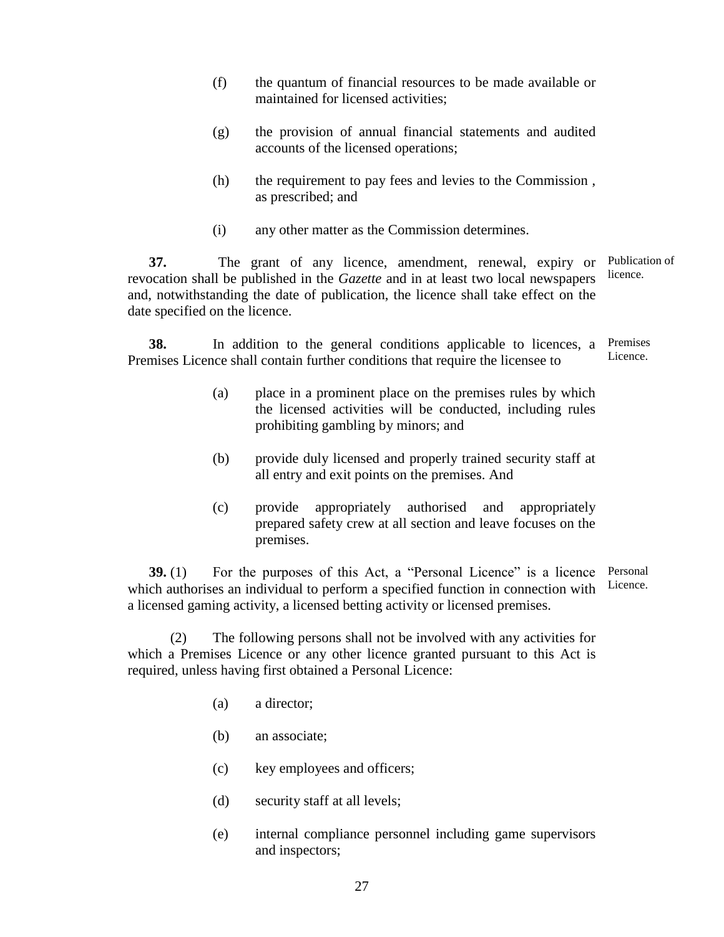- (f) the quantum of financial resources to be made available or maintained for licensed activities;
- (g) the provision of annual financial statements and audited accounts of the licensed operations;
- (h) the requirement to pay fees and levies to the Commission , as prescribed; and
- (i) any other matter as the Commission determines.

**37.** The grant of any licence, amendment, renewal, expiry or revocation shall be published in the *Gazette* and in at least two local newspapers and, notwithstanding the date of publication, the licence shall take effect on the date specified on the licence. Publication of licence.

**38.** In addition to the general conditions applicable to licences, a Premises Licence shall contain further conditions that require the licensee to Premises Licence.

- (a) place in a prominent place on the premises rules by which the licensed activities will be conducted, including rules prohibiting gambling by minors; and
- (b) provide duly licensed and properly trained security staff at all entry and exit points on the premises. And
- (c) provide appropriately authorised and appropriately prepared safety crew at all section and leave focuses on the premises.

**39.** (1) For the purposes of this Act, a "Personal Licence" is a licence Personal which authorises an individual to perform a specified function in connection with a licensed gaming activity, a licensed betting activity or licensed premises. Licence.

(2) The following persons shall not be involved with any activities for which a Premises Licence or any other licence granted pursuant to this Act is required, unless having first obtained a Personal Licence:

- (a) a director;
- (b) an associate;
- (c) key employees and officers;
- (d) security staff at all levels;
- (e) internal compliance personnel including game supervisors and inspectors;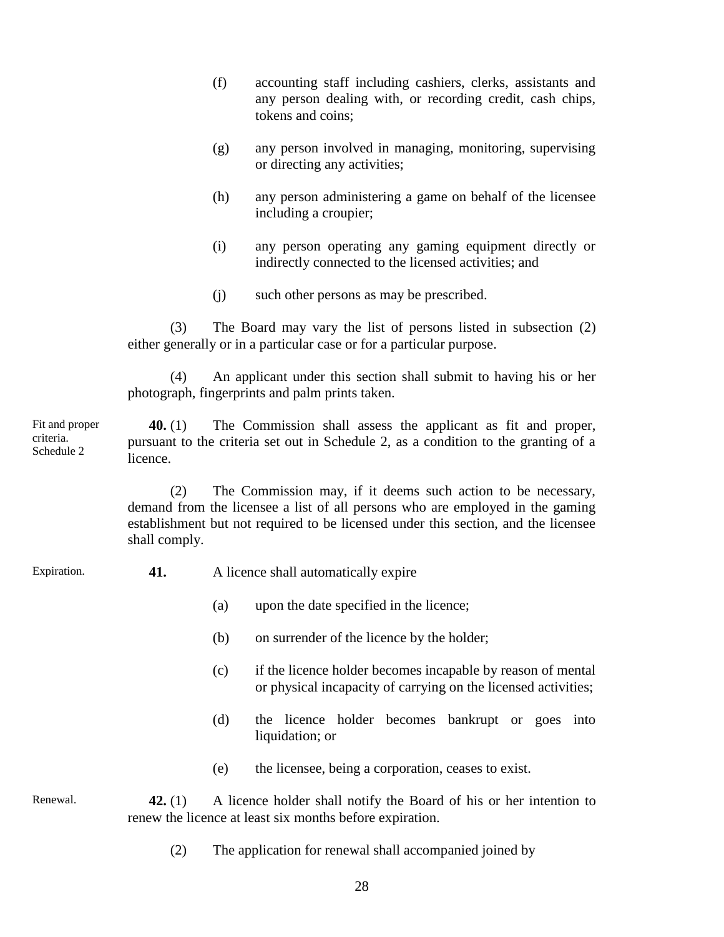- (f) accounting staff including cashiers, clerks, assistants and any person dealing with, or recording credit, cash chips, tokens and coins;
- (g) any person involved in managing, monitoring, supervising or directing any activities;
- (h) any person administering a game on behalf of the licensee including a croupier;
- (i) any person operating any gaming equipment directly or indirectly connected to the licensed activities; and
- (j) such other persons as may be prescribed.

(3) The Board may vary the list of persons listed in subsection (2) either generally or in a particular case or for a particular purpose.

(4) An applicant under this section shall submit to having his or her photograph, fingerprints and palm prints taken.

**40.** (1) The Commission shall assess the applicant as fit and proper, pursuant to the criteria set out in Schedule 2, as a condition to the granting of a licence. Fit and proper criteria. Schedule 2

> (2) The Commission may, if it deems such action to be necessary, demand from the licensee a list of all persons who are employed in the gaming establishment but not required to be licensed under this section, and the licensee shall comply.

Expiration.

**41.** A licence shall automatically expire

- (a) upon the date specified in the licence;
- (b) on surrender of the licence by the holder;
- (c) if the licence holder becomes incapable by reason of mental or physical incapacity of carrying on the licensed activities;
- (d) the licence holder becomes bankrupt or goes into liquidation; or
- (e) the licensee, being a corporation, ceases to exist.

**42.** (1) A licence holder shall notify the Board of his or her intention to renew the licence at least six months before expiration. Renewal.

(2) The application for renewal shall accompanied joined by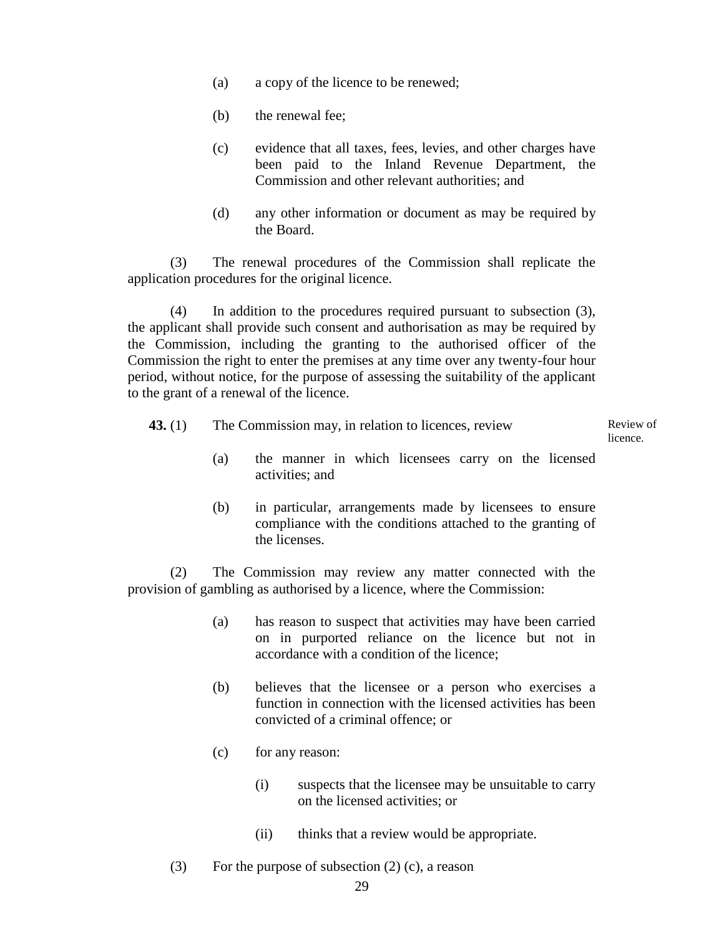- (a) a copy of the licence to be renewed;
- (b) the renewal fee;
- (c) evidence that all taxes, fees, levies, and other charges have been paid to the Inland Revenue Department, the Commission and other relevant authorities; and
- (d) any other information or document as may be required by the Board.

(3) The renewal procedures of the Commission shall replicate the application procedures for the original licence.

(4) In addition to the procedures required pursuant to subsection (3), the applicant shall provide such consent and authorisation as may be required by the Commission, including the granting to the authorised officer of the Commission the right to enter the premises at any time over any twenty-four hour period, without notice, for the purpose of assessing the suitability of the applicant to the grant of a renewal of the licence.

| 43. $(1)$ | The Commission may, in relation to licences, review |                                                                        |  |  |  |
|-----------|-----------------------------------------------------|------------------------------------------------------------------------|--|--|--|
|           | (a)                                                 | the manner in which licensees carry on the licensed<br>activities; and |  |  |  |
|           | (h)                                                 | in particular, arrangements made by licensees to ensure                |  |  |  |

compliance with the conditions attached to the granting of the licenses.

(2) The Commission may review any matter connected with the provision of gambling as authorised by a licence, where the Commission:

- (a) has reason to suspect that activities may have been carried on in purported reliance on the licence but not in accordance with a condition of the licence;
- (b) believes that the licensee or a person who exercises a function in connection with the licensed activities has been convicted of a criminal offence; or
- (c) for any reason:
	- (i) suspects that the licensee may be unsuitable to carry on the licensed activities; or
	- (ii) thinks that a review would be appropriate.
- (3) For the purpose of subsection (2) (c), a reason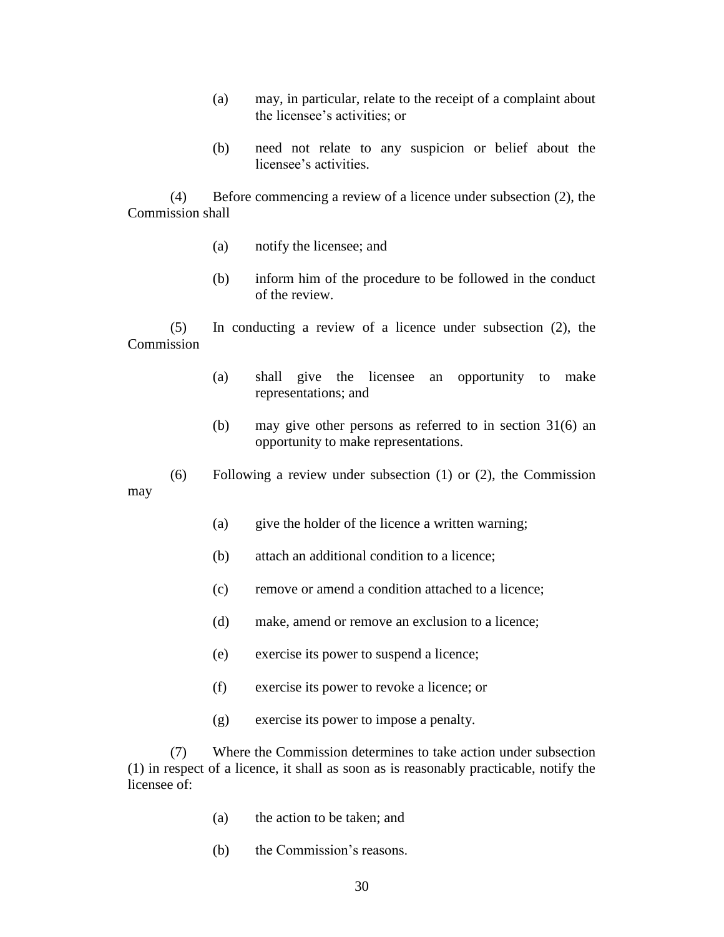- (a) may, in particular, relate to the receipt of a complaint about the licensee's activities; or
- (b) need not relate to any suspicion or belief about the licensee's activities.

(4) Before commencing a review of a licence under subsection (2), the Commission shall

- (a) notify the licensee; and
- (b) inform him of the procedure to be followed in the conduct of the review.

(5) In conducting a review of a licence under subsection (2), the **Commission** 

- (a) shall give the licensee an opportunity to make representations; and
- (b) may give other persons as referred to in section 31(6) an opportunity to make representations.
- (6) Following a review under subsection (1) or (2), the Commission may
	- (a) give the holder of the licence a written warning;
	- (b) attach an additional condition to a licence;
	- (c) remove or amend a condition attached to a licence;
	- (d) make, amend or remove an exclusion to a licence;
	- (e) exercise its power to suspend a licence;
	- (f) exercise its power to revoke a licence; or
	- (g) exercise its power to impose a penalty.

(7) Where the Commission determines to take action under subsection (1) in respect of a licence, it shall as soon as is reasonably practicable, notify the licensee of:

- (a) the action to be taken; and
- (b) the Commission's reasons.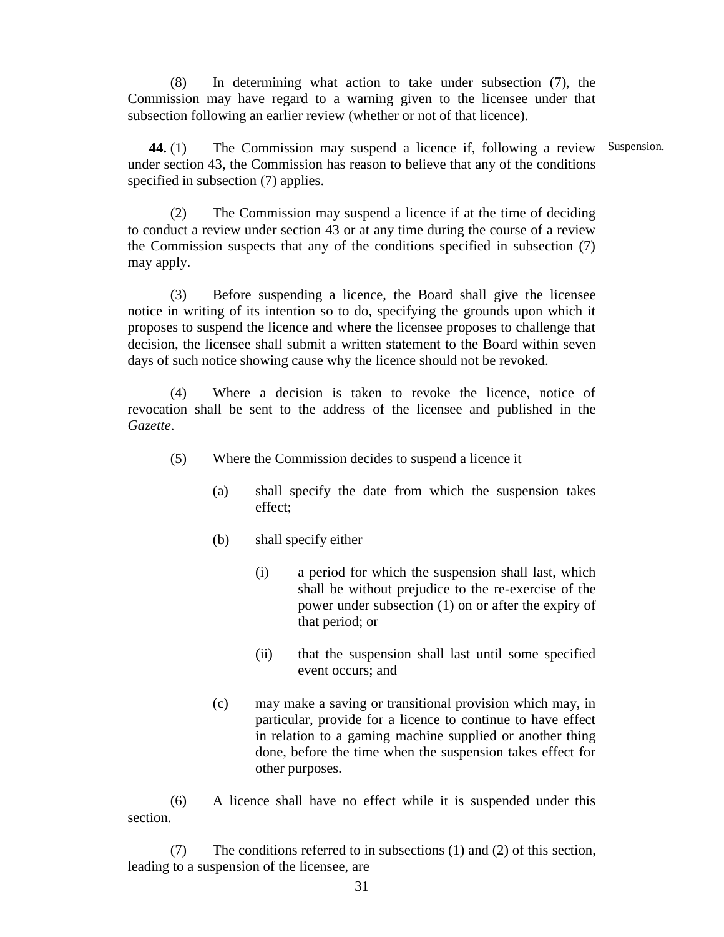(8) In determining what action to take under subsection (7), the Commission may have regard to a warning given to the licensee under that subsection following an earlier review (whether or not of that licence).

**44.** (1) The Commission may suspend a licence if, following a review Suspension.under section 43, the Commission has reason to believe that any of the conditions specified in subsection (7) applies.

(2) The Commission may suspend a licence if at the time of deciding to conduct a review under section 43 or at any time during the course of a review the Commission suspects that any of the conditions specified in subsection (7) may apply.

(3) Before suspending a licence, the Board shall give the licensee notice in writing of its intention so to do, specifying the grounds upon which it proposes to suspend the licence and where the licensee proposes to challenge that decision, the licensee shall submit a written statement to the Board within seven days of such notice showing cause why the licence should not be revoked.

(4) Where a decision is taken to revoke the licence, notice of revocation shall be sent to the address of the licensee and published in the *Gazette*.

- (5) Where the Commission decides to suspend a licence it
	- (a) shall specify the date from which the suspension takes effect;
	- (b) shall specify either
		- (i) a period for which the suspension shall last, which shall be without prejudice to the re-exercise of the power under subsection (1) on or after the expiry of that period; or
		- (ii) that the suspension shall last until some specified event occurs; and
	- (c) may make a saving or transitional provision which may, in particular, provide for a licence to continue to have effect in relation to a gaming machine supplied or another thing done, before the time when the suspension takes effect for other purposes.

(6) A licence shall have no effect while it is suspended under this section.

(7) The conditions referred to in subsections (1) and (2) of this section, leading to a suspension of the licensee, are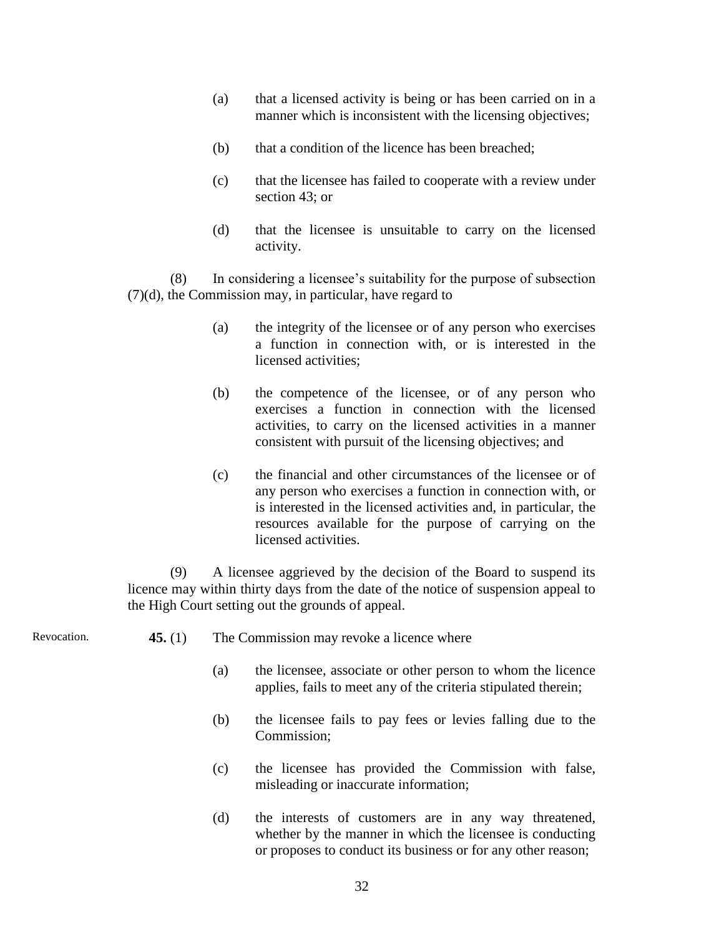- (a) that a licensed activity is being or has been carried on in a manner which is inconsistent with the licensing objectives;
- (b) that a condition of the licence has been breached;
- (c) that the licensee has failed to cooperate with a review under section 43; or
- (d) that the licensee is unsuitable to carry on the licensed activity.

(8) In considering a licensee's suitability for the purpose of subsection (7)(d), the Commission may, in particular, have regard to

- (a) the integrity of the licensee or of any person who exercises a function in connection with, or is interested in the licensed activities;
- (b) the competence of the licensee, or of any person who exercises a function in connection with the licensed activities, to carry on the licensed activities in a manner consistent with pursuit of the licensing objectives; and
- (c) the financial and other circumstances of the licensee or of any person who exercises a function in connection with, or is interested in the licensed activities and, in particular, the resources available for the purpose of carrying on the licensed activities.

(9) A licensee aggrieved by the decision of the Board to suspend its licence may within thirty days from the date of the notice of suspension appeal to the High Court setting out the grounds of appeal.

- **45.** (1) The Commission may revoke a licence where Revocation.
	- (a) the licensee, associate or other person to whom the licence applies, fails to meet any of the criteria stipulated therein;
	- (b) the licensee fails to pay fees or levies falling due to the Commission;
	- (c) the licensee has provided the Commission with false, misleading or inaccurate information;
	- (d) the interests of customers are in any way threatened, whether by the manner in which the licensee is conducting or proposes to conduct its business or for any other reason;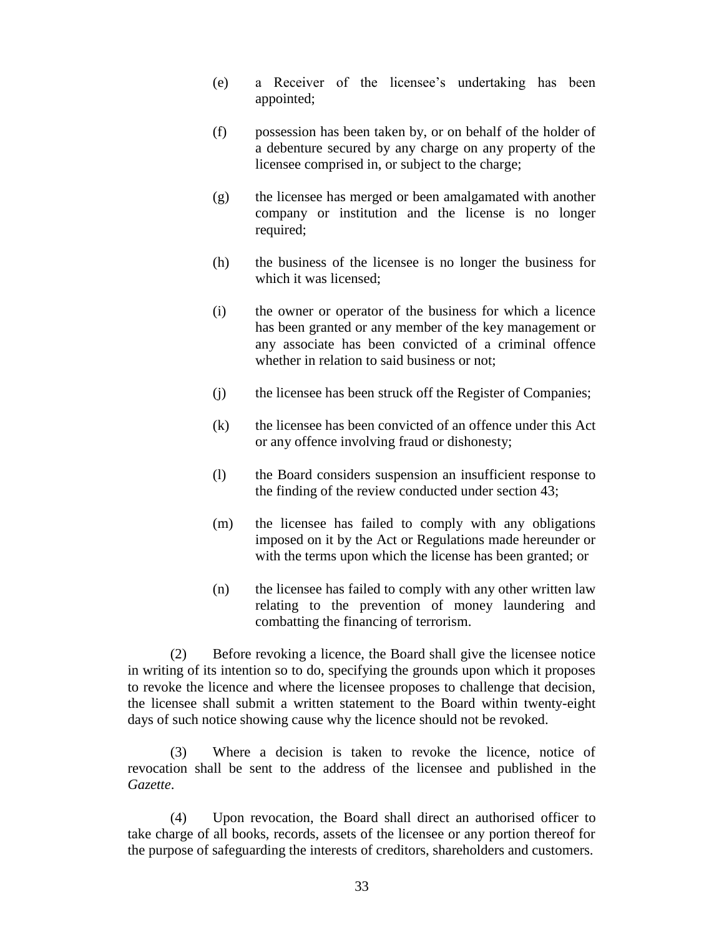- (e) a Receiver of the licensee's undertaking has been appointed;
- (f) possession has been taken by, or on behalf of the holder of a debenture secured by any charge on any property of the licensee comprised in, or subject to the charge;
- (g) the licensee has merged or been amalgamated with another company or institution and the license is no longer required;
- (h) the business of the licensee is no longer the business for which it was licensed;
- (i) the owner or operator of the business for which a licence has been granted or any member of the key management or any associate has been convicted of a criminal offence whether in relation to said business or not:
- (j) the licensee has been struck off the Register of Companies;
- (k) the licensee has been convicted of an offence under this Act or any offence involving fraud or dishonesty;
- (l) the Board considers suspension an insufficient response to the finding of the review conducted under section 43;
- (m) the licensee has failed to comply with any obligations imposed on it by the Act or Regulations made hereunder or with the terms upon which the license has been granted; or
- (n) the licensee has failed to comply with any other written law relating to the prevention of money laundering and combatting the financing of terrorism.

(2) Before revoking a licence, the Board shall give the licensee notice in writing of its intention so to do, specifying the grounds upon which it proposes to revoke the licence and where the licensee proposes to challenge that decision, the licensee shall submit a written statement to the Board within twenty-eight days of such notice showing cause why the licence should not be revoked.

(3) Where a decision is taken to revoke the licence, notice of revocation shall be sent to the address of the licensee and published in the *Gazette*.

(4) Upon revocation, the Board shall direct an authorised officer to take charge of all books, records, assets of the licensee or any portion thereof for the purpose of safeguarding the interests of creditors, shareholders and customers.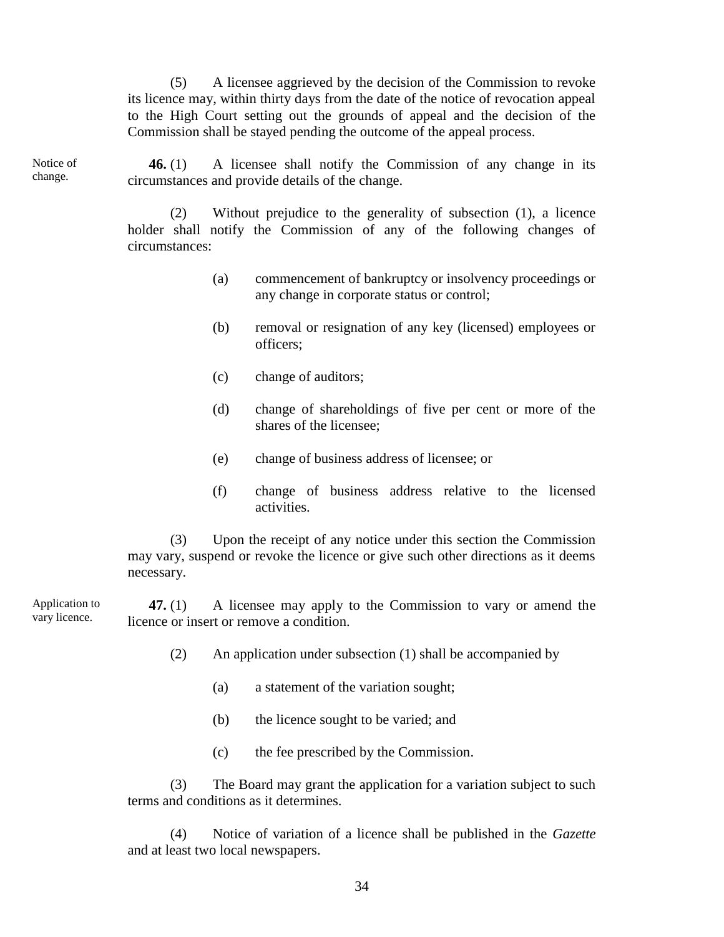(5) A licensee aggrieved by the decision of the Commission to revoke its licence may, within thirty days from the date of the notice of revocation appeal to the High Court setting out the grounds of appeal and the decision of the Commission shall be stayed pending the outcome of the appeal process.

Notice of change.

**46.** (1) A licensee shall notify the Commission of any change in its circumstances and provide details of the change.

(2) Without prejudice to the generality of subsection (1), a licence holder shall notify the Commission of any of the following changes of circumstances:

- (a) commencement of bankruptcy or insolvency proceedings or any change in corporate status or control;
- (b) removal or resignation of any key (licensed) employees or officers;
- (c) change of auditors;
- (d) change of shareholdings of five per cent or more of the shares of the licensee;
- (e) change of business address of licensee; or
- (f) change of business address relative to the licensed activities.

(3) Upon the receipt of any notice under this section the Commission may vary, suspend or revoke the licence or give such other directions as it deems necessary.

**47.** (1) A licensee may apply to the Commission to vary or amend the licence or insert or remove a condition. Application to vary licence.

- (2) An application under subsection (1) shall be accompanied by
	- (a) a statement of the variation sought;
	- (b) the licence sought to be varied; and
	- (c) the fee prescribed by the Commission.

(3) The Board may grant the application for a variation subject to such terms and conditions as it determines.

(4) Notice of variation of a licence shall be published in the *Gazette* and at least two local newspapers.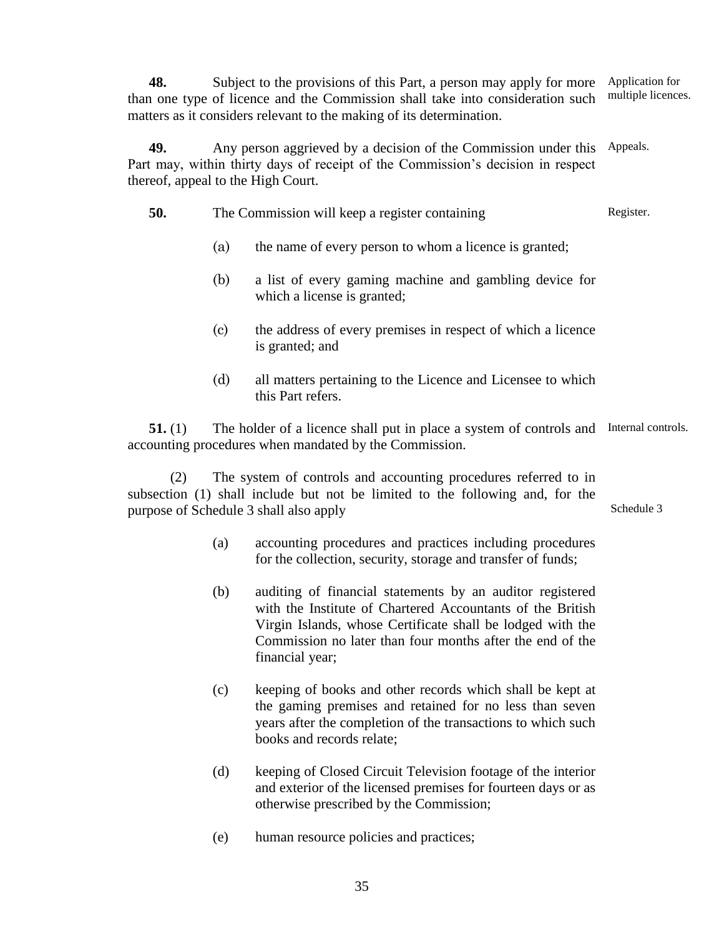**48.** Subject to the provisions of this Part, a person may apply for more than one type of licence and the Commission shall take into consideration such matters as it considers relevant to the making of its determination. Application for multiple licences.

**49.** Any person aggrieved by a decision of the Commission under this Appeals. Part may, within thirty days of receipt of the Commission's decision in respect thereof, appeal to the High Court.

| 50. |                                                                                                                                                            |                            | The Commission will keep a register containing                                        | Register. |
|-----|------------------------------------------------------------------------------------------------------------------------------------------------------------|----------------------------|---------------------------------------------------------------------------------------|-----------|
|     | the name of every person to whom a licence is granted;<br>(a)                                                                                              |                            |                                                                                       |           |
|     |                                                                                                                                                            | (b)                        | a list of every gaming machine and gambling device for<br>which a license is granted; |           |
|     |                                                                                                                                                            | $\left( \mathrm{c}\right)$ | the address of every premises in respect of which a licence<br>is granted; and        |           |
|     |                                                                                                                                                            | (d)                        | all matters pertaining to the Licence and Licensee to which<br>this Part refers.      |           |
|     | The holder of a licence shall put in place a system of controls and Internal controls.<br>51.(1)<br>accounting procedures when mandated by the Commission. |                            |                                                                                       |           |
|     | (2)                                                                                                                                                        |                            | The creaters of controls and cocorrective necessaries usformed to in                  |           |

(2) The system of controls and accounting procedures referred to in subsection (1) shall include but not be limited to the following and, for the purpose of Schedule 3 shall also apply

> (a) accounting procedures and practices including procedures for the collection, security, storage and transfer of funds;

Schedule 3

- (b) auditing of financial statements by an auditor registered with the Institute of Chartered Accountants of the British Virgin Islands, whose Certificate shall be lodged with the Commission no later than four months after the end of the financial year;
- (c) keeping of books and other records which shall be kept at the gaming premises and retained for no less than seven years after the completion of the transactions to which such books and records relate;
- (d) keeping of Closed Circuit Television footage of the interior and exterior of the licensed premises for fourteen days or as otherwise prescribed by the Commission;
- (e) human resource policies and practices;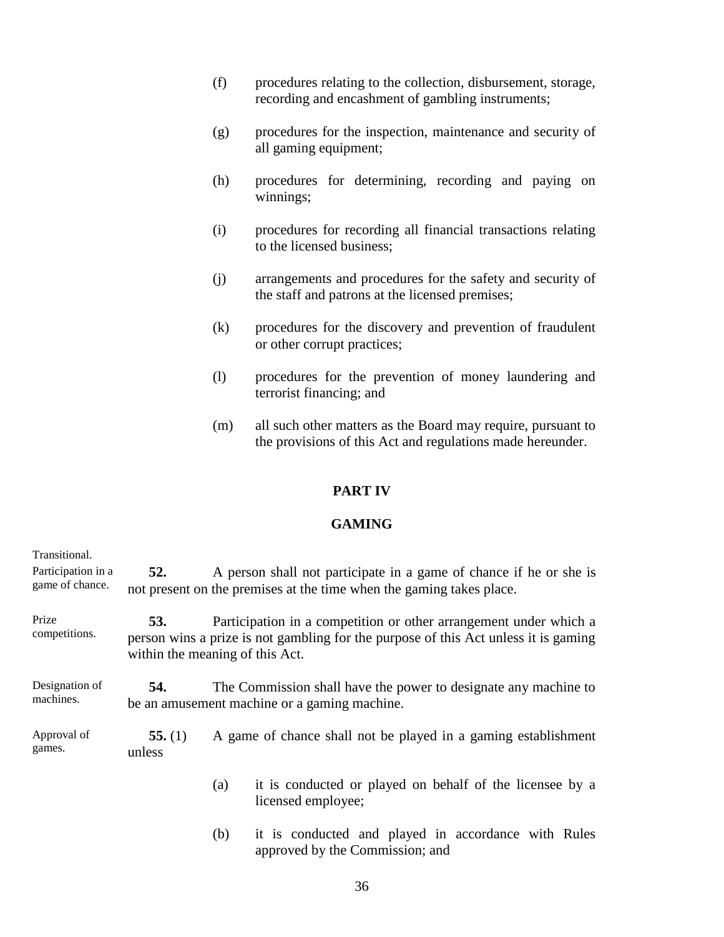- (f) procedures relating to the collection, disbursement, storage, recording and encashment of gambling instruments;
- (g) procedures for the inspection, maintenance and security of all gaming equipment;
- (h) procedures for determining, recording and paying on winnings;
- (i) procedures for recording all financial transactions relating to the licensed business;
- (j) arrangements and procedures for the safety and security of the staff and patrons at the licensed premises;
- (k) procedures for the discovery and prevention of fraudulent or other corrupt practices;
- (l) procedures for the prevention of money laundering and terrorist financing; and
- (m) all such other matters as the Board may require, pursuant to the provisions of this Act and regulations made hereunder.

# **PART IV**

# **GAMING**

| Transitional.<br>Participation in a<br>game of chance. | 52.                                                                                                                                                                                                       |                                                                | A person shall not participate in a game of chance if he or she is<br>not present on the premises at the time when the gaming takes place. |  |
|--------------------------------------------------------|-----------------------------------------------------------------------------------------------------------------------------------------------------------------------------------------------------------|----------------------------------------------------------------|--------------------------------------------------------------------------------------------------------------------------------------------|--|
| Prize<br>competitions.                                 | Participation in a competition or other arrangement under which a<br><b>53.</b><br>person wins a prize is not gambling for the purpose of this Act unless it is gaming<br>within the meaning of this Act. |                                                                |                                                                                                                                            |  |
| Designation of<br>machines.                            | The Commission shall have the power to designate any machine to<br>54.<br>be an amusement machine or a gaming machine.                                                                                    |                                                                |                                                                                                                                            |  |
| Approval of<br>games.                                  | 55. $(1)$<br>unless                                                                                                                                                                                       | A game of chance shall not be played in a gaming establishment |                                                                                                                                            |  |
|                                                        |                                                                                                                                                                                                           | (a)                                                            | it is conducted or played on behalf of the licensee by a<br>licensed employee;                                                             |  |
|                                                        |                                                                                                                                                                                                           | (b)                                                            | it is conducted and played in accordance with Rules                                                                                        |  |

approved by the Commission; and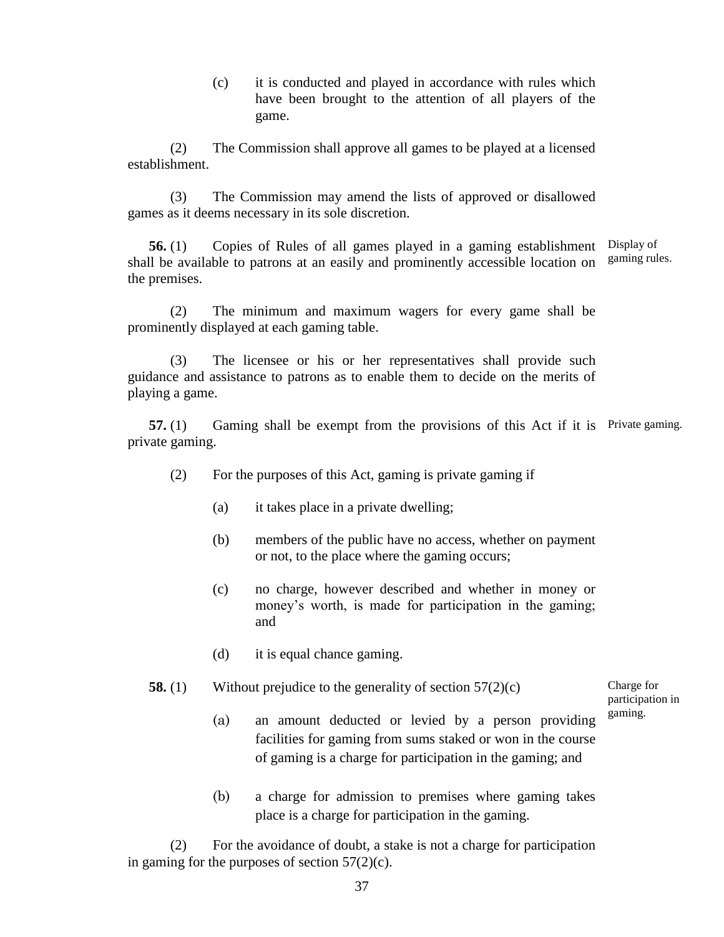(c) it is conducted and played in accordance with rules which have been brought to the attention of all players of the game.

(2) The Commission shall approve all games to be played at a licensed establishment.

(3) The Commission may amend the lists of approved or disallowed games as it deems necessary in its sole discretion.

**56.** (1) Copies of Rules of all games played in a gaming establishment Display of shall be available to patrons at an easily and prominently accessible location on the premises. gaming rules.

(2) The minimum and maximum wagers for every game shall be prominently displayed at each gaming table.

(3) The licensee or his or her representatives shall provide such guidance and assistance to patrons as to enable them to decide on the merits of playing a game.

**57.** (1) Gaming shall be exempt from the provisions of this Act if it is Private gaming. private gaming.

- (2) For the purposes of this Act, gaming is private gaming if
	- (a) it takes place in a private dwelling;
	- (b) members of the public have no access, whether on payment or not, to the place where the gaming occurs;
	- (c) no charge, however described and whether in money or money's worth, is made for participation in the gaming; and
	- (d) it is equal chance gaming.

### **58.** (1) Without prejudice to the generality of section 57(2)(c)

(a) an amount deducted or levied by a person providing facilities for gaming from sums staked or won in the course of gaming is a charge for participation in the gaming; and participation in gaming.

Charge for

(b) a charge for admission to premises where gaming takes place is a charge for participation in the gaming.

(2) For the avoidance of doubt, a stake is not a charge for participation in gaming for the purposes of section 57(2)(c).

37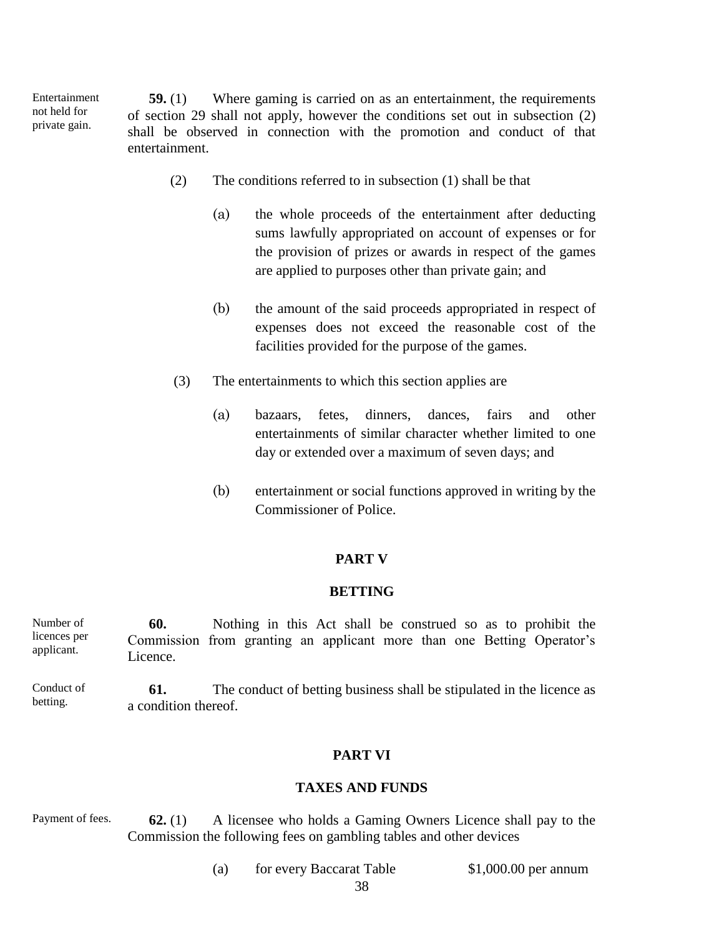**59.** (1) Where gaming is carried on as an entertainment, the requirements of section 29 shall not apply, however the conditions set out in subsection (2) shall be observed in connection with the promotion and conduct of that entertainment. Entertainment not held for private gain.

- (2) The conditions referred to in subsection (1) shall be that
	- (a) the whole proceeds of the entertainment after deducting sums lawfully appropriated on account of expenses or for the provision of prizes or awards in respect of the games are applied to purposes other than private gain; and
	- (b) the amount of the said proceeds appropriated in respect of expenses does not exceed the reasonable cost of the facilities provided for the purpose of the games.
- (3) The entertainments to which this section applies are
	- (a) bazaars, fetes, dinners, dances, fairs and other entertainments of similar character whether limited to one day or extended over a maximum of seven days; and
	- (b) entertainment or social functions approved in writing by the Commissioner of Police.

### **PART V**

## **BETTING**

**60.** Nothing in this Act shall be construed so as to prohibit the Commission from granting an applicant more than one Betting Operator's Licence. Number of licences per applicant.

**61.** The conduct of betting business shall be stipulated in the licence as a condition thereof. Conduct of betting.

## **PART VI**

#### **TAXES AND FUNDS**

**62.** (1) A licensee who holds a Gaming Owners Licence shall pay to the Commission the following fees on gambling tables and other devices Payment of fees.

(a) for every Baccarat Table \$1,000.00 per annum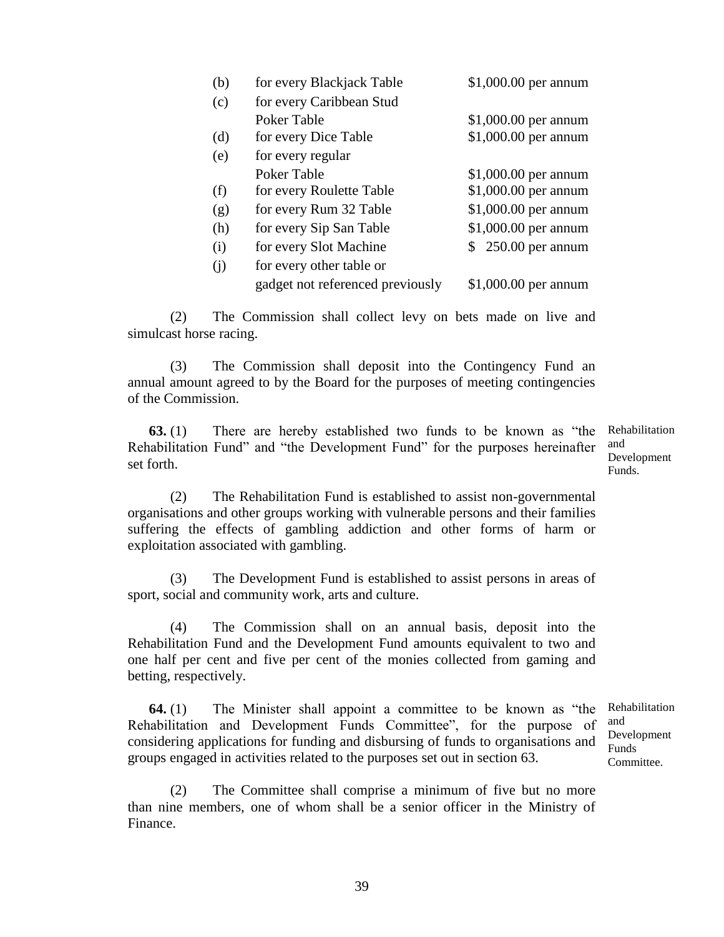| (b) | for every Blackjack Table        | \$1,000.00 per annum  |
|-----|----------------------------------|-----------------------|
| (c) | for every Caribbean Stud         |                       |
|     | Poker Table                      | $$1,000.00$ per annum |
| (d) | for every Dice Table             | \$1,000.00 per annum  |
| (e) | for every regular                |                       |
|     | Poker Table                      | $$1,000.00$ per annum |
| (f) | for every Roulette Table         | \$1,000.00 per annum  |
| (g) | for every Rum 32 Table           | \$1,000.00 per annum  |
| (h) | for every Sip San Table          | \$1,000.00 per annum  |
| (i) | for every Slot Machine           | \$250.00 per annum    |
| (i) | for every other table or         |                       |
|     | gadget not referenced previously | $$1,000.00$ per annum |

(2) The Commission shall collect levy on bets made on live and simulcast horse racing.

(3) The Commission shall deposit into the Contingency Fund an annual amount agreed to by the Board for the purposes of meeting contingencies of the Commission.

**63.** (1) There are hereby established two funds to be known as "the Rehabilitation Fund" and "the Development Fund" for the purposes hereinafter set forth.

Rehabilitation and Development Funds.

(2) The Rehabilitation Fund is established to assist non-governmental organisations and other groups working with vulnerable persons and their families suffering the effects of gambling addiction and other forms of harm or exploitation associated with gambling.

(3) The Development Fund is established to assist persons in areas of sport, social and community work, arts and culture.

(4) The Commission shall on an annual basis, deposit into the Rehabilitation Fund and the Development Fund amounts equivalent to two and one half per cent and five per cent of the monies collected from gaming and betting, respectively.

**64.** (1) The Minister shall appoint a committee to be known as "the Rehabilitation and Development Funds Committee", for the purpose of considering applications for funding and disbursing of funds to organisations and groups engaged in activities related to the purposes set out in section 63.

(2) The Committee shall comprise a minimum of five but no more than nine members, one of whom shall be a senior officer in the Ministry of Finance.

Rehabilitation and Development Funds Committee.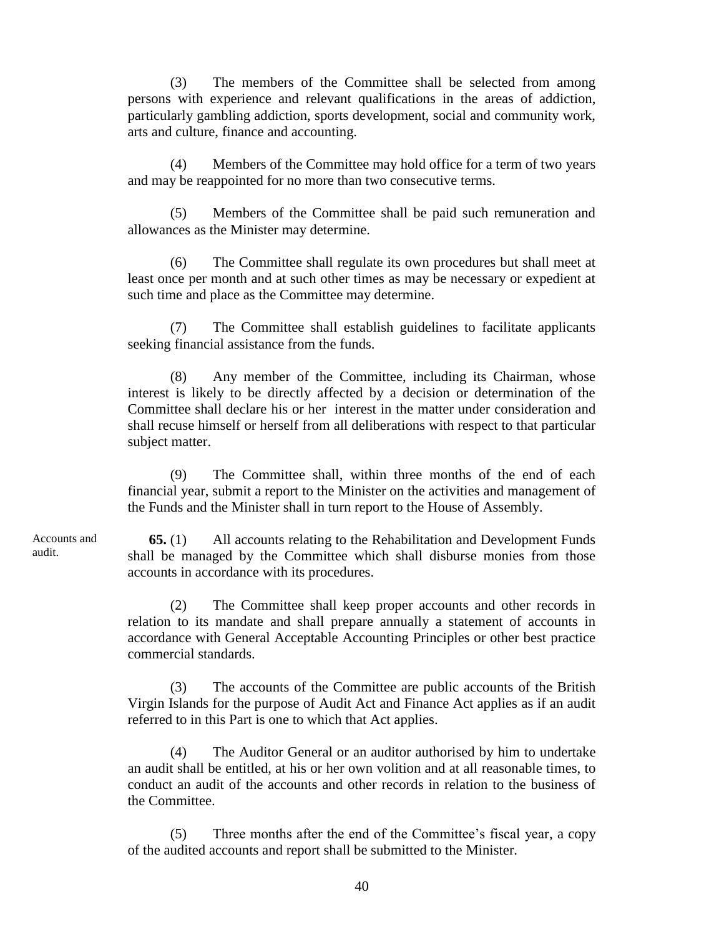(3) The members of the Committee shall be selected from among persons with experience and relevant qualifications in the areas of addiction, particularly gambling addiction, sports development, social and community work, arts and culture, finance and accounting.

(4) Members of the Committee may hold office for a term of two years and may be reappointed for no more than two consecutive terms.

(5) Members of the Committee shall be paid such remuneration and allowances as the Minister may determine.

(6) The Committee shall regulate its own procedures but shall meet at least once per month and at such other times as may be necessary or expedient at such time and place as the Committee may determine.

(7) The Committee shall establish guidelines to facilitate applicants seeking financial assistance from the funds.

(8) Any member of the Committee, including its Chairman, whose interest is likely to be directly affected by a decision or determination of the Committee shall declare his or her interest in the matter under consideration and shall recuse himself or herself from all deliberations with respect to that particular subject matter.

(9) The Committee shall, within three months of the end of each financial year, submit a report to the Minister on the activities and management of the Funds and the Minister shall in turn report to the House of Assembly.

**65.** (1) All accounts relating to the Rehabilitation and Development Funds shall be managed by the Committee which shall disburse monies from those accounts in accordance with its procedures.

(2) The Committee shall keep proper accounts and other records in relation to its mandate and shall prepare annually a statement of accounts in accordance with General Acceptable Accounting Principles or other best practice commercial standards.

(3) The accounts of the Committee are public accounts of the British Virgin Islands for the purpose of Audit Act and Finance Act applies as if an audit referred to in this Part is one to which that Act applies.

(4) The Auditor General or an auditor authorised by him to undertake an audit shall be entitled, at his or her own volition and at all reasonable times, to conduct an audit of the accounts and other records in relation to the business of the Committee.

(5) Three months after the end of the Committee's fiscal year, a copy of the audited accounts and report shall be submitted to the Minister.

Accounts and audit.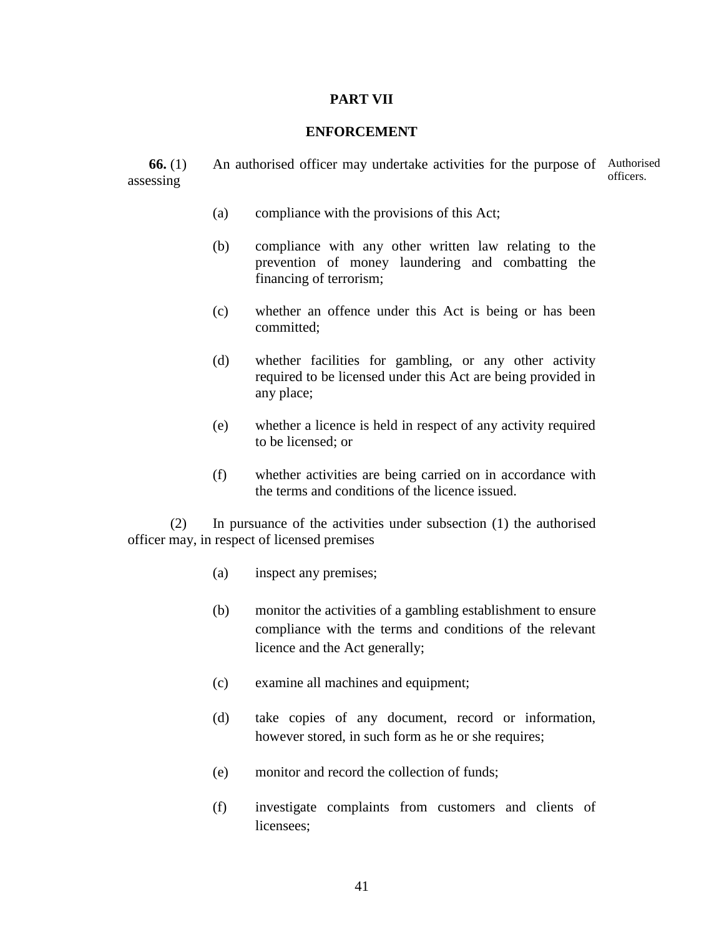## **PART VII**

## **ENFORCEMENT**

**66.** (1) An authorised officer may undertake activities for the purpose of Authorised assessing officers.

- (a) compliance with the provisions of this Act;
- (b) compliance with any other written law relating to the prevention of money laundering and combatting the financing of terrorism;
- (c) whether an offence under this Act is being or has been committed;
- (d) whether facilities for gambling, or any other activity required to be licensed under this Act are being provided in any place;
- (e) whether a licence is held in respect of any activity required to be licensed; or
- (f) whether activities are being carried on in accordance with the terms and conditions of the licence issued.

(2) In pursuance of the activities under subsection (1) the authorised officer may, in respect of licensed premises

- (a) inspect any premises;
- (b) monitor the activities of a gambling establishment to ensure compliance with the terms and conditions of the relevant licence and the Act generally;
- (c) examine all machines and equipment;
- (d) take copies of any document, record or information, however stored, in such form as he or she requires;
- (e) monitor and record the collection of funds;
- (f) investigate complaints from customers and clients of licensees;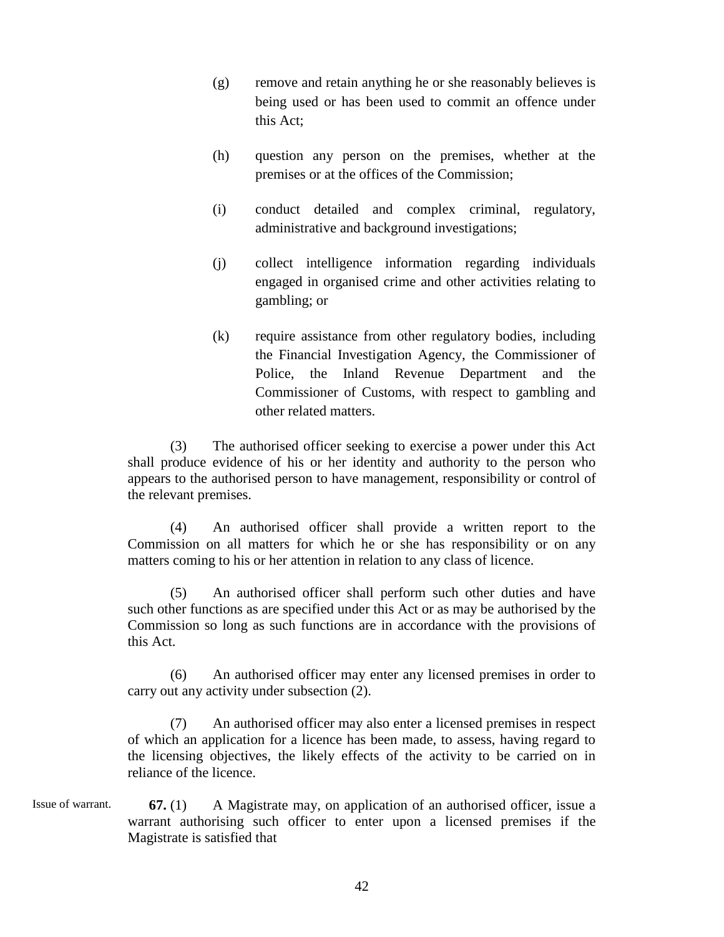- (g) remove and retain anything he or she reasonably believes is being used or has been used to commit an offence under this Act;
- (h) question any person on the premises, whether at the premises or at the offices of the Commission;
- (i) conduct detailed and complex criminal, regulatory, administrative and background investigations;
- (j) collect intelligence information regarding individuals engaged in organised crime and other activities relating to gambling; or
- (k) require assistance from other regulatory bodies, including the Financial Investigation Agency, the Commissioner of Police, the Inland Revenue Department and the Commissioner of Customs, with respect to gambling and other related matters.

(3) The authorised officer seeking to exercise a power under this Act shall produce evidence of his or her identity and authority to the person who appears to the authorised person to have management, responsibility or control of the relevant premises.

(4) An authorised officer shall provide a written report to the Commission on all matters for which he or she has responsibility or on any matters coming to his or her attention in relation to any class of licence.

(5) An authorised officer shall perform such other duties and have such other functions as are specified under this Act or as may be authorised by the Commission so long as such functions are in accordance with the provisions of this Act.

(6) An authorised officer may enter any licensed premises in order to carry out any activity under subsection (2).

(7) An authorised officer may also enter a licensed premises in respect of which an application for a licence has been made, to assess, having regard to the licensing objectives, the likely effects of the activity to be carried on in reliance of the licence.

**67.** (1) A Magistrate may, on application of an authorised officer, issue a warrant authorising such officer to enter upon a licensed premises if the Magistrate is satisfied that Issue of warrant.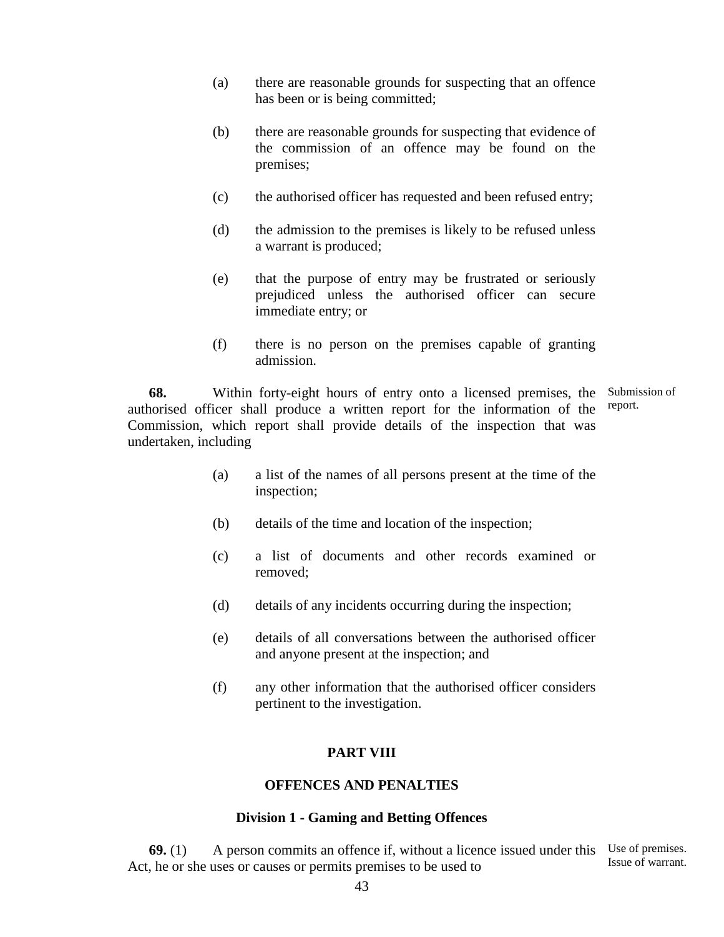- (a) there are reasonable grounds for suspecting that an offence has been or is being committed;
- (b) there are reasonable grounds for suspecting that evidence of the commission of an offence may be found on the premises;
- (c) the authorised officer has requested and been refused entry;
- (d) the admission to the premises is likely to be refused unless a warrant is produced;
- (e) that the purpose of entry may be frustrated or seriously prejudiced unless the authorised officer can secure immediate entry; or
- (f) there is no person on the premises capable of granting admission.

**68.** Within forty-eight hours of entry onto a licensed premises, the Submission of authorised officer shall produce a written report for the information of the Commission, which report shall provide details of the inspection that was undertaken, including report.

- (a) a list of the names of all persons present at the time of the inspection;
- (b) details of the time and location of the inspection;
- (c) a list of documents and other records examined or removed;
- (d) details of any incidents occurring during the inspection;
- (e) details of all conversations between the authorised officer and anyone present at the inspection; and
- (f) any other information that the authorised officer considers pertinent to the investigation.

## **PART VIII**

### **OFFENCES AND PENALTIES**

#### **Division 1 - Gaming and Betting Offences**

**69.** (1) A person commits an offence if, without a licence issued under this Use of premises. Act, he or she uses or causes or permits premises to be used to Issue of warrant.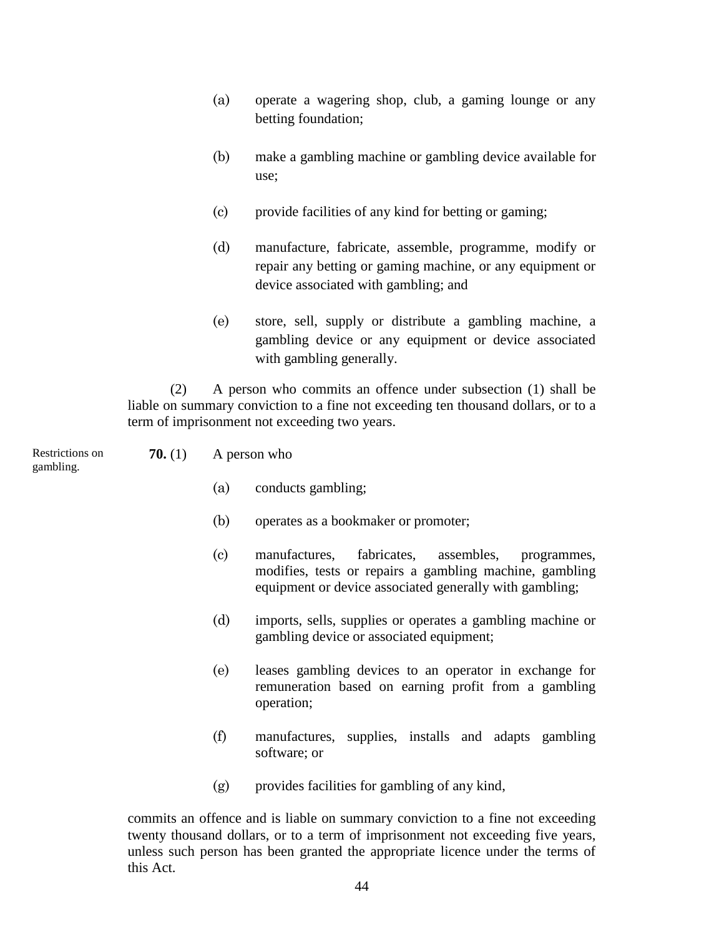- (a) operate a wagering shop, club, a gaming lounge or any betting foundation;
- (b) make a gambling machine or gambling device available for use;
- (c) provide facilities of any kind for betting or gaming;
- (d) manufacture, fabricate, assemble, programme, modify or repair any betting or gaming machine, or any equipment or device associated with gambling; and
- (e) store, sell, supply or distribute a gambling machine, a gambling device or any equipment or device associated with gambling generally.

(2) A person who commits an offence under subsection (1) shall be liable on summary conviction to a fine not exceeding ten thousand dollars, or to a term of imprisonment not exceeding two years.

Restrictions on gambling.

- **70.** (1) A person who
	- (a) conducts gambling;
	- (b) operates as a bookmaker or promoter;
	- (c) manufactures, fabricates, assembles, programmes, modifies, tests or repairs a gambling machine, gambling equipment or device associated generally with gambling;
	- (d) imports, sells, supplies or operates a gambling machine or gambling device or associated equipment;
	- (e) leases gambling devices to an operator in exchange for remuneration based on earning profit from a gambling operation;
	- (f) manufactures, supplies, installs and adapts gambling software; or
	- (g) provides facilities for gambling of any kind,

commits an offence and is liable on summary conviction to a fine not exceeding twenty thousand dollars, or to a term of imprisonment not exceeding five years, unless such person has been granted the appropriate licence under the terms of this Act.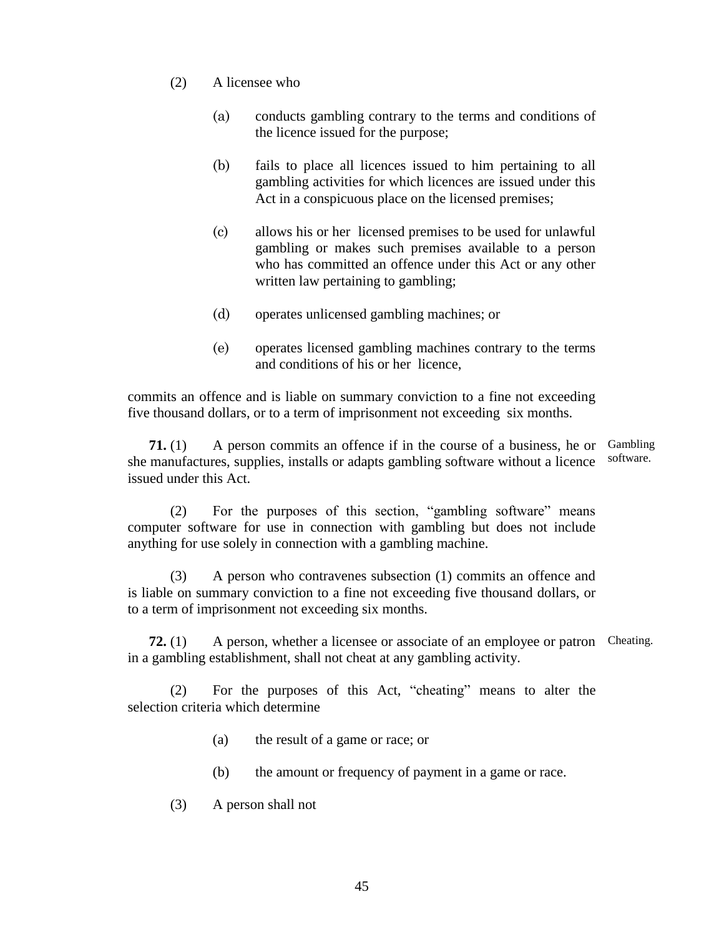- (2) A licensee who
	- (a) conducts gambling contrary to the terms and conditions of the licence issued for the purpose;
	- (b) fails to place all licences issued to him pertaining to all gambling activities for which licences are issued under this Act in a conspicuous place on the licensed premises;
	- (c) allows his or her licensed premises to be used for unlawful gambling or makes such premises available to a person who has committed an offence under this Act or any other written law pertaining to gambling;
	- (d) operates unlicensed gambling machines; or
	- (e) operates licensed gambling machines contrary to the terms and conditions of his or her licence,

commits an offence and is liable on summary conviction to a fine not exceeding five thousand dollars, or to a term of imprisonment not exceeding six months.

**71.** (1) A person commits an offence if in the course of a business, he or Gambling she manufactures, supplies, installs or adapts gambling software without a licence issued under this Act. software.

(2) For the purposes of this section, "gambling software" means computer software for use in connection with gambling but does not include anything for use solely in connection with a gambling machine.

(3) A person who contravenes subsection (1) commits an offence and is liable on summary conviction to a fine not exceeding five thousand dollars, or to a term of imprisonment not exceeding six months.

**72.** (1) A person, whether a licensee or associate of an employee or patron Cheating. in a gambling establishment, shall not cheat at any gambling activity.

(2) For the purposes of this Act, "cheating" means to alter the selection criteria which determine

- (a) the result of a game or race; or
- (b) the amount or frequency of payment in a game or race.
- (3) A person shall not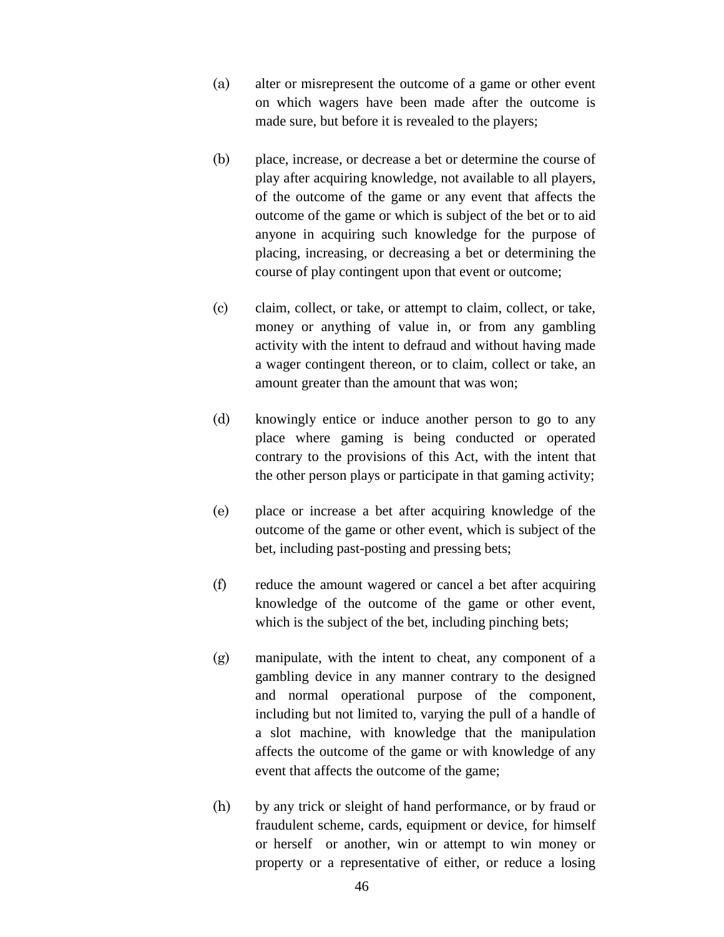- (a) alter or misrepresent the outcome of a game or other event on which wagers have been made after the outcome is made sure, but before it is revealed to the players;
- (b) place, increase, or decrease a bet or determine the course of play after acquiring knowledge, not available to all players, of the outcome of the game or any event that affects the outcome of the game or which is subject of the bet or to aid anyone in acquiring such knowledge for the purpose of placing, increasing, or decreasing a bet or determining the course of play contingent upon that event or outcome;
- (c) claim, collect, or take, or attempt to claim, collect, or take, money or anything of value in, or from any gambling activity with the intent to defraud and without having made a wager contingent thereon, or to claim, collect or take, an amount greater than the amount that was won;
- (d) knowingly entice or induce another person to go to any place where gaming is being conducted or operated contrary to the provisions of this Act, with the intent that the other person plays or participate in that gaming activity;
- (e) place or increase a bet after acquiring knowledge of the outcome of the game or other event, which is subject of the bet, including past-posting and pressing bets;
- (f) reduce the amount wagered or cancel a bet after acquiring knowledge of the outcome of the game or other event, which is the subject of the bet, including pinching bets;
- (g) manipulate, with the intent to cheat, any component of a gambling device in any manner contrary to the designed and normal operational purpose of the component, including but not limited to, varying the pull of a handle of a slot machine, with knowledge that the manipulation affects the outcome of the game or with knowledge of any event that affects the outcome of the game;
- (h) by any trick or sleight of hand performance, or by fraud or fraudulent scheme, cards, equipment or device, for himself or herself or another, win or attempt to win money or property or a representative of either, or reduce a losing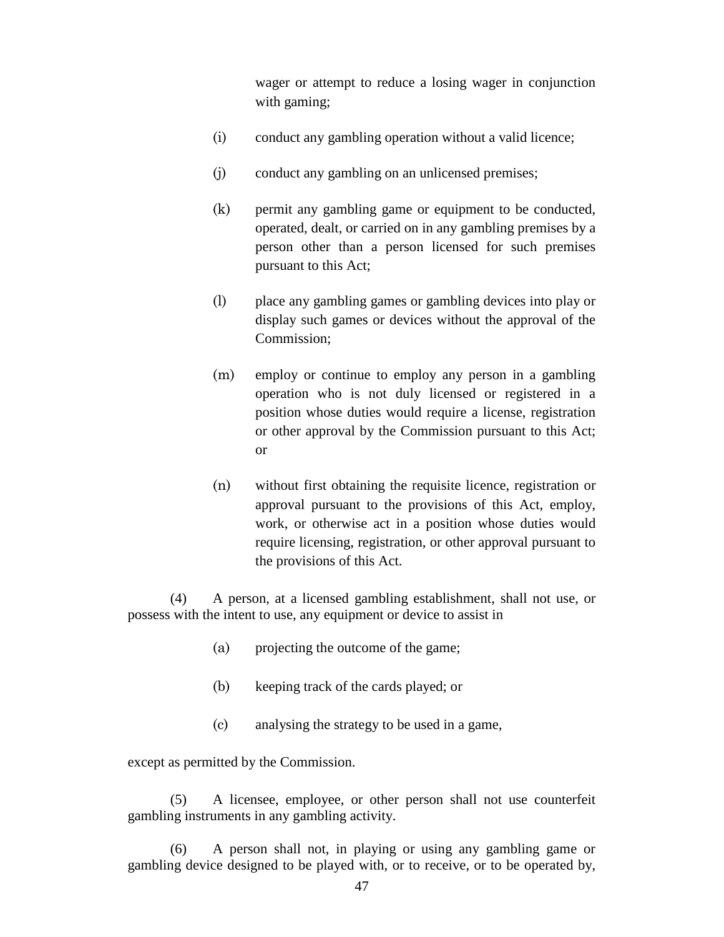wager or attempt to reduce a losing wager in conjunction with gaming;

- (i) conduct any gambling operation without a valid licence;
- (j) conduct any gambling on an unlicensed premises;
- (k) permit any gambling game or equipment to be conducted, operated, dealt, or carried on in any gambling premises by a person other than a person licensed for such premises pursuant to this Act;
- (l) place any gambling games or gambling devices into play or display such games or devices without the approval of the Commission;
- (m) employ or continue to employ any person in a gambling operation who is not duly licensed or registered in a position whose duties would require a license, registration or other approval by the Commission pursuant to this Act; or
- (n) without first obtaining the requisite licence, registration or approval pursuant to the provisions of this Act, employ, work, or otherwise act in a position whose duties would require licensing, registration, or other approval pursuant to the provisions of this Act.

(4) A person, at a licensed gambling establishment, shall not use, or possess with the intent to use, any equipment or device to assist in

- (a) projecting the outcome of the game;
- (b) keeping track of the cards played; or
- (c) analysing the strategy to be used in a game,

except as permitted by the Commission.

(5) A licensee, employee, or other person shall not use counterfeit gambling instruments in any gambling activity.

(6) A person shall not, in playing or using any gambling game or gambling device designed to be played with, or to receive, or to be operated by,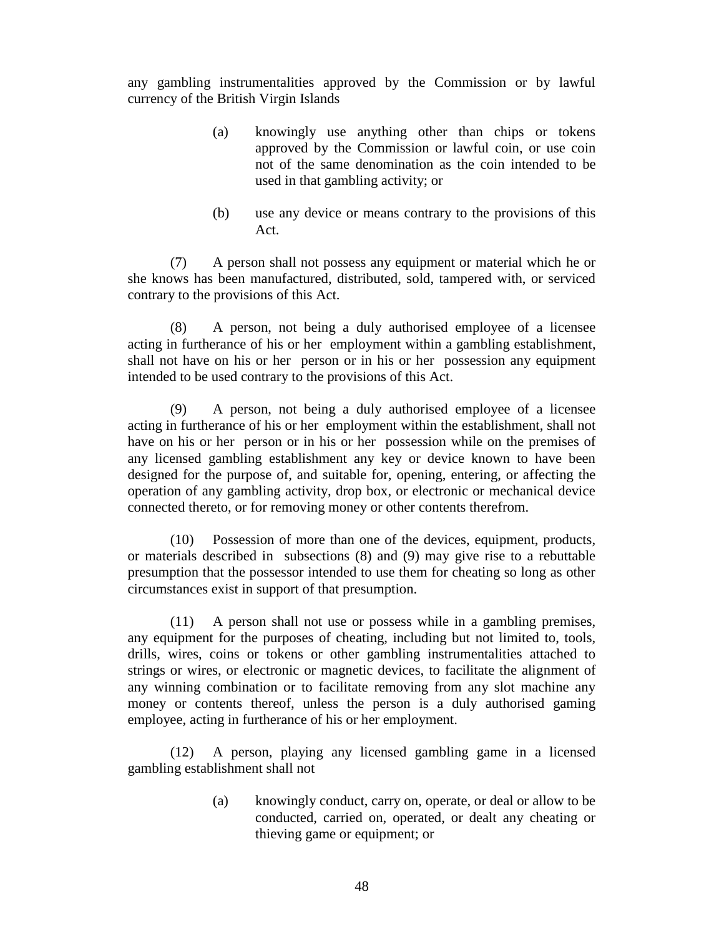any gambling instrumentalities approved by the Commission or by lawful currency of the British Virgin Islands

- (a) knowingly use anything other than chips or tokens approved by the Commission or lawful coin, or use coin not of the same denomination as the coin intended to be used in that gambling activity; or
- (b) use any device or means contrary to the provisions of this Act.

(7) A person shall not possess any equipment or material which he or she knows has been manufactured, distributed, sold, tampered with, or serviced contrary to the provisions of this Act.

(8) A person, not being a duly authorised employee of a licensee acting in furtherance of his or her employment within a gambling establishment, shall not have on his or her person or in his or her possession any equipment intended to be used contrary to the provisions of this Act.

(9) A person, not being a duly authorised employee of a licensee acting in furtherance of his or her employment within the establishment, shall not have on his or her person or in his or her possession while on the premises of any licensed gambling establishment any key or device known to have been designed for the purpose of, and suitable for, opening, entering, or affecting the operation of any gambling activity, drop box, or electronic or mechanical device connected thereto, or for removing money or other contents therefrom.

(10) Possession of more than one of the devices, equipment, products, or materials described in subsections (8) and (9) may give rise to a rebuttable presumption that the possessor intended to use them for cheating so long as other circumstances exist in support of that presumption.

(11) A person shall not use or possess while in a gambling premises, any equipment for the purposes of cheating, including but not limited to, tools, drills, wires, coins or tokens or other gambling instrumentalities attached to strings or wires, or electronic or magnetic devices, to facilitate the alignment of any winning combination or to facilitate removing from any slot machine any money or contents thereof, unless the person is a duly authorised gaming employee, acting in furtherance of his or her employment.

(12) A person, playing any licensed gambling game in a licensed gambling establishment shall not

> (a) knowingly conduct, carry on, operate, or deal or allow to be conducted, carried on, operated, or dealt any cheating or thieving game or equipment; or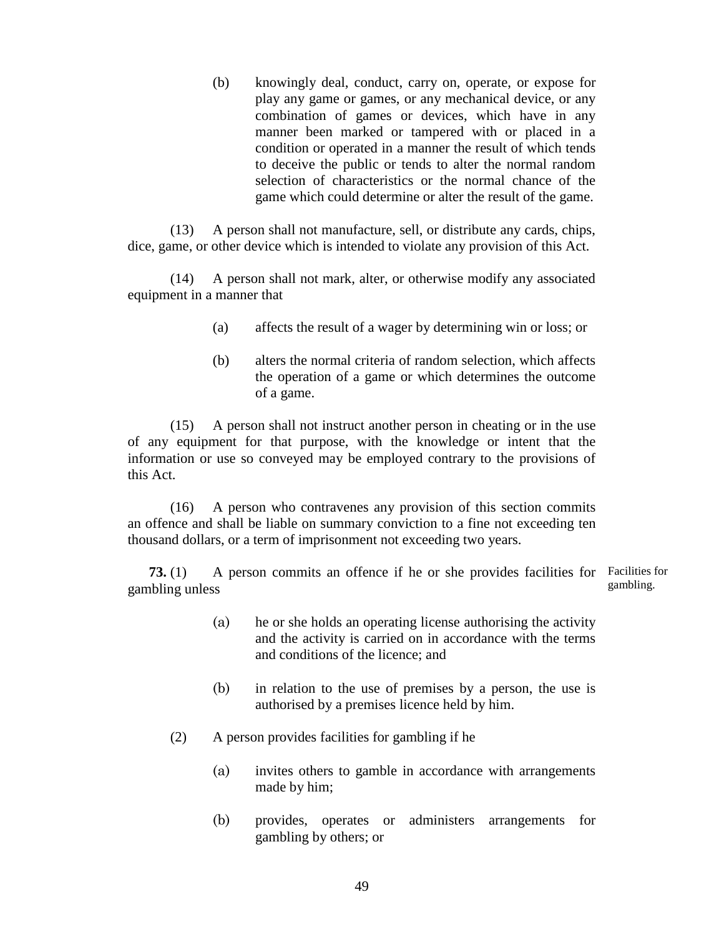(b) knowingly deal, conduct, carry on, operate, or expose for play any game or games, or any mechanical device, or any combination of games or devices, which have in any manner been marked or tampered with or placed in a condition or operated in a manner the result of which tends to deceive the public or tends to alter the normal random selection of characteristics or the normal chance of the game which could determine or alter the result of the game.

(13) A person shall not manufacture, sell, or distribute any cards, chips, dice, game, or other device which is intended to violate any provision of this Act.

(14) A person shall not mark, alter, or otherwise modify any associated equipment in a manner that

- (a) affects the result of a wager by determining win or loss; or
- (b) alters the normal criteria of random selection, which affects the operation of a game or which determines the outcome of a game.

(15) A person shall not instruct another person in cheating or in the use of any equipment for that purpose, with the knowledge or intent that the information or use so conveyed may be employed contrary to the provisions of this Act.

(16) A person who contravenes any provision of this section commits an offence and shall be liable on summary conviction to a fine not exceeding ten thousand dollars, or a term of imprisonment not exceeding two years.

**73.** (1) A person commits an offence if he or she provides facilities for Facilities for gambling unless gambling.

- (a) he or she holds an operating license authorising the activity and the activity is carried on in accordance with the terms and conditions of the licence; and
- (b) in relation to the use of premises by a person, the use is authorised by a premises licence held by him.
- (2) A person provides facilities for gambling if he
	- (a) invites others to gamble in accordance with arrangements made by him;
	- (b) provides, operates or administers arrangements for gambling by others; or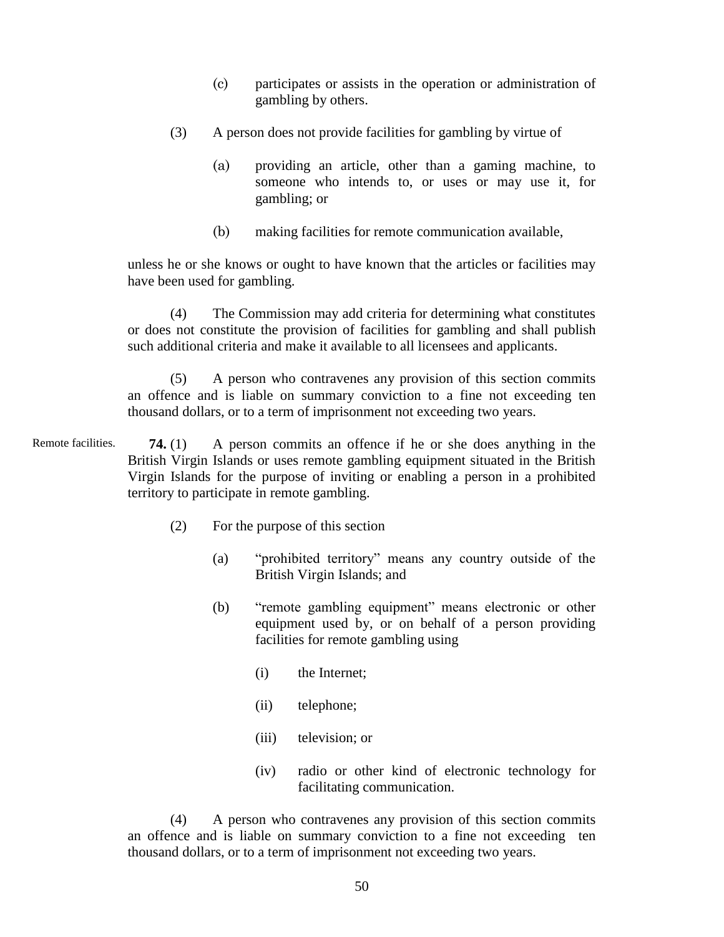- (c) participates or assists in the operation or administration of gambling by others.
- (3) A person does not provide facilities for gambling by virtue of
	- (a) providing an article, other than a gaming machine, to someone who intends to, or uses or may use it, for gambling; or
	- (b) making facilities for remote communication available,

unless he or she knows or ought to have known that the articles or facilities may have been used for gambling.

(4) The Commission may add criteria for determining what constitutes or does not constitute the provision of facilities for gambling and shall publish such additional criteria and make it available to all licensees and applicants.

(5) A person who contravenes any provision of this section commits an offence and is liable on summary conviction to a fine not exceeding ten thousand dollars, or to a term of imprisonment not exceeding two years.

**74.** (1) A person commits an offence if he or she does anything in the British Virgin Islands or uses remote gambling equipment situated in the British Virgin Islands for the purpose of inviting or enabling a person in a prohibited territory to participate in remote gambling. Remote facilities.

- (2) For the purpose of this section
	- (a) "prohibited territory" means any country outside of the British Virgin Islands; and
	- (b) "remote gambling equipment" means electronic or other equipment used by, or on behalf of a person providing facilities for remote gambling using
		- (i) the Internet;
		- (ii) telephone;
		- (iii) television; or
		- (iv) radio or other kind of electronic technology for facilitating communication.

(4) A person who contravenes any provision of this section commits an offence and is liable on summary conviction to a fine not exceeding ten thousand dollars, or to a term of imprisonment not exceeding two years.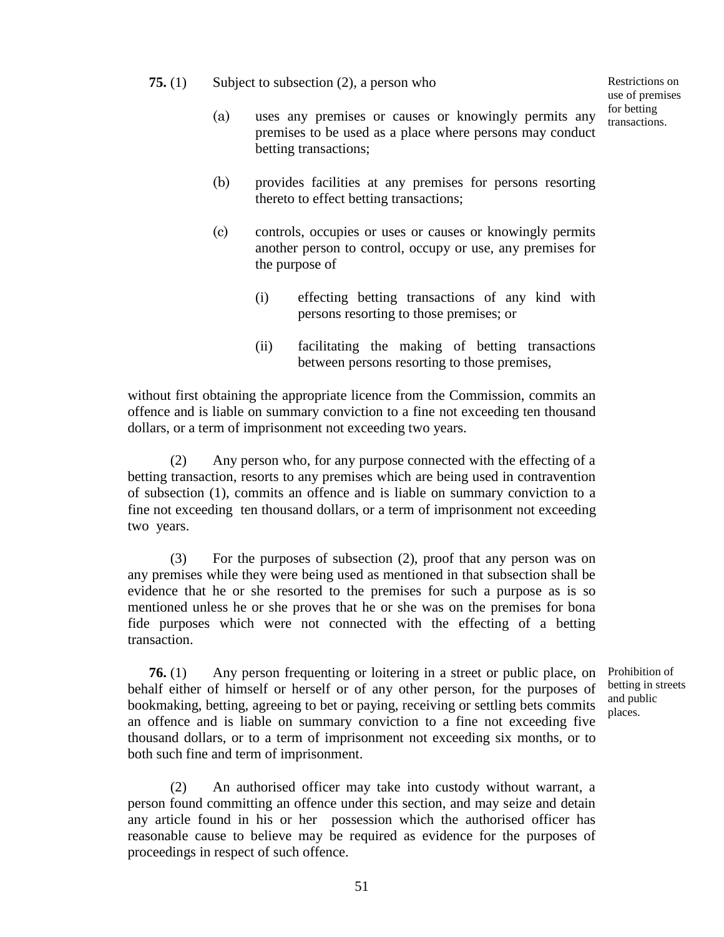## **75.** (1) Subject to subsection (2), a person who

Restrictions on use of premises for betting transactions.

- (a) uses any premises or causes or knowingly permits any premises to be used as a place where persons may conduct betting transactions;
- (b) provides facilities at any premises for persons resorting thereto to effect betting transactions;
- (c) controls, occupies or uses or causes or knowingly permits another person to control, occupy or use, any premises for the purpose of
	- (i) effecting betting transactions of any kind with persons resorting to those premises; or
	- (ii) facilitating the making of betting transactions between persons resorting to those premises,

without first obtaining the appropriate licence from the Commission, commits an offence and is liable on summary conviction to a fine not exceeding ten thousand dollars, or a term of imprisonment not exceeding two years.

(2) Any person who, for any purpose connected with the effecting of a betting transaction, resorts to any premises which are being used in contravention of subsection (1), commits an offence and is liable on summary conviction to a fine not exceeding ten thousand dollars, or a term of imprisonment not exceeding two years.

(3) For the purposes of subsection (2), proof that any person was on any premises while they were being used as mentioned in that subsection shall be evidence that he or she resorted to the premises for such a purpose as is so mentioned unless he or she proves that he or she was on the premises for bona fide purposes which were not connected with the effecting of a betting transaction.

**76.** (1) Any person frequenting or loitering in a street or public place, on behalf either of himself or herself or of any other person, for the purposes of bookmaking, betting, agreeing to bet or paying, receiving or settling bets commits an offence and is liable on summary conviction to a fine not exceeding five thousand dollars, or to a term of imprisonment not exceeding six months, or to both such fine and term of imprisonment.

(2) An authorised officer may take into custody without warrant, a person found committing an offence under this section, and may seize and detain any article found in his or her possession which the authorised officer has reasonable cause to believe may be required as evidence for the purposes of proceedings in respect of such offence.

Prohibition of betting in streets and public places.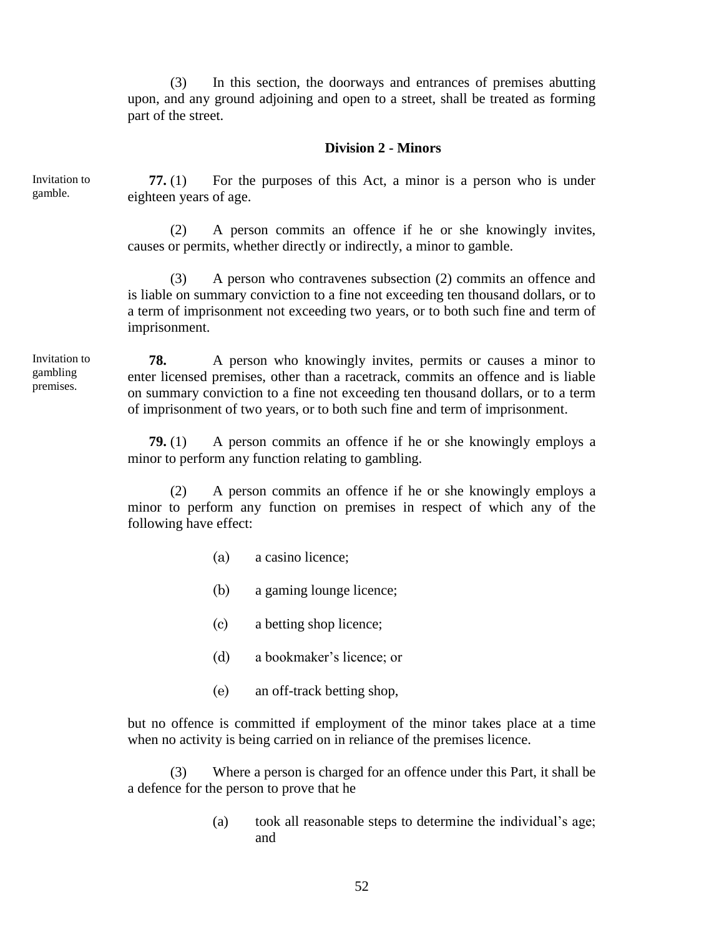(3) In this section, the doorways and entrances of premises abutting upon, and any ground adjoining and open to a street, shall be treated as forming part of the street.

### **Division 2 - Minors**

Invitation to gamble.

**77.** (1) For the purposes of this Act, a minor is a person who is under eighteen years of age.

(2) A person commits an offence if he or she knowingly invites, causes or permits, whether directly or indirectly, a minor to gamble.

(3) A person who contravenes subsection (2) commits an offence and is liable on summary conviction to a fine not exceeding ten thousand dollars, or to a term of imprisonment not exceeding two years, or to both such fine and term of imprisonment.

Invitation to gambling premises.

**78.** A person who knowingly invites, permits or causes a minor to enter licensed premises, other than a racetrack, commits an offence and is liable on summary conviction to a fine not exceeding ten thousand dollars, or to a term of imprisonment of two years, or to both such fine and term of imprisonment.

**79.** (1) A person commits an offence if he or she knowingly employs a minor to perform any function relating to gambling.

(2) A person commits an offence if he or she knowingly employs a minor to perform any function on premises in respect of which any of the following have effect:

- (a) a casino licence;
- (b) a gaming lounge licence;
- (c) a betting shop licence;
- (d) a bookmaker's licence; or
- (e) an off-track betting shop,

but no offence is committed if employment of the minor takes place at a time when no activity is being carried on in reliance of the premises licence.

(3) Where a person is charged for an offence under this Part, it shall be a defence for the person to prove that he

> (a) took all reasonable steps to determine the individual's age; and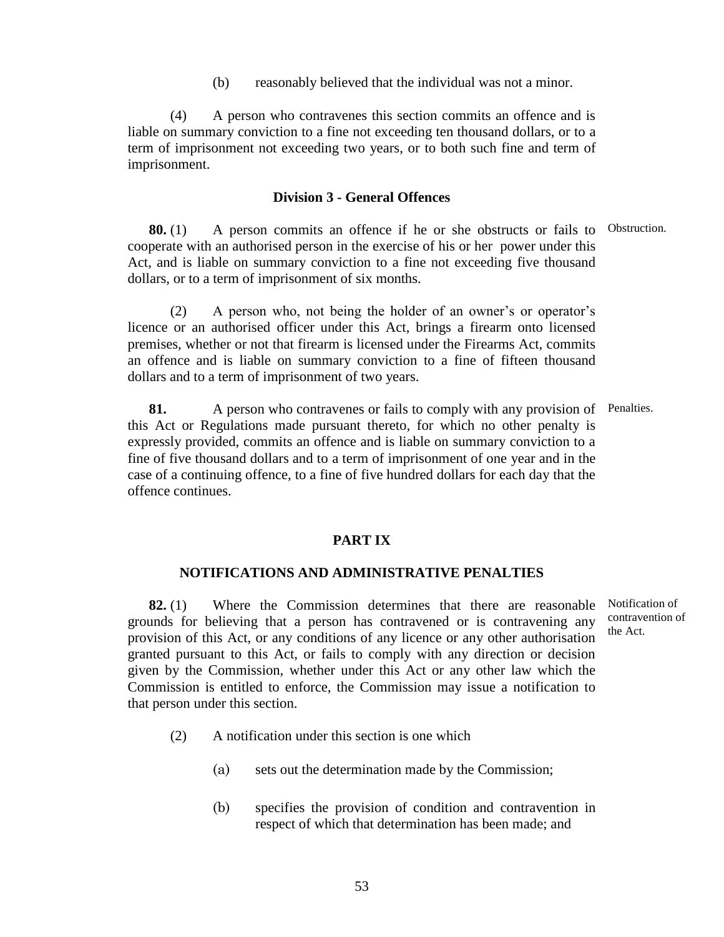(b) reasonably believed that the individual was not a minor.

(4) A person who contravenes this section commits an offence and is liable on summary conviction to a fine not exceeding ten thousand dollars, or to a term of imprisonment not exceeding two years, or to both such fine and term of imprisonment.

#### **Division 3 - General Offences**

**80.** (1) A person commits an offence if he or she obstructs or fails to Obstruction. cooperate with an authorised person in the exercise of his or her power under this Act, and is liable on summary conviction to a fine not exceeding five thousand dollars, or to a term of imprisonment of six months.

(2) A person who, not being the holder of an owner's or operator's licence or an authorised officer under this Act, brings a firearm onto licensed premises, whether or not that firearm is licensed under the Firearms Act, commits an offence and is liable on summary conviction to a fine of fifteen thousand dollars and to a term of imprisonment of two years.

**81.** A person who contravenes or fails to comply with any provision of Penalties. this Act or Regulations made pursuant thereto, for which no other penalty is expressly provided, commits an offence and is liable on summary conviction to a fine of five thousand dollars and to a term of imprisonment of one year and in the case of a continuing offence, to a fine of five hundred dollars for each day that the offence continues.

#### **PART IX**

## **NOTIFICATIONS AND ADMINISTRATIVE PENALTIES**

**82.** (1) Where the Commission determines that there are reasonable grounds for believing that a person has contravened or is contravening any provision of this Act, or any conditions of any licence or any other authorisation granted pursuant to this Act, or fails to comply with any direction or decision given by the Commission, whether under this Act or any other law which the Commission is entitled to enforce, the Commission may issue a notification to that person under this section.

Notification of contravention of the Act.

- (2) A notification under this section is one which
	- (a) sets out the determination made by the Commission;
	- (b) specifies the provision of condition and contravention in respect of which that determination has been made; and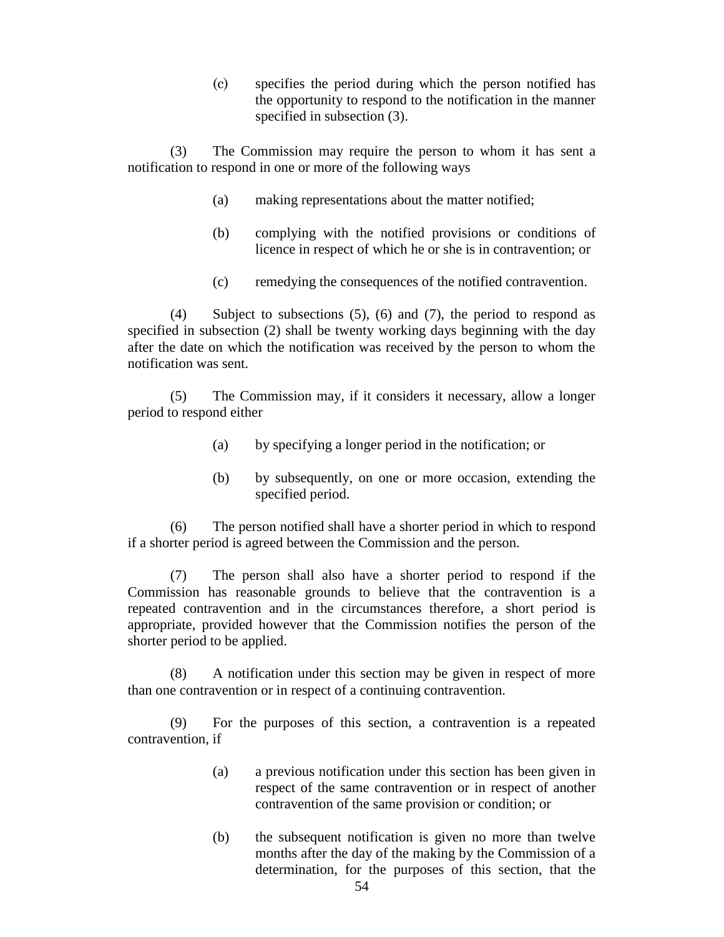(c) specifies the period during which the person notified has the opportunity to respond to the notification in the manner specified in subsection (3).

(3) The Commission may require the person to whom it has sent a notification to respond in one or more of the following ways

- (a) making representations about the matter notified;
- (b) complying with the notified provisions or conditions of licence in respect of which he or she is in contravention; or
- (c) remedying the consequences of the notified contravention.

(4) Subject to subsections (5), (6) and (7), the period to respond as specified in subsection (2) shall be twenty working days beginning with the day after the date on which the notification was received by the person to whom the notification was sent.

(5) The Commission may, if it considers it necessary, allow a longer period to respond either

- (a) by specifying a longer period in the notification; or
- (b) by subsequently, on one or more occasion, extending the specified period.

(6) The person notified shall have a shorter period in which to respond if a shorter period is agreed between the Commission and the person.

(7) The person shall also have a shorter period to respond if the Commission has reasonable grounds to believe that the contravention is a repeated contravention and in the circumstances therefore, a short period is appropriate, provided however that the Commission notifies the person of the shorter period to be applied.

(8) A notification under this section may be given in respect of more than one contravention or in respect of a continuing contravention.

(9) For the purposes of this section, a contravention is a repeated contravention, if

- (a) a previous notification under this section has been given in respect of the same contravention or in respect of another contravention of the same provision or condition; or
- (b) the subsequent notification is given no more than twelve months after the day of the making by the Commission of a determination, for the purposes of this section, that the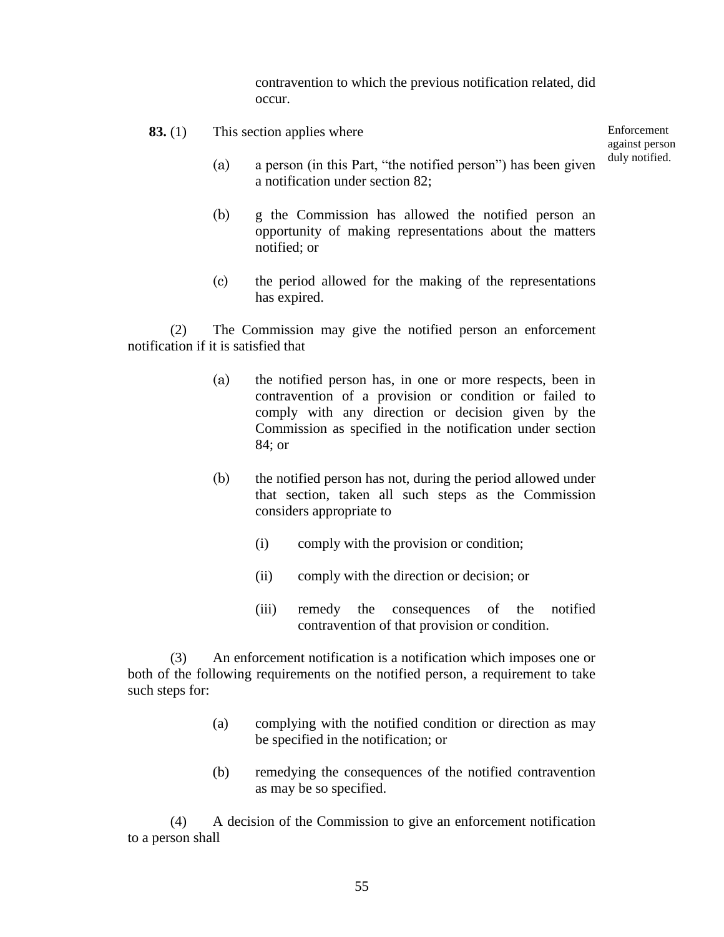contravention to which the previous notification related, did occur.

**83.** (1) This section applies where

Enforcement against person duly notified.

- (a) a person (in this Part, "the notified person") has been given a notification under section 82;
- (b) g the Commission has allowed the notified person an opportunity of making representations about the matters notified; or
- (c) the period allowed for the making of the representations has expired.

(2) The Commission may give the notified person an enforcement notification if it is satisfied that

- (a) the notified person has, in one or more respects, been in contravention of a provision or condition or failed to comply with any direction or decision given by the Commission as specified in the notification under section 84; or
- (b) the notified person has not, during the period allowed under that section, taken all such steps as the Commission considers appropriate to
	- (i) comply with the provision or condition;
	- (ii) comply with the direction or decision; or
	- (iii) remedy the consequences of the notified contravention of that provision or condition.

(3) An enforcement notification is a notification which imposes one or both of the following requirements on the notified person, a requirement to take such steps for:

- (a) complying with the notified condition or direction as may be specified in the notification; or
- (b) remedying the consequences of the notified contravention as may be so specified.

(4) A decision of the Commission to give an enforcement notification to a person shall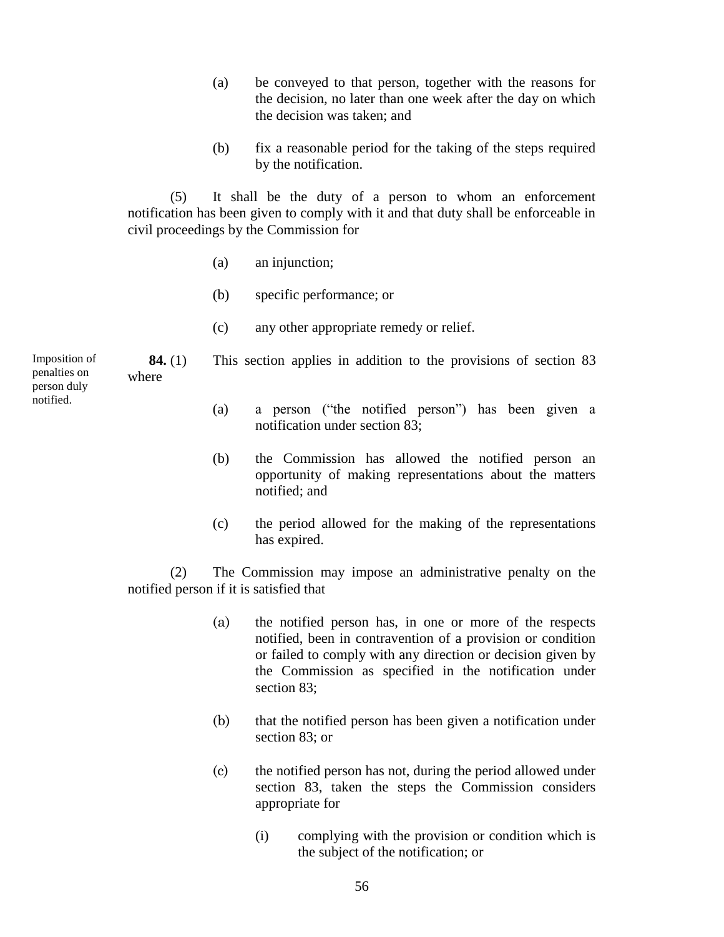- (a) be conveyed to that person, together with the reasons for the decision, no later than one week after the day on which the decision was taken; and
- (b) fix a reasonable period for the taking of the steps required by the notification.

(5) It shall be the duty of a person to whom an enforcement notification has been given to comply with it and that duty shall be enforceable in civil proceedings by the Commission for

- (a) an injunction;
- (b) specific performance; or
- (c) any other appropriate remedy or relief.

Imposition of penalties on person duly notified.

where

(a) a person ("the notified person") has been given a notification under section 83;

**84.** (1) This section applies in addition to the provisions of section 83

- (b) the Commission has allowed the notified person an opportunity of making representations about the matters notified; and
- (c) the period allowed for the making of the representations has expired.

(2) The Commission may impose an administrative penalty on the notified person if it is satisfied that

- (a) the notified person has, in one or more of the respects notified, been in contravention of a provision or condition or failed to comply with any direction or decision given by the Commission as specified in the notification under section 83;
- (b) that the notified person has been given a notification under section 83; or
- (c) the notified person has not, during the period allowed under section 83, taken the steps the Commission considers appropriate for
	- (i) complying with the provision or condition which is the subject of the notification; or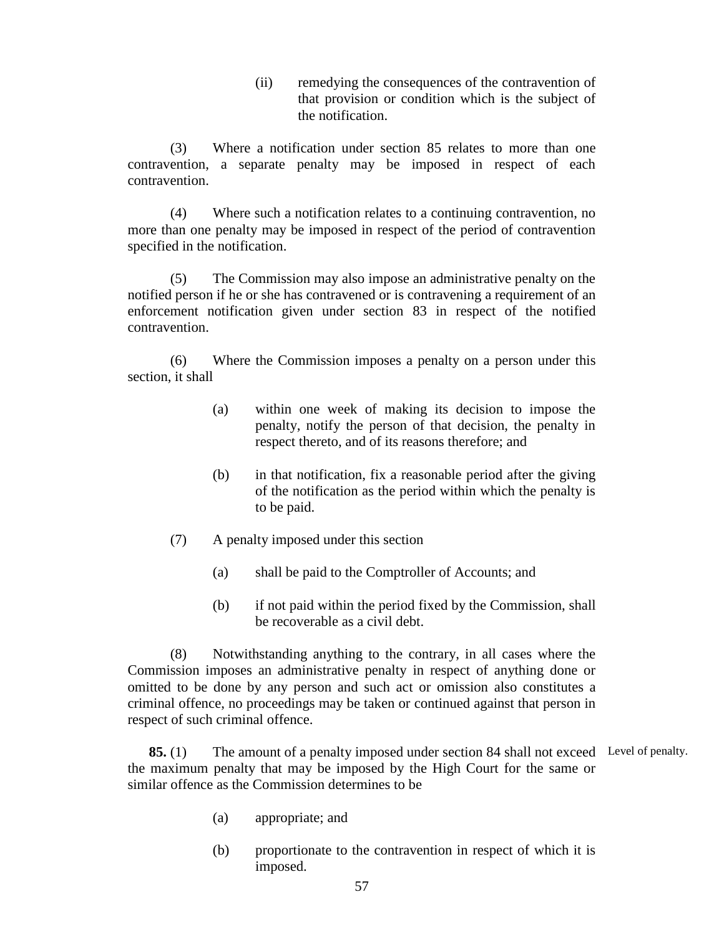(ii) remedying the consequences of the contravention of that provision or condition which is the subject of the notification.

(3) Where a notification under section 85 relates to more than one contravention, a separate penalty may be imposed in respect of each contravention.

(4) Where such a notification relates to a continuing contravention, no more than one penalty may be imposed in respect of the period of contravention specified in the notification.

(5) The Commission may also impose an administrative penalty on the notified person if he or she has contravened or is contravening a requirement of an enforcement notification given under section 83 in respect of the notified contravention.

(6) Where the Commission imposes a penalty on a person under this section, it shall

- (a) within one week of making its decision to impose the penalty, notify the person of that decision, the penalty in respect thereto, and of its reasons therefore; and
- (b) in that notification, fix a reasonable period after the giving of the notification as the period within which the penalty is to be paid.
- (7) A penalty imposed under this section
	- (a) shall be paid to the Comptroller of Accounts; and
	- (b) if not paid within the period fixed by the Commission, shall be recoverable as a civil debt.

(8) Notwithstanding anything to the contrary, in all cases where the Commission imposes an administrative penalty in respect of anything done or omitted to be done by any person and such act or omission also constitutes a criminal offence, no proceedings may be taken or continued against that person in respect of such criminal offence.

**85.** (1) The amount of a penalty imposed under section 84 shall not exceed Level of penalty. the maximum penalty that may be imposed by the High Court for the same or similar offence as the Commission determines to be

- (a) appropriate; and
- (b) proportionate to the contravention in respect of which it is imposed.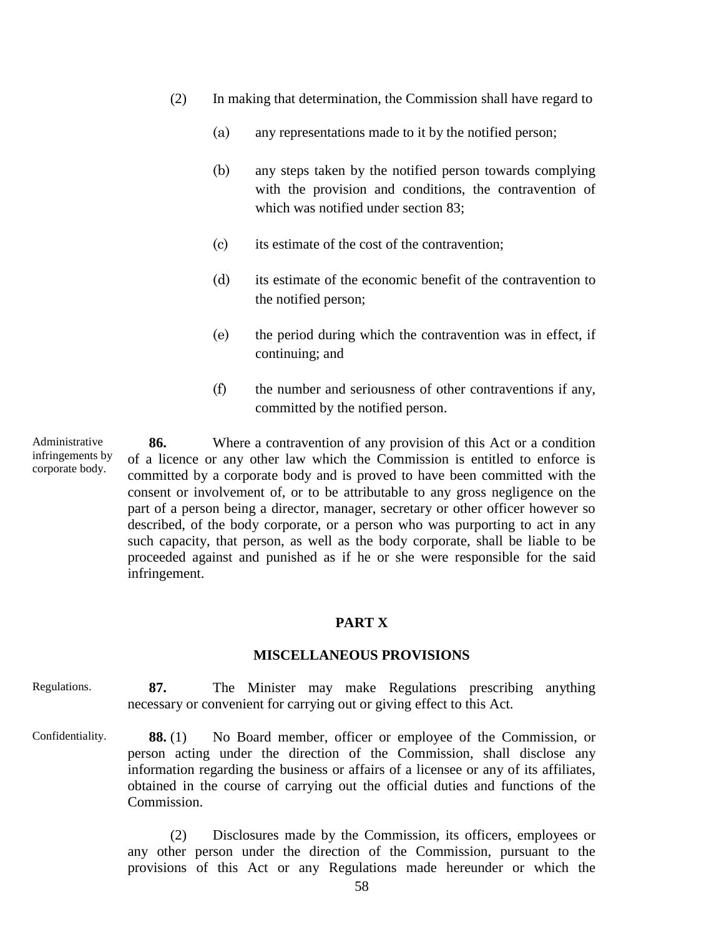- (2) In making that determination, the Commission shall have regard to
	- (a) any representations made to it by the notified person;
	- (b) any steps taken by the notified person towards complying with the provision and conditions, the contravention of which was notified under section 83;
	- (c) its estimate of the cost of the contravention;
	- (d) its estimate of the economic benefit of the contravention to the notified person;
	- (e) the period during which the contravention was in effect, if continuing; and
	- (f) the number and seriousness of other contraventions if any, committed by the notified person.

Administrative infringements by corporate body.

**86.** Where a contravention of any provision of this Act or a condition of a licence or any other law which the Commission is entitled to enforce is committed by a corporate body and is proved to have been committed with the consent or involvement of, or to be attributable to any gross negligence on the part of a person being a director, manager, secretary or other officer however so described, of the body corporate, or a person who was purporting to act in any such capacity, that person, as well as the body corporate, shall be liable to be proceeded against and punished as if he or she were responsible for the said infringement.

### **PART X**

#### **MISCELLANEOUS PROVISIONS**

**87.** The Minister may make Regulations prescribing anything necessary or convenient for carrying out or giving effect to this Act. Regulations.

**88.** (1) No Board member, officer or employee of the Commission, or person acting under the direction of the Commission, shall disclose any information regarding the business or affairs of a licensee or any of its affiliates, obtained in the course of carrying out the official duties and functions of the Commission. Confidentiality.

> (2) Disclosures made by the Commission, its officers, employees or any other person under the direction of the Commission, pursuant to the provisions of this Act or any Regulations made hereunder or which the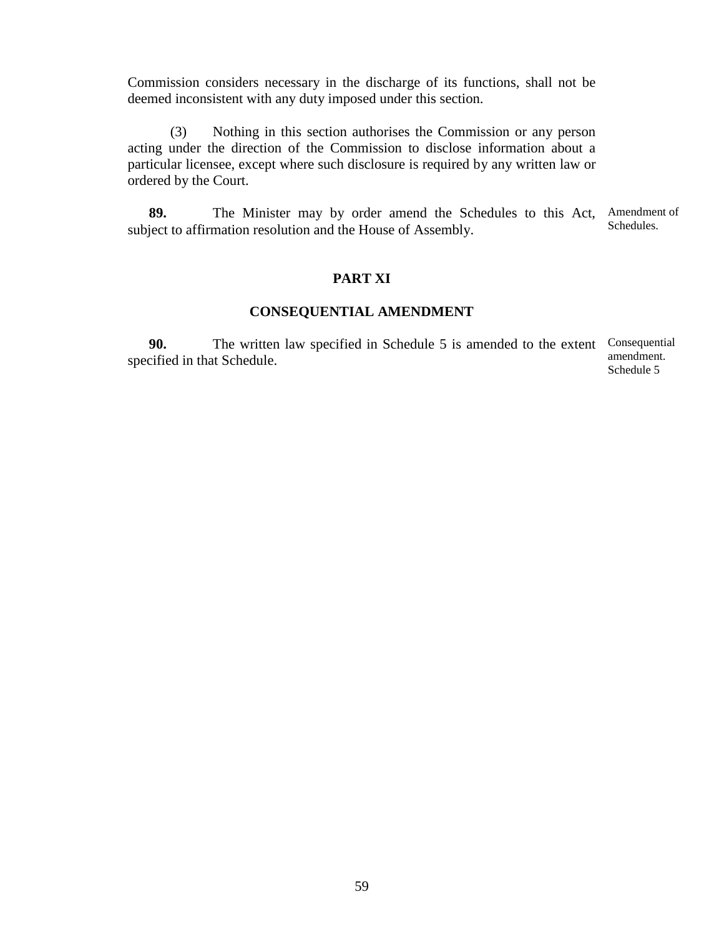Commission considers necessary in the discharge of its functions, shall not be deemed inconsistent with any duty imposed under this section.

(3) Nothing in this section authorises the Commission or any person acting under the direction of the Commission to disclose information about a particular licensee, except where such disclosure is required by any written law or ordered by the Court.

**89.** The Minister may by order amend the Schedules to this Act, Amendment of subject to affirmation resolution and the House of Assembly. Schedules.

#### **PART XI**

## **CONSEQUENTIAL AMENDMENT**

**90.** The written law specified in Schedule 5 is amended to the extent Consequential specified in that Schedule. amendment. Schedule 5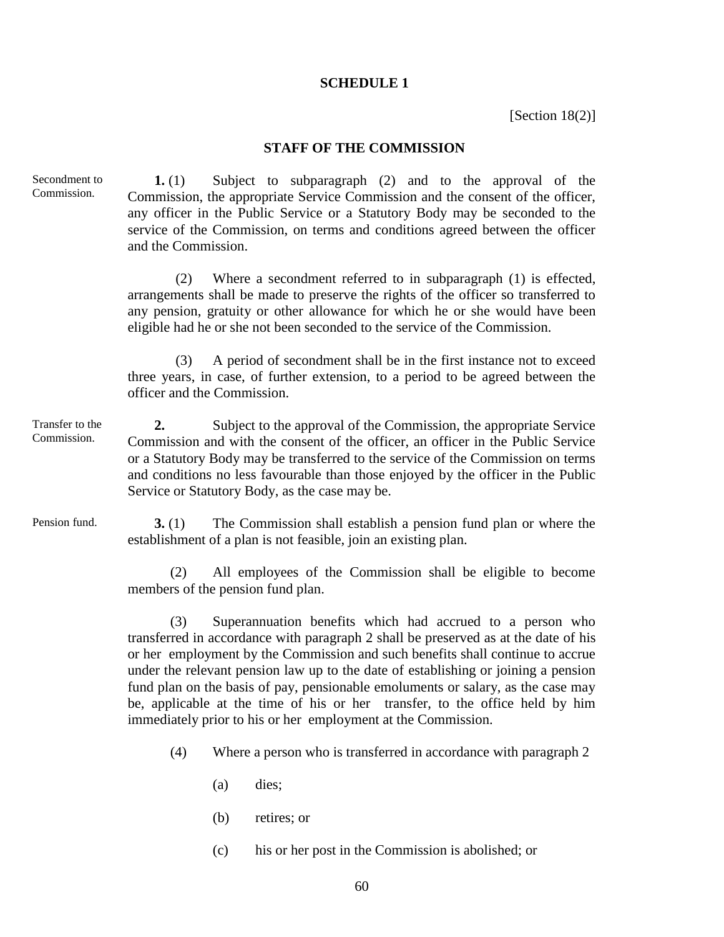#### **SCHEDULE 1**

[Section 18(2)]

#### **STAFF OF THE COMMISSION**

**1.** (1) Subject to subparagraph (2) and to the approval of the Commission, the appropriate Service Commission and the consent of the officer, any officer in the Public Service or a Statutory Body may be seconded to the service of the Commission, on terms and conditions agreed between the officer and the Commission. (2) Where a secondment referred to in subparagraph (1) is effected, arrangements shall be made to preserve the rights of the officer so transferred to any pension, gratuity or other allowance for which he or she would have been eligible had he or she not been seconded to the service of the Commission. (3) A period of secondment shall be in the first instance not to exceed three years, in case, of further extension, to a period to be agreed between the officer and the Commission. **2.** Subject to the approval of the Commission, the appropriate Service Commission and with the consent of the officer, an officer in the Public Service or a Statutory Body may be transferred to the service of the Commission on terms and conditions no less favourable than those enjoyed by the officer in the Public Service or Statutory Body, as the case may be. **3.** (1) The Commission shall establish a pension fund plan or where the establishment of a plan is not feasible, join an existing plan. Secondment to Commission. Transfer to the Commission. Pension fund.

> (2) All employees of the Commission shall be eligible to become members of the pension fund plan.

> (3) Superannuation benefits which had accrued to a person who transferred in accordance with paragraph 2 shall be preserved as at the date of his or her employment by the Commission and such benefits shall continue to accrue under the relevant pension law up to the date of establishing or joining a pension fund plan on the basis of pay, pensionable emoluments or salary, as the case may be, applicable at the time of his or her transfer, to the office held by him immediately prior to his or her employment at the Commission.

(4) Where a person who is transferred in accordance with paragraph 2

- (a) dies;
- (b) retires; or
- (c) his or her post in the Commission is abolished; or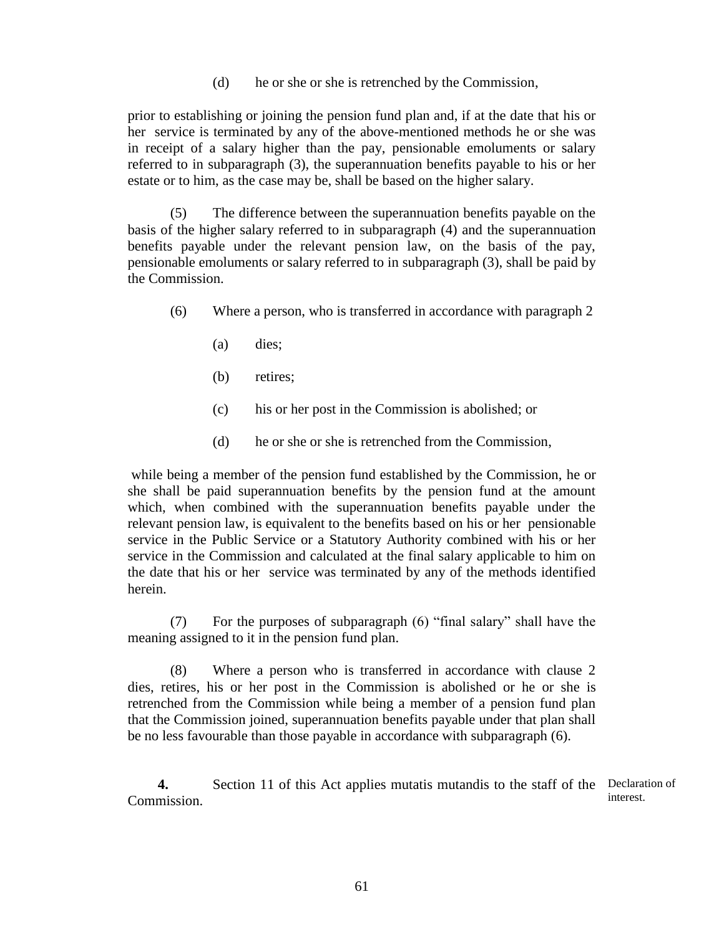(d) he or she or she is retrenched by the Commission,

prior to establishing or joining the pension fund plan and, if at the date that his or her service is terminated by any of the above-mentioned methods he or she was in receipt of a salary higher than the pay, pensionable emoluments or salary referred to in subparagraph (3), the superannuation benefits payable to his or her estate or to him, as the case may be, shall be based on the higher salary.

(5) The difference between the superannuation benefits payable on the basis of the higher salary referred to in subparagraph (4) and the superannuation benefits payable under the relevant pension law, on the basis of the pay, pensionable emoluments or salary referred to in subparagraph (3), shall be paid by the Commission.

- (6) Where a person, who is transferred in accordance with paragraph 2
	- (a) dies;
	- (b) retires;
	- (c) his or her post in the Commission is abolished; or
	- (d) he or she or she is retrenched from the Commission,

while being a member of the pension fund established by the Commission, he or she shall be paid superannuation benefits by the pension fund at the amount which, when combined with the superannuation benefits payable under the relevant pension law, is equivalent to the benefits based on his or her pensionable service in the Public Service or a Statutory Authority combined with his or her service in the Commission and calculated at the final salary applicable to him on the date that his or her service was terminated by any of the methods identified herein.

(7) For the purposes of subparagraph (6) "final salary" shall have the meaning assigned to it in the pension fund plan.

(8) Where a person who is transferred in accordance with clause 2 dies, retires, his or her post in the Commission is abolished or he or she is retrenched from the Commission while being a member of a pension fund plan that the Commission joined, superannuation benefits payable under that plan shall be no less favourable than those payable in accordance with subparagraph (6).

**4.** Section 11 of this Act applies mutatis mutandis to the staff of the Declaration of Commission. interest.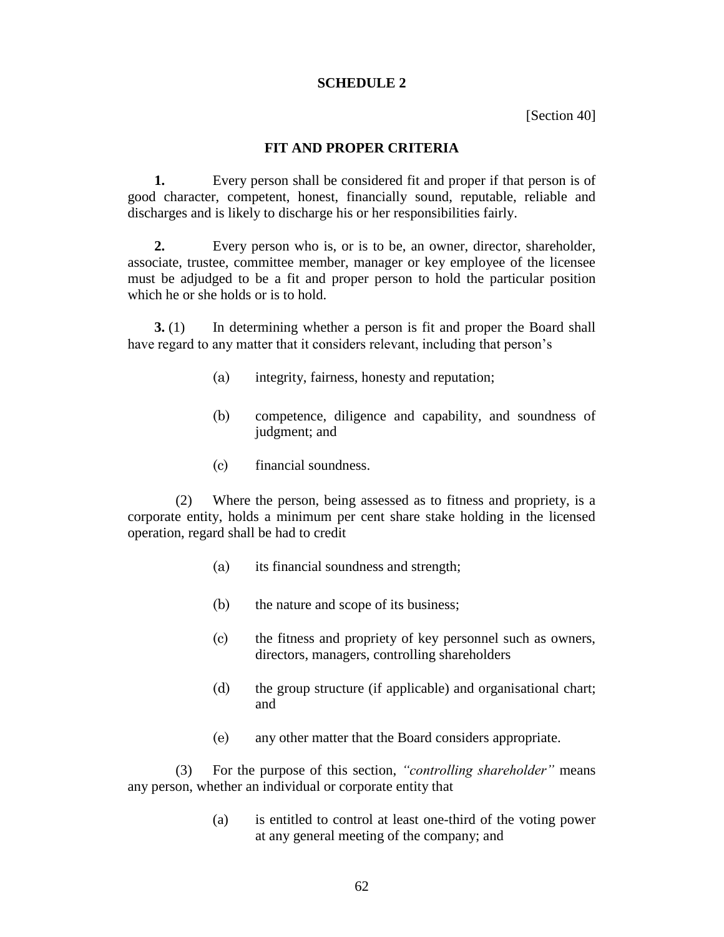#### **SCHEDULE 2**

[Section 40]

#### **FIT AND PROPER CRITERIA**

**1.** Every person shall be considered fit and proper if that person is of good character, competent, honest, financially sound, reputable, reliable and discharges and is likely to discharge his or her responsibilities fairly.

**2.** Every person who is, or is to be, an owner, director, shareholder, associate, trustee, committee member, manager or key employee of the licensee must be adjudged to be a fit and proper person to hold the particular position which he or she holds or is to hold.

**3.** (1) In determining whether a person is fit and proper the Board shall have regard to any matter that it considers relevant, including that person's

- (a) integrity, fairness, honesty and reputation;
- (b) competence, diligence and capability, and soundness of judgment; and
- (c) financial soundness.

(2) Where the person, being assessed as to fitness and propriety, is a corporate entity, holds a minimum per cent share stake holding in the licensed operation, regard shall be had to credit

- (a) its financial soundness and strength;
- (b) the nature and scope of its business;
- (c) the fitness and propriety of key personnel such as owners, directors, managers, controlling shareholders
- (d) the group structure (if applicable) and organisational chart; and
- (e) any other matter that the Board considers appropriate.

(3) For the purpose of this section, *"controlling shareholder"* means any person, whether an individual or corporate entity that

> (a) is entitled to control at least one-third of the voting power at any general meeting of the company; and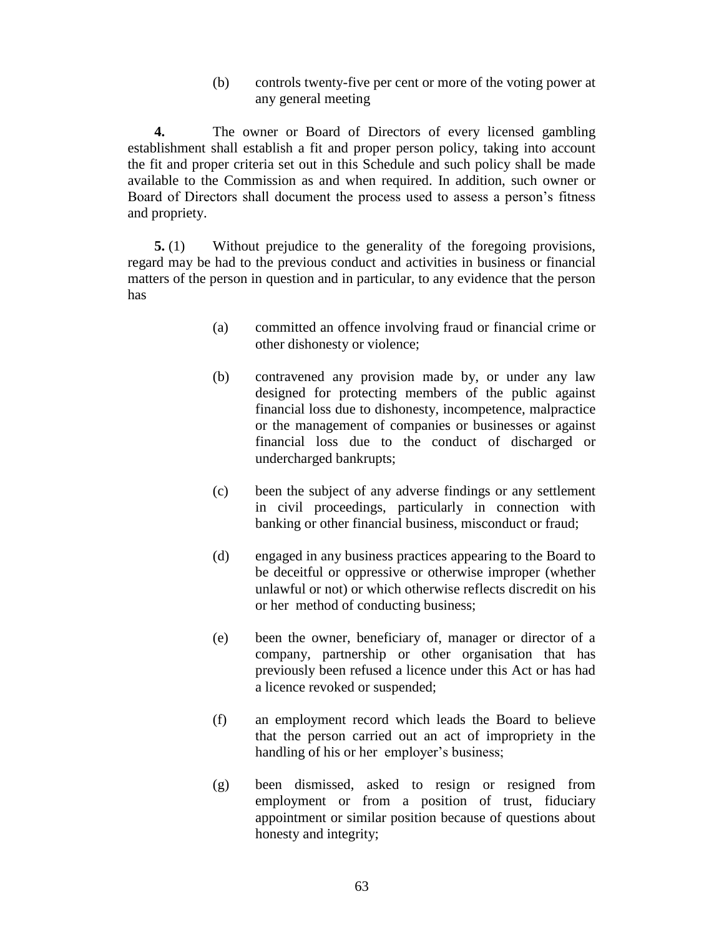(b) controls twenty-five per cent or more of the voting power at any general meeting

**4.** The owner or Board of Directors of every licensed gambling establishment shall establish a fit and proper person policy, taking into account the fit and proper criteria set out in this Schedule and such policy shall be made available to the Commission as and when required. In addition, such owner or Board of Directors shall document the process used to assess a person's fitness and propriety.

**5.** (1) Without prejudice to the generality of the foregoing provisions, regard may be had to the previous conduct and activities in business or financial matters of the person in question and in particular, to any evidence that the person has

- (a) committed an offence involving fraud or financial crime or other dishonesty or violence;
- (b) contravened any provision made by, or under any law designed for protecting members of the public against financial loss due to dishonesty, incompetence, malpractice or the management of companies or businesses or against financial loss due to the conduct of discharged or undercharged bankrupts;
- (c) been the subject of any adverse findings or any settlement in civil proceedings, particularly in connection with banking or other financial business, misconduct or fraud;
- (d) engaged in any business practices appearing to the Board to be deceitful or oppressive or otherwise improper (whether unlawful or not) or which otherwise reflects discredit on his or her method of conducting business;
- (e) been the owner, beneficiary of, manager or director of a company, partnership or other organisation that has previously been refused a licence under this Act or has had a licence revoked or suspended;
- (f) an employment record which leads the Board to believe that the person carried out an act of impropriety in the handling of his or her employer's business;
- (g) been dismissed, asked to resign or resigned from employment or from a position of trust, fiduciary appointment or similar position because of questions about honesty and integrity;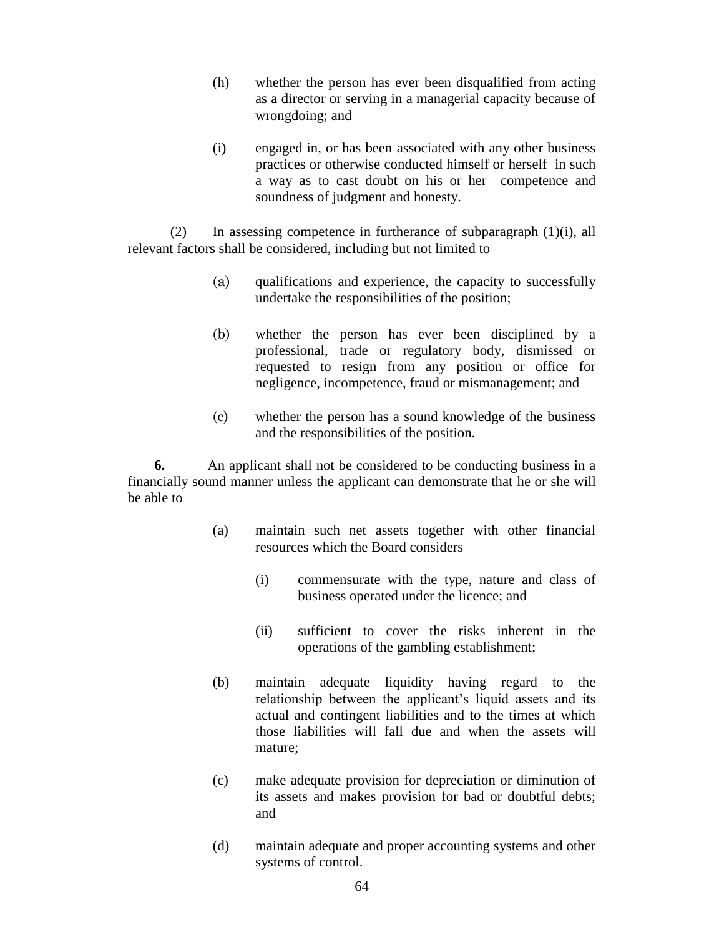- (h) whether the person has ever been disqualified from acting as a director or serving in a managerial capacity because of wrongdoing; and
- (i) engaged in, or has been associated with any other business practices or otherwise conducted himself or herself in such a way as to cast doubt on his or her competence and soundness of judgment and honesty.

(2) In assessing competence in furtherance of subparagraph  $(1)(i)$ , all relevant factors shall be considered, including but not limited to

- (a) qualifications and experience, the capacity to successfully undertake the responsibilities of the position;
- (b) whether the person has ever been disciplined by a professional, trade or regulatory body, dismissed or requested to resign from any position or office for negligence, incompetence, fraud or mismanagement; and
- (c) whether the person has a sound knowledge of the business and the responsibilities of the position.

**6.** An applicant shall not be considered to be conducting business in a financially sound manner unless the applicant can demonstrate that he or she will be able to

- (a) maintain such net assets together with other financial resources which the Board considers
	- (i) commensurate with the type, nature and class of business operated under the licence; and
	- (ii) sufficient to cover the risks inherent in the operations of the gambling establishment;
- (b) maintain adequate liquidity having regard to the relationship between the applicant's liquid assets and its actual and contingent liabilities and to the times at which those liabilities will fall due and when the assets will mature;
- (c) make adequate provision for depreciation or diminution of its assets and makes provision for bad or doubtful debts; and
- (d) maintain adequate and proper accounting systems and other systems of control.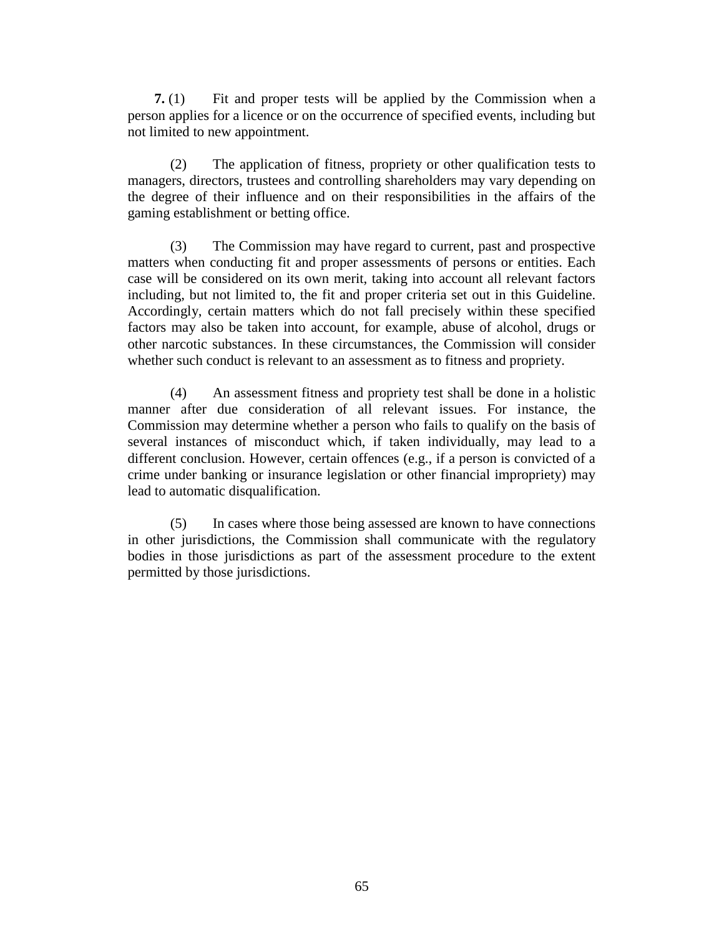**7.** (1) Fit and proper tests will be applied by the Commission when a person applies for a licence or on the occurrence of specified events, including but not limited to new appointment.

(2) The application of fitness, propriety or other qualification tests to managers, directors, trustees and controlling shareholders may vary depending on the degree of their influence and on their responsibilities in the affairs of the gaming establishment or betting office.

(3) The Commission may have regard to current, past and prospective matters when conducting fit and proper assessments of persons or entities. Each case will be considered on its own merit, taking into account all relevant factors including, but not limited to, the fit and proper criteria set out in this Guideline. Accordingly, certain matters which do not fall precisely within these specified factors may also be taken into account, for example, abuse of alcohol, drugs or other narcotic substances. In these circumstances, the Commission will consider whether such conduct is relevant to an assessment as to fitness and propriety.

(4) An assessment fitness and propriety test shall be done in a holistic manner after due consideration of all relevant issues. For instance, the Commission may determine whether a person who fails to qualify on the basis of several instances of misconduct which, if taken individually, may lead to a different conclusion. However, certain offences (e.g., if a person is convicted of a crime under banking or insurance legislation or other financial impropriety) may lead to automatic disqualification.

(5) In cases where those being assessed are known to have connections in other jurisdictions, the Commission shall communicate with the regulatory bodies in those jurisdictions as part of the assessment procedure to the extent permitted by those jurisdictions.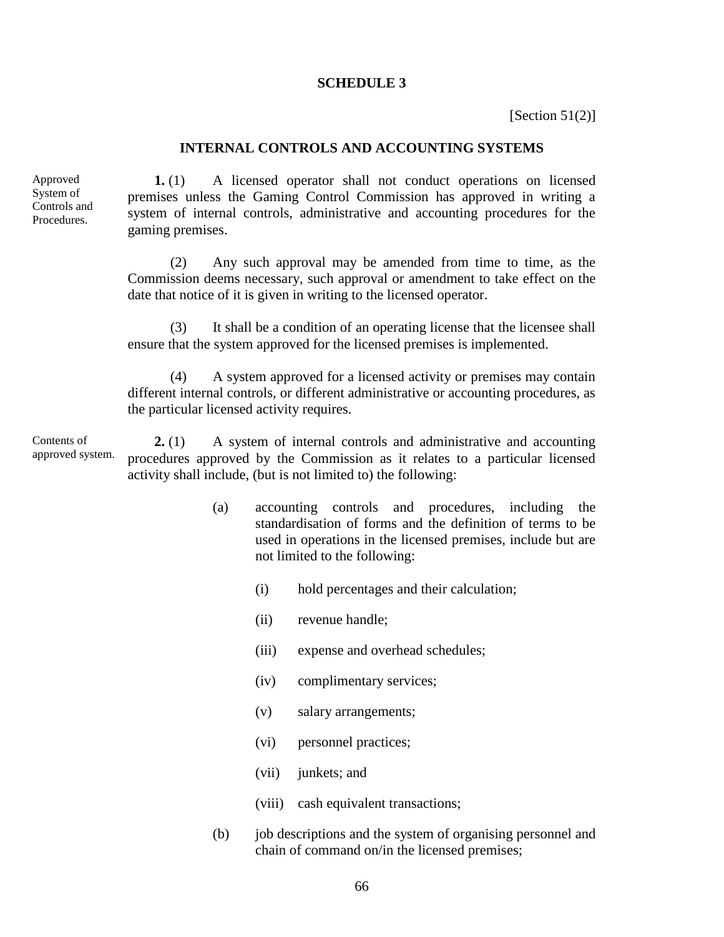#### **SCHEDULE 3**

[Section  $51(2)$ ]

#### **INTERNAL CONTROLS AND ACCOUNTING SYSTEMS**

Approved System of Controls and Procedures.

**1.** (1) A licensed operator shall not conduct operations on licensed premises unless the Gaming Control Commission has approved in writing a system of internal controls, administrative and accounting procedures for the gaming premises.

(2) Any such approval may be amended from time to time, as the Commission deems necessary, such approval or amendment to take effect on the date that notice of it is given in writing to the licensed operator.

(3) It shall be a condition of an operating license that the licensee shall ensure that the system approved for the licensed premises is implemented.

(4) A system approved for a licensed activity or premises may contain different internal controls, or different administrative or accounting procedures, as the particular licensed activity requires.

**2.** (1) A system of internal controls and administrative and accounting procedures approved by the Commission as it relates to a particular licensed activity shall include, (but is not limited to) the following: Contents of approved system.

- (a) accounting controls and procedures, including the standardisation of forms and the definition of terms to be used in operations in the licensed premises, include but are not limited to the following:
	- (i) hold percentages and their calculation;
	- (ii) revenue handle;
	- (iii) expense and overhead schedules;
	- (iv) complimentary services;
	- (v) salary arrangements;
	- (vi) personnel practices;
	- (vii) junkets; and
	- (viii) cash equivalent transactions;
- (b) job descriptions and the system of organising personnel and chain of command on/in the licensed premises;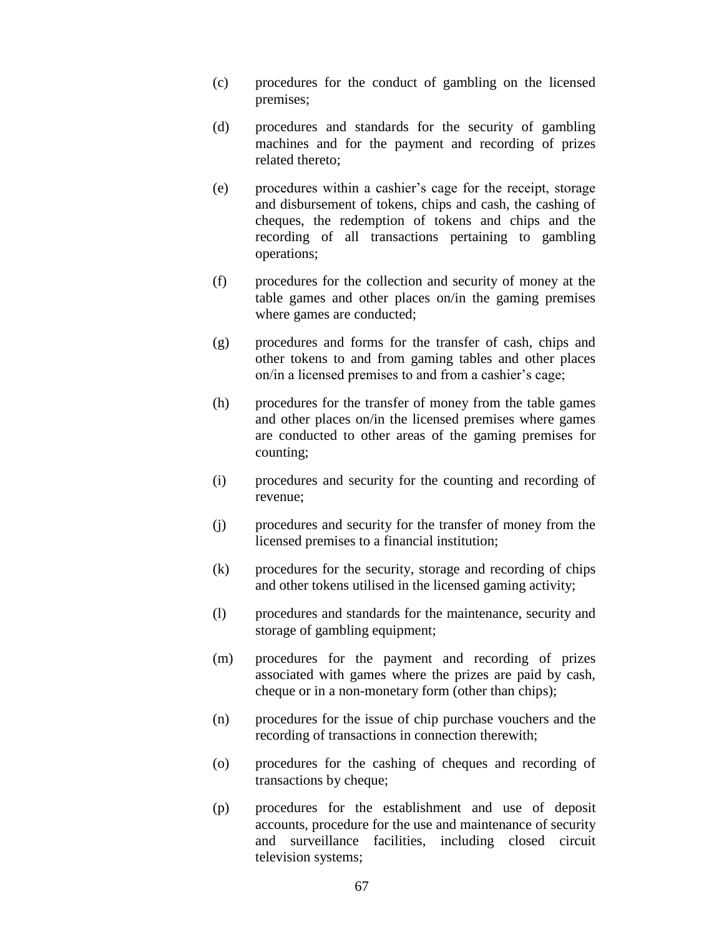- (c) procedures for the conduct of gambling on the licensed premises;
- (d) procedures and standards for the security of gambling machines and for the payment and recording of prizes related thereto;
- (e) procedures within a cashier's cage for the receipt, storage and disbursement of tokens, chips and cash, the cashing of cheques, the redemption of tokens and chips and the recording of all transactions pertaining to gambling operations;
- (f) procedures for the collection and security of money at the table games and other places on/in the gaming premises where games are conducted;
- (g) procedures and forms for the transfer of cash, chips and other tokens to and from gaming tables and other places on/in a licensed premises to and from a cashier's cage;
- (h) procedures for the transfer of money from the table games and other places on/in the licensed premises where games are conducted to other areas of the gaming premises for counting;
- (i) procedures and security for the counting and recording of revenue;
- (j) procedures and security for the transfer of money from the licensed premises to a financial institution;
- (k) procedures for the security, storage and recording of chips and other tokens utilised in the licensed gaming activity;
- (l) procedures and standards for the maintenance, security and storage of gambling equipment;
- (m) procedures for the payment and recording of prizes associated with games where the prizes are paid by cash, cheque or in a non-monetary form (other than chips);
- (n) procedures for the issue of chip purchase vouchers and the recording of transactions in connection therewith;
- (o) procedures for the cashing of cheques and recording of transactions by cheque;
- (p) procedures for the establishment and use of deposit accounts, procedure for the use and maintenance of security and surveillance facilities, including closed circuit television systems;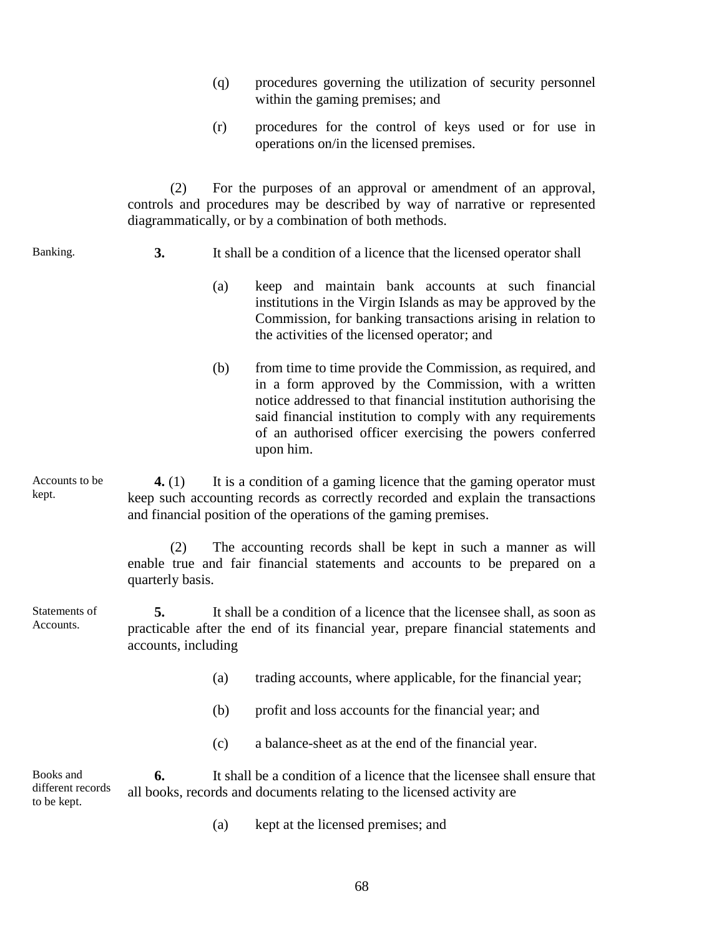- (q) procedures governing the utilization of security personnel within the gaming premises; and
- (r) procedures for the control of keys used or for use in operations on/in the licensed premises.

(2) For the purposes of an approval or amendment of an approval, controls and procedures may be described by way of narrative or represented diagrammatically, or by a combination of both methods.

Banking.

- **3.** It shall be a condition of a licence that the licensed operator shall
	- (a) keep and maintain bank accounts at such financial institutions in the Virgin Islands as may be approved by the Commission, for banking transactions arising in relation to the activities of the licensed operator; and
	- (b) from time to time provide the Commission, as required, and in a form approved by the Commission, with a written notice addressed to that financial institution authorising the said financial institution to comply with any requirements of an authorised officer exercising the powers conferred upon him.

**4.** (1) It is a condition of a gaming licence that the gaming operator must keep such accounting records as correctly recorded and explain the transactions and financial position of the operations of the gaming premises. Accounts to be kept.

> (2) The accounting records shall be kept in such a manner as will enable true and fair financial statements and accounts to be prepared on a quarterly basis.

**5.** It shall be a condition of a licence that the licensee shall, as soon as practicable after the end of its financial year, prepare financial statements and accounts, including Statements of Accounts.

- (a) trading accounts, where applicable, for the financial year;
- (b) profit and loss accounts for the financial year; and
- (c) a balance-sheet as at the end of the financial year.

**6.** It shall be a condition of a licence that the licensee shall ensure that all books, records and documents relating to the licensed activity are Books and different records to be kept.

(a) kept at the licensed premises; and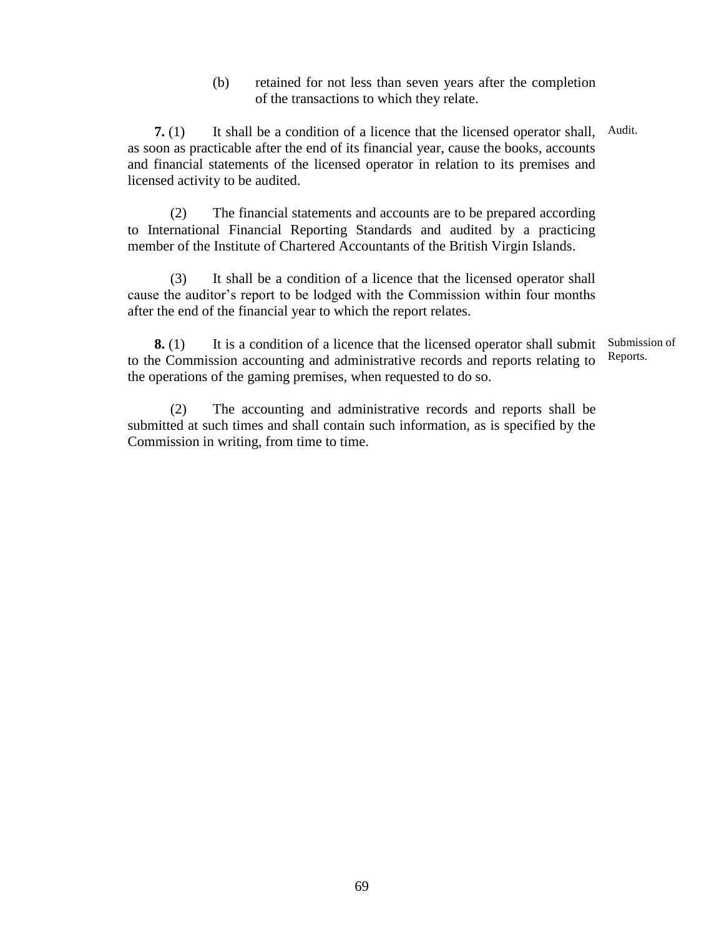(b) retained for not less than seven years after the completion of the transactions to which they relate.

**7.** (1) It shall be a condition of a licence that the licensed operator shall, Audit. as soon as practicable after the end of its financial year, cause the books, accounts and financial statements of the licensed operator in relation to its premises and licensed activity to be audited.

(2) The financial statements and accounts are to be prepared according to International Financial Reporting Standards and audited by a practicing member of the Institute of Chartered Accountants of the British Virgin Islands.

(3) It shall be a condition of a licence that the licensed operator shall cause the auditor's report to be lodged with the Commission within four months after the end of the financial year to which the report relates.

**8.** (1) It is a condition of a licence that the licensed operator shall submit to the Commission accounting and administrative records and reports relating to the operations of the gaming premises, when requested to do so. Submission of Reports.

(2) The accounting and administrative records and reports shall be submitted at such times and shall contain such information, as is specified by the Commission in writing, from time to time.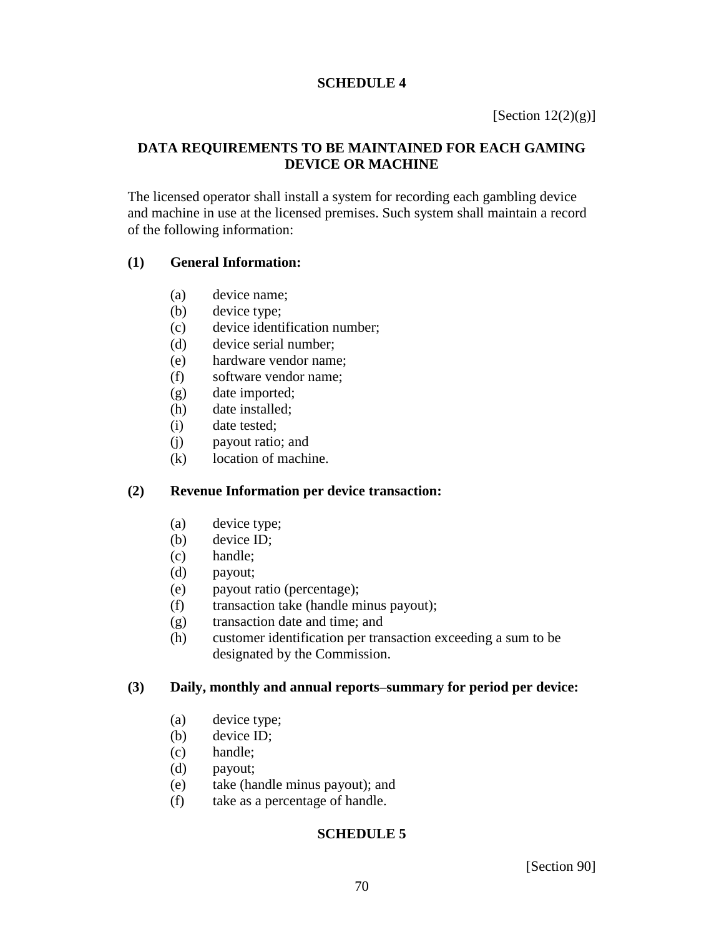## **SCHEDULE 4**

[Section  $12(2)(g)$ ]

## **DATA REQUIREMENTS TO BE MAINTAINED FOR EACH GAMING DEVICE OR MACHINE**

The licensed operator shall install a system for recording each gambling device and machine in use at the licensed premises. Such system shall maintain a record of the following information:

## **(1) General Information:**

- (a) device name;
- (b) device type;
- (c) device identification number;
- (d) device serial number;
- (e) hardware vendor name;
- (f) software vendor name;
- (g) date imported;
- (h) date installed;
- (i) date tested;
- (j) payout ratio; and
- (k) location of machine.

## **(2) Revenue Information per device transaction:**

- (a) device type;
- (b) device ID;
- (c) handle;
- (d) payout;
- (e) payout ratio (percentage);
- (f) transaction take (handle minus payout);
- (g) transaction date and time; and
- (h) customer identification per transaction exceeding a sum to be designated by the Commission.

## **(3) Daily, monthly and annual reports–summary for period per device:**

- (a) device type;
- (b) device ID;
- (c) handle;
- (d) payout;
- (e) take (handle minus payout); and
- (f) take as a percentage of handle.

## **SCHEDULE 5**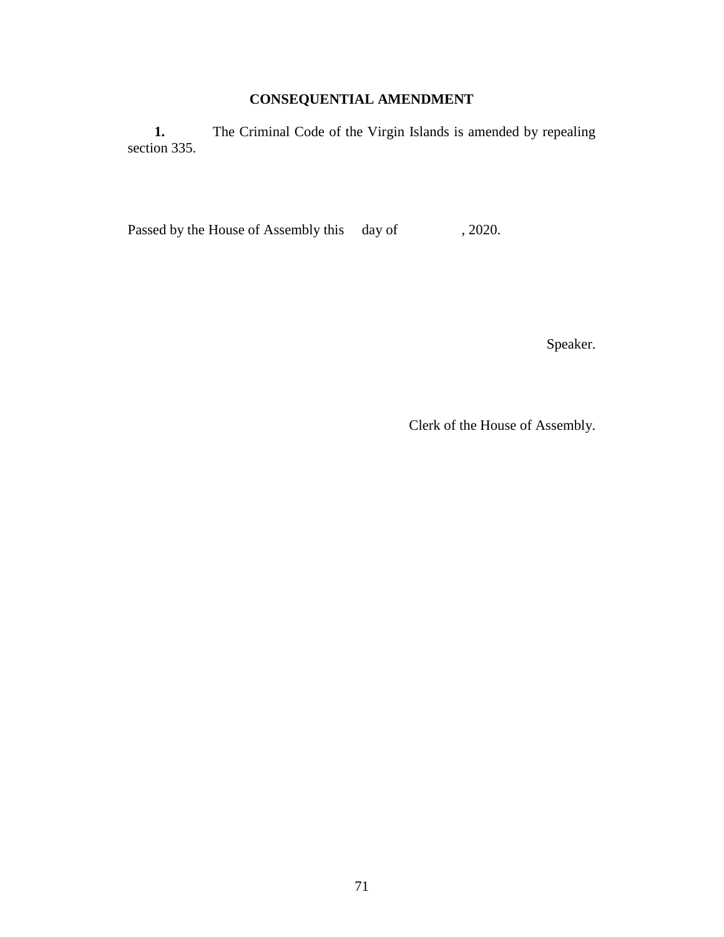# **CONSEQUENTIAL AMENDMENT**

1. The Criminal Code of the Virgin Islands is amended by repealing section 335.

Passed by the House of Assembly this day of , 2020.

Speaker.

Clerk of the House of Assembly.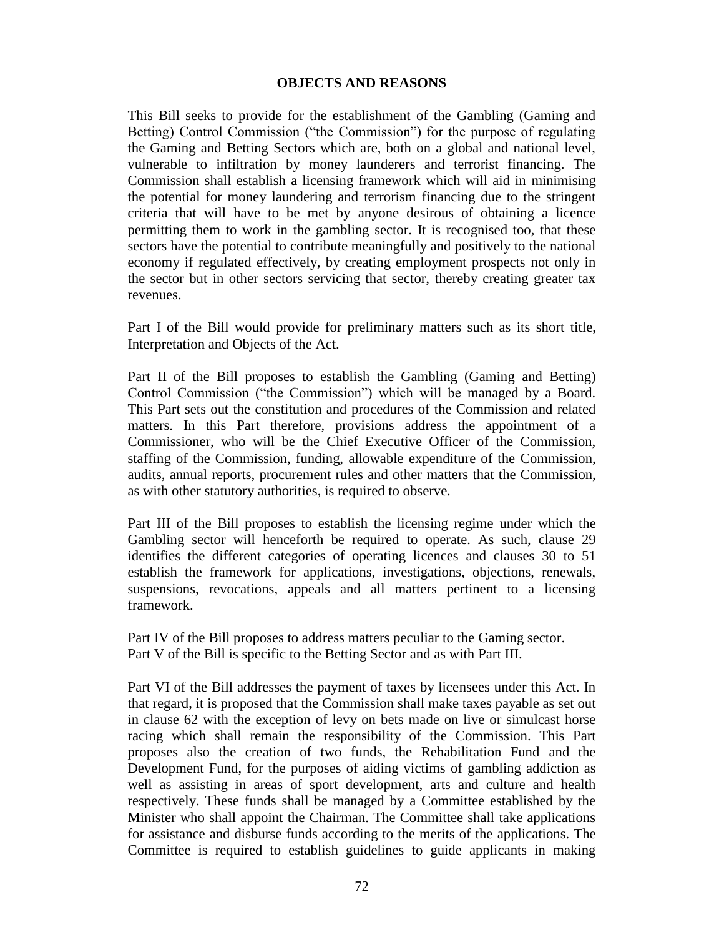## **OBJECTS AND REASONS**

This Bill seeks to provide for the establishment of the Gambling (Gaming and Betting) Control Commission ("the Commission") for the purpose of regulating the Gaming and Betting Sectors which are, both on a global and national level, vulnerable to infiltration by money launderers and terrorist financing. The Commission shall establish a licensing framework which will aid in minimising the potential for money laundering and terrorism financing due to the stringent criteria that will have to be met by anyone desirous of obtaining a licence permitting them to work in the gambling sector. It is recognised too, that these sectors have the potential to contribute meaningfully and positively to the national economy if regulated effectively, by creating employment prospects not only in the sector but in other sectors servicing that sector, thereby creating greater tax revenues.

Part I of the Bill would provide for preliminary matters such as its short title, Interpretation and Objects of the Act.

Part II of the Bill proposes to establish the Gambling (Gaming and Betting) Control Commission ("the Commission") which will be managed by a Board. This Part sets out the constitution and procedures of the Commission and related matters. In this Part therefore, provisions address the appointment of a Commissioner, who will be the Chief Executive Officer of the Commission, staffing of the Commission, funding, allowable expenditure of the Commission, audits, annual reports, procurement rules and other matters that the Commission, as with other statutory authorities, is required to observe.

Part III of the Bill proposes to establish the licensing regime under which the Gambling sector will henceforth be required to operate. As such, clause 29 identifies the different categories of operating licences and clauses 30 to 51 establish the framework for applications, investigations, objections, renewals, suspensions, revocations, appeals and all matters pertinent to a licensing framework.

Part IV of the Bill proposes to address matters peculiar to the Gaming sector. Part V of the Bill is specific to the Betting Sector and as with Part III.

Part VI of the Bill addresses the payment of taxes by licensees under this Act. In that regard, it is proposed that the Commission shall make taxes payable as set out in clause 62 with the exception of levy on bets made on live or simulcast horse racing which shall remain the responsibility of the Commission. This Part proposes also the creation of two funds, the Rehabilitation Fund and the Development Fund, for the purposes of aiding victims of gambling addiction as well as assisting in areas of sport development, arts and culture and health respectively. These funds shall be managed by a Committee established by the Minister who shall appoint the Chairman. The Committee shall take applications for assistance and disburse funds according to the merits of the applications. The Committee is required to establish guidelines to guide applicants in making